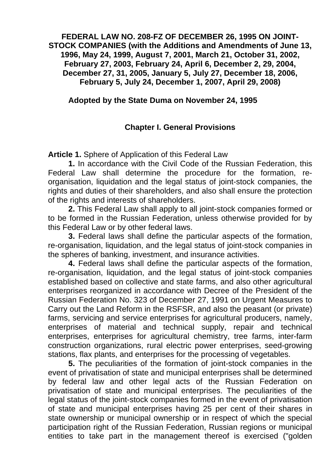#### **FEDERAL LAW NO. 208-FZ OF DECEMBER 26, 1995 ON JOINT-STOCK COMPANIES (with the Additions and Amendments of June 13, 1996, May 24, 1999, August 7, 2001, March 21, October 31, 2002, February 27, 2003, February 24, April 6, December 2, 29, 2004, December 27, 31, 2005, January 5, July 27, December 18, 2006, February 5, July 24, December 1, 2007, April 29, 2008)**

#### **Adopted by the State Duma on November 24, 1995**

## **Chapter I. General Provisions**

**Article 1.** Sphere of Application of this Federal Law

**1.** In accordance with the Civil Code of the Russian Federation, this Federal Law shall determine the procedure for the formation, reorganisation, liquidation and the legal status of joint-stock companies, the rights and duties of their shareholders, and also shall ensure the protection of the rights and interests of shareholders.

**2.** This Federal Law shall apply to all joint-stock companies formed or to be formed in the Russian Federation, unless otherwise provided for by this Federal Law or by other federal laws.

**3.** Federal laws shall define the particular aspects of the formation, re-organisation, liquidation, and the legal status of joint-stock companies in the spheres of banking, investment, and insurance activities.

**4.** Federal laws shall define the particular aspects of the formation, re-organisation, liquidation, and the legal status of joint-stock companies established based on collective and state farms, and also other agricultural enterprises reorganized in accordance with Decree of the President of the Russian Federation No. 323 of December 27, 1991 on Urgent Measures to Carry out the Land Reform in the RSFSR, and also the peasant (or private) farms, servicing and service enterprises for agricultural producers, namely, enterprises of material and technical supply, repair and technical enterprises, enterprises for agricultural chemistry, tree farms, inter-farm construction organizations, rural electric power enterprises, seed-growing stations, flax plants, and enterprises for the processing of vegetables.

**5.** The peculiarities of the formation of joint-stock companies in the event of privatisation of state and municipal enterprises shall be determined by federal law and other legal acts of the Russian Federation on privatisation of state and municipal enterprises. The peculiarities of the legal status of the joint-stock companies formed in the event of privatisation of state and municipal enterprises having 25 per cent of their shares in state ownership or municipal ownership or in respect of which the special participation right of the Russian Federation, Russian regions or municipal entities to take part in the management thereof is exercised ("golden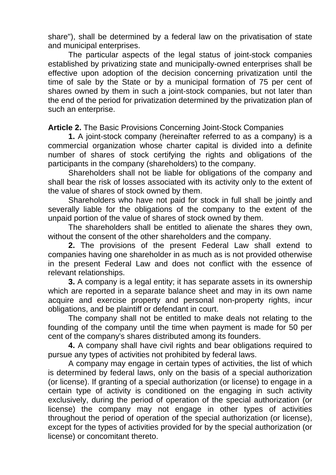share"), shall be determined by a federal law on the privatisation of state and municipal enterprises.

The particular aspects of the legal status of joint-stock companies established by privatizing state and municipally-owned enterprises shall be effective upon adoption of the decision concerning privatization until the time of sale by the State or by a municipal formation of 75 per cent of shares owned by them in such a joint-stock companies, but not later than the end of the period for privatization determined by the privatization plan of such an enterprise.

**Article 2.** The Basic Provisions Concerning Joint-Stock Companies

**1.** A joint-stock company (hereinafter referred to as a company) is a commercial organization whose charter capital is divided into a definite number of shares of stock certifying the rights and obligations of the participants in the company (shareholders) to the company.

Shareholders shall not be liable for obligations of the company and shall bear the risk of losses associated with its activity only to the extent of the value of shares of stock owned by them.

Shareholders who have not paid for stock in full shall be jointly and severally liable for the obligations of the company to the extent of the unpaid portion of the value of shares of stock owned by them.

The shareholders shall be entitled to alienate the shares they own, without the consent of the other shareholders and the company.

**2.** The provisions of the present Federal Law shall extend to companies having one shareholder in as much as is not provided otherwise in the present Federal Law and does not conflict with the essence of relevant relationships.

**3.** A company is a legal entity; it has separate assets in its ownership which are reported in a separate balance sheet and may in its own name acquire and exercise property and personal non-property rights, incur obligations, and be plaintiff or defendant in court.

The company shall not be entitled to make deals not relating to the founding of the company until the time when payment is made for 50 per cent of the company's shares distributed among its founders.

**4.** A company shall have civil rights and bear obligations required to pursue any types of activities not prohibited by federal laws.

A company may engage in certain types of activities, the list of which is determined by federal laws, only on the basis of a special authorization (or license). If granting of a special authorization (or license) to engage in a certain type of activity is conditioned on the engaging in such activity exclusively, during the period of operation of the special authorization (or license) the company may not engage in other types of activities throughout the period of operation of the special authorization (or license), except for the types of activities provided for by the special authorization (or license) or concomitant thereto.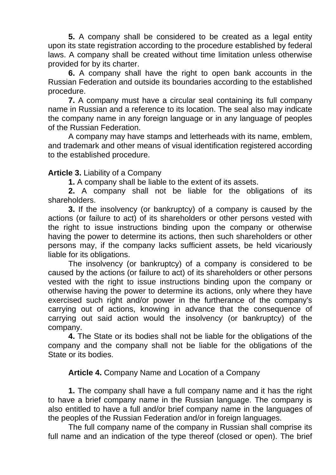**5.** A company shall be considered to be created as a legal entity upon its state registration according to the procedure established by federal laws. A company shall be created without time limitation unless otherwise provided for by its charter.

**6.** A company shall have the right to open bank accounts in the Russian Federation and outside its boundaries according to the established procedure.

**7.** A company must have a circular seal containing its full company name in Russian and a reference to its location. The seal also may indicate the company name in any foreign language or in any language of peoples of the Russian Federation.

A company may have stamps and letterheads with its name, emblem, and trademark and other means of visual identification registered according to the established procedure.

## **Article 3.** Liability of a Company

**1.** A company shall be liable to the extent of its assets.

**2.** A company shall not be liable for the obligations of its shareholders.

**3.** If the insolvency (or bankruptcy) of a company is caused by the actions (or failure to act) of its shareholders or other persons vested with the right to issue instructions binding upon the company or otherwise having the power to determine its actions, then such shareholders or other persons may, if the company lacks sufficient assets, be held vicariously liable for its obligations.

The insolvency (or bankruptcy) of a company is considered to be caused by the actions (or failure to act) of its shareholders or other persons vested with the right to issue instructions binding upon the company or otherwise having the power to determine its actions, only where they have exercised such right and/or power in the furtherance of the company's carrying out of actions, knowing in advance that the consequence of carrying out said action would the insolvency (or bankruptcy) of the company.

**4.** The State or its bodies shall not be liable for the obligations of the company and the company shall not be liable for the obligations of the State or its bodies.

## **Article 4.** Company Name and Location of a Company

**1.** The company shall have a full company name and it has the right to have a brief company name in the Russian language. The company is also entitled to have a full and/or brief company name in the languages of the peoples of the Russian Federation and/or in foreign languages.

The full company name of the company in Russian shall comprise its full name and an indication of the type thereof (closed or open). The brief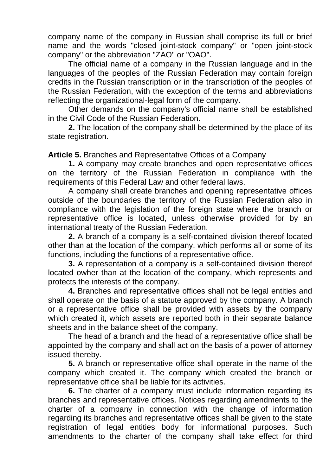company name of the company in Russian shall comprise its full or brief name and the words "closed joint-stock company" or "open joint-stock company" or the abbreviation "ZAO" or "OAO".

The official name of a company in the Russian language and in the languages of the peoples of the Russian Federation may contain foreign credits in the Russian transcription or in the transcription of the peoples of the Russian Federation, with the exception of the terms and abbreviations reflecting the organizational-legal form of the company.

Other demands on the company's official name shall be established in the Civil Code of the Russian Federation.

**2.** The location of the company shall be determined by the place of its state registration.

**Article 5.** Branches and Representative Offices of a Company

**1.** A company may create branches and open representative offices on the territory of the Russian Federation in compliance with the requirements of this Federal Law and other federal laws.

A company shall create branches and opening representative offices outside of the boundaries the territory of the Russian Federation also in compliance with the legislation of the foreign state where the branch or representative office is located, unless otherwise provided for by an international treaty of the Russian Federation.

**2.** A branch of a company is a self-contained division thereof located other than at the location of the company, which performs all or some of its functions, including the functions of a representative office.

**3.** A representation of a company is a self-contained division thereof located owher than at the location of the company, which represents and protects the interests of the company.

**4.** Branches and representative offices shall not be legal entities and shall operate on the basis of a statute approved by the company. A branch or a representative office shall be provided with assets by the company which created it, which assets are reported both in their separate balance sheets and in the balance sheet of the company.

The head of a branch and the head of a representative office shall be appointed by the company and shall act on the basis of a power of attorney issued thereby.

**5.** A branch or representative office shall operate in the name of the company which created it. The company which created the branch or representative office shall be liable for its activities.

**6.** The charter of a company must include information regarding its branches and representative offices. Notices regarding amendments to the charter of a company in connection with the change of information regarding its branches and representative offices shall be given to the state registration of legal entities body for informational purposes. Such amendments to the charter of the company shall take effect for third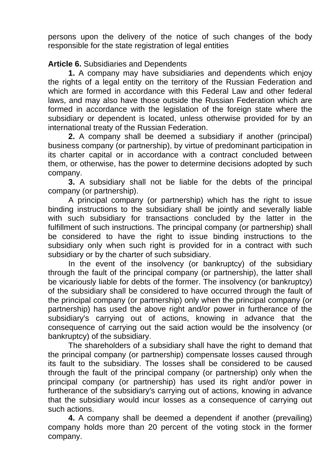persons upon the delivery of the notice of such changes of the body responsible for the state registration of legal entities

# **Article 6.** Subsidiaries and Dependents

**1.** A company may have subsidiaries and dependents which enjoy the rights of a legal entity on the territory of the Russian Federation and which are formed in accordance with this Federal Law and other federal laws, and may also have those outside the Russian Federation which are formed in accordance with the legislation of the foreign state where the subsidiary or dependent is located, unless otherwise provided for by an international treaty of the Russian Federation.

**2.** A company shall be deemed a subsidiary if another (principal) business company (or partnership), by virtue of predominant participation in its charter capital or in accordance with a contract concluded between them, or otherwise, has the power to determine decisions adopted by such company.

**3.** A subsidiary shall not be liable for the debts of the principal company (or partnership).

A principal company (or partnership) which has the right to issue binding instructions to the subsidiary shall be jointly and severally liable with such subsidiary for transactions concluded by the latter in the fulfillment of such instructions. The principal company (or partnership) shall be considered to have the right to issue binding instructions to the subsidiary only when such right is provided for in a contract with such subsidiary or by the charter of such subsidiary.

In the event of the insolvency (or bankruptcy) of the subsidiary through the fault of the principal company (or partnership), the latter shall be vicariously liable for debts of the former. The insolvency (or bankruptcy) of the subsidiary shall be considered to have occurred through the fault of the principal company (or partnership) only when the principal company (or partnership) has used the above right and/or power in furtherance of the subsidiary's carrying out of actions, knowing in advance that the consequence of carrying out the said action would be the insolvency (or bankruptcy) of the subsidiary.

The shareholders of a subsidiary shall have the right to demand that the principal company (or partnership) compensate losses caused through its fault to the subsidiary. The losses shall be considered to be caused through the fault of the principal company (or partnership) only when the principal company (or partnership) has used its right and/or power in furtherance of the subsidiary's carrying out of actions, knowing in advance that the subsidiary would incur losses as a consequence of carrying out such actions.

**4.** A company shall be deemed a dependent if another (prevailing) company holds more than 20 percent of the voting stock in the former company.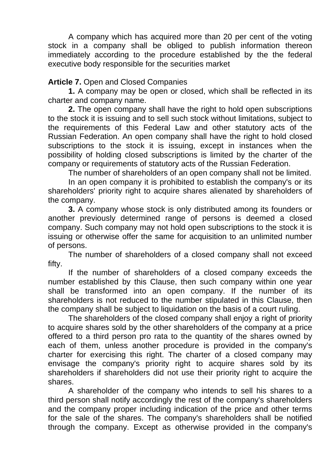A company which has acquired more than 20 per cent of the voting stock in a company shall be obliged to publish information thereon immediately according to the procedure established by the the federal executive body responsible for the securities market

## **Article 7.** Open and Closed Companies

**1.** A company may be open or closed, which shall be reflected in its charter and company name.

**2.** The open company shall have the right to hold open subscriptions to the stock it is issuing and to sell such stock without limitations, subject to the requirements of this Federal Law and other statutory acts of the Russian Federation. An open company shall have the right to hold closed subscriptions to the stock it is issuing, except in instances when the possibility of holding closed subscriptions is limited by the charter of the company or requirements of statutory acts of the Russian Federation.

The number of shareholders of an open company shall not be limited.

In an open company it is prohibited to establish the company's or its shareholders' priority right to acquire shares alienated by shareholders of the company.

**3.** A company whose stock is only distributed among its founders or another previously determined range of persons is deemed a closed company. Such company may not hold open subscriptions to the stock it is issuing or otherwise offer the same for acquisition to an unlimited number of persons.

The number of shareholders of a closed company shall not exceed fifty.

If the number of shareholders of a closed company exceeds the number established by this Clause, then such company within one year shall be transformed into an open company. If the number of its shareholders is not reduced to the number stipulated in this Clause, then the company shall be subject to liquidation on the basis of a court ruling.

The shareholders of the closed company shall enjoy a right of priority to acquire shares sold by the other shareholders of the company at a price offered to a third person pro rata to the quantity of the shares owned by each of them, unless another procedure is provided in the company's charter for exercising this right. The charter of a closed company may envisage the company's priority right to acquire shares sold by its shareholders if shareholders did not use their priority right to acquire the shares.

A shareholder of the company who intends to sell his shares to a third person shall notify accordingly the rest of the company's shareholders and the company proper including indication of the price and other terms for the sale of the shares. The company's shareholders shall be notified through the company. Except as otherwise provided in the company's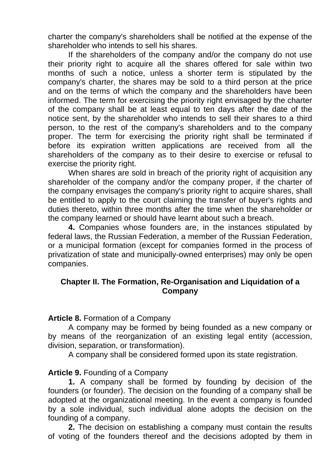charter the company's shareholders shall be notified at the expense of the shareholder who intends to sell his shares.

If the shareholders of the company and/or the company do not use their priority right to acquire all the shares offered for sale within two months of such a notice, unless a shorter term is stipulated by the company's charter, the shares may be sold to a third person at the price and on the terms of which the company and the shareholders have been informed. The term for exercising the priority right envisaged by the charter of the company shall be at least equal to ten days after the date of the notice sent, by the shareholder who intends to sell their shares to a third person, to the rest of the company's shareholders and to the company proper. The term for exercising the priority right shall be terminated if before its expiration written applications are received from all the shareholders of the company as to their desire to exercise or refusal to exercise the priority right.

When shares are sold in breach of the priority right of acquisition any shareholder of the company and/or the company proper, if the charter of the company envisages the company's priority right to acquire shares, shall be entitled to apply to the court claiming the transfer of buyer's rights and duties thereto, within three months after the time when the shareholder or the company learned or should have learnt about such a breach.

**4.** Companies whose founders are, in the instances stipulated by federal laws, the Russian Federation, a member of the Russian Federation, or a municipal formation (except for companies formed in the process of privatization of state and municipally-owned enterprises) may only be open companies.

#### **Chapter II. The Formation, Re-Organisation and Liquidation of a Company**

#### **Article 8.** Formation of a Company

A company may be formed by being founded as a new company or by means of the reorganization of an existing legal entity (accession, division, separation, or transformation).

A company shall be considered formed upon its state registration.

## **Article 9.** Founding of a Company

**1.** A company shall be formed by founding by decision of the founders (or founder). The decision on the founding of a company shall be adopted at the organizational meeting. In the event a company is founded by a sole individual, such individual alone adopts the decision on the founding of a company.

**2.** The decision on establishing a company must contain the results of voting of the founders thereof and the decisions adopted by them in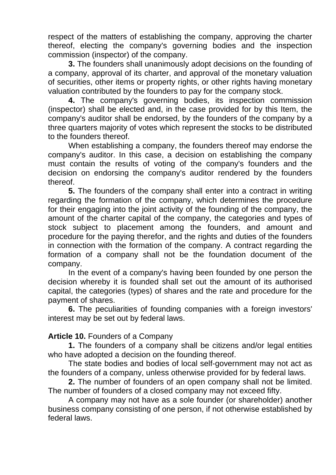respect of the matters of establishing the company, approving the charter thereof, electing the company's governing bodies and the inspection commission (inspector) of the company.

**3.** The founders shall unanimously adopt decisions on the founding of a company, approval of its charter, and approval of the monetary valuation of securities, other items or property rights, or other rights having monetary valuation contributed by the founders to pay for the company stock.

**4.** The company's governing bodies, its inspection commission (inspector) shall be elected and, in the case provided for by this Item, the company's auditor shall be endorsed, by the founders of the company by a three quarters majority of votes which represent the stocks to be distributed to the founders thereof.

When establishing a company, the founders thereof may endorse the company's auditor. In this case, a decision on establishing the company must contain the results of voting of the company's founders and the decision on endorsing the company's auditor rendered by the founders thereof.

**5.** The founders of the company shall enter into a contract in writing regarding the formation of the company, which determines the procedure for their engaging into the joint activity of the founding of the company, the amount of the charter capital of the company, the categories and types of stock subject to placement among the founders, and amount and procedure for the paying therefor, and the rights and duties of the founders in connection with the formation of the company. A contract regarding the formation of a company shall not be the foundation document of the company.

In the event of a company's having been founded by one person the decision whereby it is founded shall set out the amount of its authorised capital, the categories (types) of shares and the rate and procedure for the payment of shares.

**6.** The peculiarities of founding companies with a foreign investors' interest may be set out by federal laws.

## **Article 10.** Founders of a Company

**1.** The founders of a company shall be citizens and/or legal entities who have adopted a decision on the founding thereof.

The state bodies and bodies of local self-government may not act as the founders of a company, unless otherwise provided for by federal laws.

**2.** The number of founders of an open company shall not be limited. The number of founders of a closed company may not exceed fifty.

A company may not have as a sole founder (or shareholder) another business company consisting of one person, if not otherwise established by federal laws.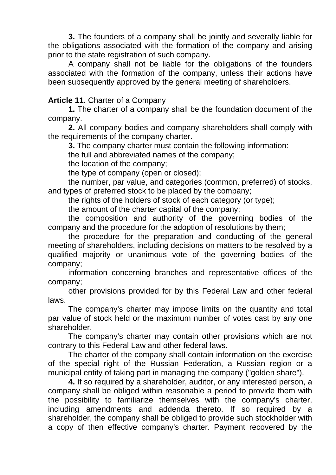**3.** The founders of a company shall be jointly and severally liable for the obligations associated with the formation of the company and arising prior to the state registration of such company.

A company shall not be liable for the obligations of the founders associated with the formation of the company, unless their actions have been subsequently approved by the general meeting of shareholders.

## **Article 11.** Charter of a Company

**1.** The charter of a company shall be the foundation document of the company.

**2.** All company bodies and company shareholders shall comply with the requirements of the company charter.

**3.** The company charter must contain the following information:

the full and abbreviated names of the company;

the location of the company;

the type of company (open or closed);

the number, par value, and categories (common, preferred) of stocks, and types of preferred stock to be placed by the company;

the rights of the holders of stock of each category (or type);

the amount of the charter capital of the company;

the composition and authority of the governing bodies of the company and the procedure for the adoption of resolutions by them;

the procedure for the preparation and conducting of the general meeting of shareholders, including decisions on matters to be resolved by a qualified majority or unanimous vote of the governing bodies of the company;

information concerning branches and representative offices of the company;

other provisions provided for by this Federal Law and other federal laws.

The company's charter may impose limits on the quantity and total par value of stock held or the maximum number of votes cast by any one shareholder.

The company's charter may contain other provisions which are not contrary to this Federal Law and other federal laws.

The charter of the company shall contain information on the exercise of the special right of the Russian Federation, a Russian region or a municipal entity of taking part in managing the company ("golden share").

**4.** If so required by a shareholder, auditor, or any interested person, a company shall be obliged within reasonable a period to provide them with the possibility to familiarize themselves with the company's charter, including amendments and addenda thereto. If so required by a shareholder, the company shall be obliged to provide such stockholder with a copy of then effective company's charter. Payment recovered by the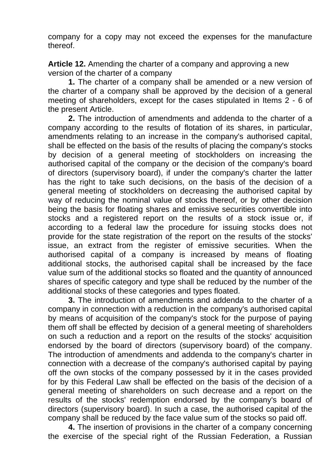company for a copy may not exceed the expenses for the manufacture thereof.

**Article 12.** Amending the charter of a company and approving a new version of the charter of a company

**1.** The charter of a company shall be amended or a new version of the charter of a company shall be approved by the decision of a general meeting of shareholders, except for the cases stipulated in Items 2 - 6 of the present Article.

**2.** The introduction of amendments and addenda to the charter of a company according to the results of flotation of its shares, in particular, amendments relating to an increase in the company's authorised capital, shall be effected on the basis of the results of placing the company's stocks by decision of a general meeting of stockholders on increasing the authorised capital of the company or the decision of the company's board of directors (supervisory board), if under the company's charter the latter has the right to take such decisions, on the basis of the decision of a general meeting of stockholders on decreasing the authorised capital by way of reducing the nominal value of stocks thereof, or by other decision being the basis for floating shares and emissive securities convertible into stocks and a registered report on the results of a stock issue or, if according to a federal law the procedure for issuing stocks does not provide for the state registration of the report on the results of the stocks' issue, an extract from the register of emissive securities. When the authorised capital of a company is increased by means of floating additional stocks, the authorised capital shall be increased by the face value sum of the additional stocks so floated and the quantity of announced shares of specific category and type shall be reduced by the number of the additional stocks of these categories and types floated.

**3.** The introduction of amendments and addenda to the charter of a company in connection with a reduction in the company's authorised capital by means of acquisition of the company's stock for the purpose of paying them off shall be effected by decision of a general meeting of shareholders on such a reduction and a report on the results of the stocks' acquisition endorsed by the board of directors (supervisory board) of the company. The introduction of amendments and addenda to the company's charter in connection with a decrease of the company's authorised capital by paying off the own stocks of the company possessed by it in the cases provided for by this Federal Law shall be effected on the basis of the decision of a general meeting of shareholders on such decrease and a report on the results of the stocks' redemption endorsed by the company's board of directors (supervisory board). In such a case, the authorised capital of the company shall be reduced by the face value sum of the stocks so paid off.

**4.** The insertion of provisions in the charter of a company concerning the exercise of the special right of the Russian Federation, a Russian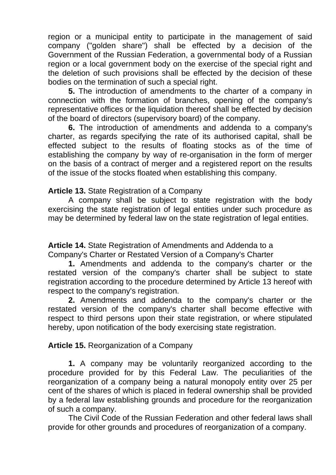region or a municipal entity to participate in the management of said company ("golden share") shall be effected by a decision of the Government of the Russian Federation, a governmental body of a Russian region or a local government body on the exercise of the special right and the deletion of such provisions shall be effected by the decision of these bodies on the termination of such a special right.

**5.** The introduction of amendments to the charter of a company in connection with the formation of branches, opening of the company's representative offices or the liquidation thereof shall be effected by decision of the board of directors (supervisory board) of the company.

**6.** The introduction of amendments and addenda to a company's charter, as regards specifying the rate of its authorised capital, shall be effected subject to the results of floating stocks as of the time of establishing the company by way of re-organisation in the form of merger on the basis of a contract of merger and a registered report on the results of the issue of the stocks floated when establishing this company.

**Article 13.** State Registration of a Company

A company shall be subject to state registration with the body exercising the state registration of legal entities under such procedure as may be determined by federal law on the state registration of legal entities.

**Article 14.** State Registration of Amendments and Addenda to a Company's Charter or Restated Version of a Company's Charter

**1.** Amendments and addenda to the company's charter or the restated version of the company's charter shall be subject to state registration according to the procedure determined by Article 13 hereof with respect to the company's registration.

**2.** Amendments and addenda to the company's charter or the restated version of the company's charter shall become effective with respect to third persons upon their state registration, or where stipulated hereby, upon notification of the body exercising state registration.

**Article 15.** Reorganization of a Company

**1.** A company may be voluntarily reorganized according to the procedure provided for by this Federal Law. The peculiarities of the reorganization of a company being a natural monopoly entity over 25 per cent of the shares of which is placed in federal ownership shall be provided by a federal law establishing grounds and procedure for the reorganization of such a company.

The Civil Code of the Russian Federation and other federal laws shall provide for other grounds and procedures of reorganization of a company.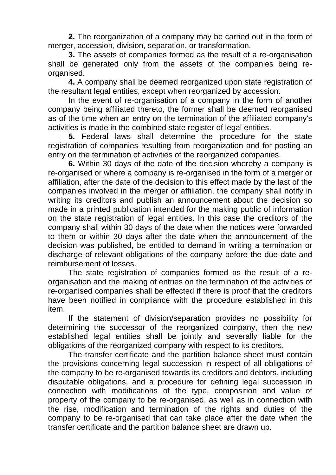**2.** The reorganization of a company may be carried out in the form of merger, accession, division, separation, or transformation.

**3.** The assets of companies formed as the result of a re-organisation shall be generated only from the assets of the companies being reorganised.

**4.** A company shall be deemed reorganized upon state registration of the resultant legal entities, except when reorganized by accession.

In the event of re-organisation of a company in the form of another company being affiliated thereto, the former shall be deemed reorganised as of the time when an entry on the termination of the affiliated company's activities is made in the combined state register of legal entities.

**5.** Federal laws shall determine the procedure for the state registration of companies resulting from reorganization and for posting an entry on the termination of activities of the reorganized companies.

**6.** Within 30 days of the date of the decision whereby a company is re-organised or where a company is re-organised in the form of a merger or affiliation, after the date of the decision to this effect made by the last of the companies involved in the merger or affiliation, the company shall notify in writing its creditors and publish an announcement about the decision so made in a printed publication intended for the making public of information on the state registration of legal entities. In this case the creditors of the company shall within 30 days of the date when the notices were forwarded to them or within 30 days after the date when the announcement of the decision was published, be entitled to demand in writing a termination or discharge of relevant obligations of the company before the due date and reimbursement of losses.

The state registration of companies formed as the result of a reorganisation and the making of entries on the termination of the activities of re-organised companies shall be effected if there is proof that the creditors have been notified in compliance with the procedure established in this item.

If the statement of division/separation provides no possibility for determining the successor of the reorganized company, then the new established legal entities shall be jointly and severally liable for the obligations of the reorganized company with respect to its creditors.

The transfer certificate and the partition balance sheet must contain the provisions concerning legal succession in respect of all obligations of the company to be re-organised towards its creditors and debtors, including disputable obligations, and a procedure for defining legal succession in connection with modifications of the type, composition and value of property of the company to be re-organised, as well as in connection with the rise, modification and termination of the rights and duties of the company to be re-organised that can take place after the date when the transfer certificate and the partition balance sheet are drawn up.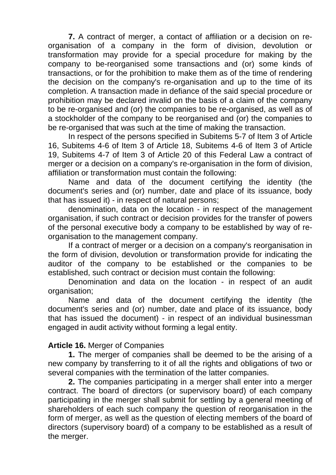**7.** A contract of merger, a contact of affiliation or a decision on reorganisation of a company in the form of division, devolution or transformation may provide for a special procedure for making by the company to be-reorganised some transactions and (or) some kinds of transactions, or for the prohibition to make them as of the time of rendering the decision on the company's re-organisation and up to the time of its completion. A transaction made in defiance of the said special procedure or prohibition may be declared invalid on the basis of a claim of the company to be re-organised and (or) the companies to be re-organised, as well as of a stockholder of the company to be reorganised and (or) the companies to be re-organised that was such at the time of making the transaction.

In respect of the persons specified in Subitems 5-7 of Item 3 of Article 16, Subitems 4-6 of Item 3 of Article 18, Subitems 4-6 of Item 3 of Article 19, Subitems 4-7 of Item 3 of Article 20 of this Federal Law a contract of merger or a decision on a company's re-organisation in the form of division, affiliation or transformation must contain the following:

Name and data of the document certifying the identity (the document's series and (or) number, date and place of its issuance, body that has issued it) - in respect of natural persons;

denomination, data on the location - in respect of the management organisation, if such contract or decision provides for the transfer of powers of the personal executive body a company to be established by way of reorganisation to the management company.

If a contract of merger or a decision on a company's reorganisation in the form of division, devolution or transformation provide for indicating the auditor of the company to be established or the companies to be established, such contract or decision must contain the following:

Denomination and data on the location - in respect of an audit organisation;

Name and data of the document certifying the identity (the document's series and (or) number, date and place of its issuance, body that has issued the document) - in respect of an individual businessman engaged in audit activity without forming a legal entity.

## **Article 16.** Merger of Companies

**1.** The merger of companies shall be deemed to be the arising of a new company by transferring to it of all the rights and obligations of two or several companies with the termination of the latter companies.

**2.** The companies participating in a merger shall enter into a merger contract. The board of directors (or supervisory board) of each company participating in the merger shall submit for settling by a general meeting of shareholders of each such company the question of reorganisation in the form of merger, as well as the question of electing members of the board of directors (supervisory board) of a company to be established as a result of the merger.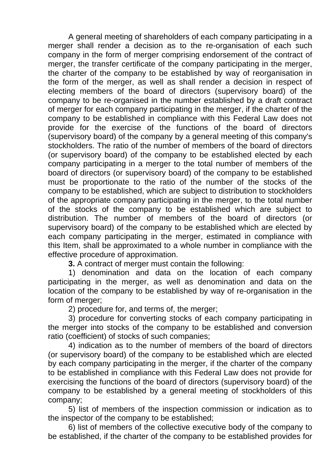A general meeting of shareholders of each company participating in a merger shall render a decision as to the re-organisation of each such company in the form of merger comprising endorsement of the contract of merger, the transfer certificate of the company participating in the merger, the charter of the company to be established by way of reorganisation in the form of the merger, as well as shall render a decision in respect of electing members of the board of directors (supervisory board) of the company to be re-organised in the number established by a draft contract of merger for each company participating in the merger, if the charter of the company to be established in compliance with this Federal Law does not provide for the exercise of the functions of the board of directors (supervisory board) of the company by a general meeting of this company's stockholders. The ratio of the number of members of the board of directors (or supervisory board) of the company to be established elected by each company participating in a merger to the total number of members of the board of directors (or supervisory board) of the company to be established must be proportionate to the ratio of the number of the stocks of the company to be established, which are subject to distribution to stockholders of the appropriate company participating in the merger, to the total number of the stocks of the company to be established which are subject to distribution. The number of members of the board of directors (or supervisory board) of the company to be established which are elected by each company participating in the merger, estimated in compliance with this Item, shall be approximated to a whole number in compliance with the effective procedure of approximation.

**3.** A contract of merger must contain the following:

1) denomination and data on the location of each company participating in the merger, as well as denomination and data on the location of the company to be established by way of re-organisation in the form of merger:

2) procedure for, and terms of, the merger;

3) procedure for converting stocks of each company participating in the merger into stocks of the company to be established and conversion ratio (coefficient) of stocks of such companies;

4) indication as to the number of members of the board of directors (or supervisory board) of the company to be established which are elected by each company participating in the merger, if the charter of the company to be established in compliance with this Federal Law does not provide for exercising the functions of the board of directors (supervisory board) of the company to be established by a general meeting of stockholders of this company;

5) list of members of the inspection commission or indication as to the inspector of the company to be established;

6) list of members of the collective executive body of the company to be established, if the charter of the company to be established provides for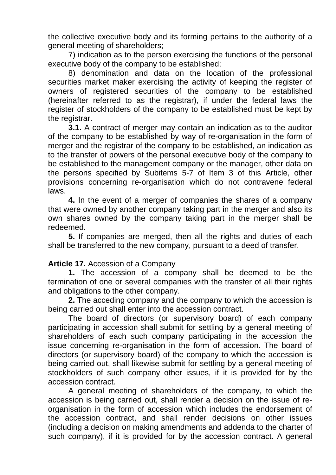the collective executive body and its forming pertains to the authority of a general meeting of shareholders;

7) indication as to the person exercising the functions of the personal executive body of the company to be established;

8) denomination and data on the location of the professional securities market maker exercising the activity of keeping the register of owners of registered securities of the company to be established (hereinafter referred to as the registrar), if under the federal laws the register of stockholders of the company to be established must be kept by the registrar.

**3.1.** A contract of merger may contain an indication as to the auditor of the company to be established by way of re-organisation in the form of merger and the registrar of the company to be established, an indication as to the transfer of powers of the personal executive body of the company to be established to the management company or the manager, other data on the persons specified by Subitems 5-7 of Item 3 of this Article, other provisions concerning re-organisation which do not contravene federal laws.

**4.** In the event of a merger of companies the shares of a company that were owned by another company taking part in the merger and also its own shares owned by the company taking part in the merger shall be redeemed.

**5.** If companies are merged, then all the rights and duties of each shall be transferred to the new company, pursuant to a deed of transfer.

## **Article 17.** Accession of a Company

**1.** The accession of a company shall be deemed to be the termination of one or several companies with the transfer of all their rights and obligations to the other company.

**2.** The acceding company and the company to which the accession is being carried out shall enter into the accession contract.

The board of directors (or supervisory board) of each company participating in accession shall submit for settling by a general meeting of shareholders of each such company participating in the accession the issue concerning re-organisation in the form of accession. The board of directors (or supervisory board) of the company to which the accession is being carried out, shall likewise submit for settling by a general meeting of stockholders of such company other issues, if it is provided for by the accession contract.

A general meeting of shareholders of the company, to which the accession is being carried out, shall render a decision on the issue of reorganisation in the form of accession which includes the endorsement of the accession contract, and shall render decisions on other issues (including a decision on making amendments and addenda to the charter of such company), if it is provided for by the accession contract. A general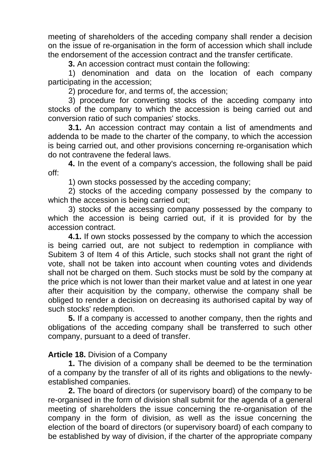meeting of shareholders of the acceding company shall render a decision on the issue of re-organisation in the form of accession which shall include the endorsement of the accession contract and the transfer certificate.

**3.** An accession contract must contain the following:

1) denomination and data on the location of each company participating in the accession;

2) procedure for, and terms of, the accession;

3) procedure for converting stocks of the acceding company into stocks of the company to which the accession is being carried out and conversion ratio of such companies' stocks.

**3.1.** An accession contract may contain a list of amendments and addenda to be made to the charter of the company, to which the accession is being carried out, and other provisions concerning re-organisation which do not contravene the federal laws.

**4.** In the event of a company's accession, the following shall be paid off:

1) own stocks possessed by the acceding company;

2) stocks of the acceding company possessed by the company to which the accession is being carried out;

3) stocks of the accessing company possessed by the company to which the accession is being carried out, if it is provided for by the accession contract.

**4.1.** If own stocks possessed by the company to which the accession is being carried out, are not subject to redemption in compliance with Subitem 3 of Item 4 of this Article, such stocks shall not grant the right of vote, shall not be taken into account when counting votes and dividends shall not be charged on them. Such stocks must be sold by the company at the price which is not lower than their market value and at latest in one year after their acquisition by the company, otherwise the company shall be obliged to render a decision on decreasing its authorised capital by way of such stocks' redemption.

**5.** If a company is accessed to another company, then the rights and obligations of the acceding company shall be transferred to such other company, pursuant to a deed of transfer.

#### **Article 18.** Division of a Company

**1.** The division of a company shall be deemed to be the termination of a company by the transfer of all of its rights and obligations to the newlyestablished companies.

**2.** The board of directors (or supervisory board) of the company to be re-organised in the form of division shall submit for the agenda of a general meeting of shareholders the issue concerning the re-organisation of the company in the form of division, as well as the issue concerning the election of the board of directors (or supervisory board) of each company to be established by way of division, if the charter of the appropriate company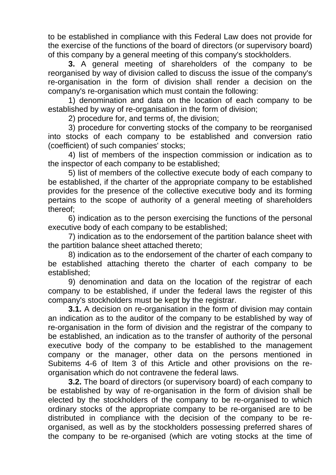to be established in compliance with this Federal Law does not provide for the exercise of the functions of the board of directors (or supervisory board) of this company by a general meeting of this company's stockholders.

**3.** A general meeting of shareholders of the company to be reorganised by way of division called to discuss the issue of the company's re-organisation in the form of division shall render a decision on the company's re-organisation which must contain the following:

1) denomination and data on the location of each company to be established by way of re-organisation in the form of division;

2) procedure for, and terms of, the division;

3) procedure for converting stocks of the company to be reorganised into stocks of each company to be established and conversion ratio (coefficient) of such companies' stocks;

4) list of members of the inspection commission or indication as to the inspector of each company to be established;

5) list of members of the collective execute body of each company to be established, if the charter of the appropriate company to be established provides for the presence of the collective executive body and its forming pertains to the scope of authority of a general meeting of shareholders thereof;

6) indication as to the person exercising the functions of the personal executive body of each company to be established;

7) indication as to the endorsement of the partition balance sheet with the partition balance sheet attached thereto;

8) indication as to the endorsement of the charter of each company to be established attaching thereto the charter of each company to be established;

9) denomination and data on the location of the registrar of each company to be established, if under the federal laws the register of this company's stockholders must be kept by the registrar.

**3.1.** A decision on re-organisation in the form of division may contain an indication as to the auditor of the company to be established by way of re-organisation in the form of division and the registrar of the company to be established, an indication as to the transfer of authority of the personal executive body of the company to be established to the management company or the manager, other data on the persons mentioned in Subitems 4-6 of Item 3 of this Article and other provisions on the reorganisation which do not contravene the federal laws.

**3.2.** The board of directors (or supervisory board) of each company to be established by way of re-organisation in the form of division shall be elected by the stockholders of the company to be re-organised to which ordinary stocks of the appropriate company to be re-organised are to be distributed in compliance with the decision of the company to be reorganised, as well as by the stockholders possessing preferred shares of the company to be re-organised (which are voting stocks at the time of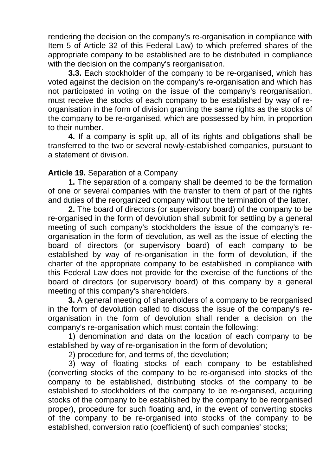rendering the decision on the company's re-organisation in compliance with Item 5 of Article 32 of this Federal Law) to which preferred shares of the appropriate company to be established are to be distributed in compliance with the decision on the company's reorganisation.

**3.3.** Each stockholder of the company to be re-organised, which has voted against the decision on the company's re-organisation and which has not participated in voting on the issue of the company's reorganisation, must receive the stocks of each company to be established by way of reorganisation in the form of division granting the same rights as the stocks of the company to be re-organised, which are possessed by him, in proportion to their number.

**4.** If a company is split up, all of its rights and obligations shall be transferred to the two or several newly-established companies, pursuant to a statement of division.

# **Article 19.** Separation of a Company

**1.** The separation of a company shall be deemed to be the formation of one or several companies with the transfer to them of part of the rights and duties of the reorganized company without the termination of the latter.

**2.** The board of directors (or supervisory board) of the company to be re-organised in the form of devolution shall submit for settling by a general meeting of such company's stockholders the issue of the company's reorganisation in the form of devolution, as well as the issue of electing the board of directors (or supervisory board) of each company to be established by way of re-organisation in the form of devolution, if the charter of the appropriate company to be established in compliance with this Federal Law does not provide for the exercise of the functions of the board of directors (or supervisory board) of this company by a general meeting of this company's shareholders.

**3.** A general meeting of shareholders of a company to be reorganised in the form of devolution called to discuss the issue of the company's reorganisation in the form of devolution shall render a decision on the company's re-organisation which must contain the following:

1) denomination and data on the location of each company to be established by way of re-organisation in the form of devolution;

2) procedure for, and terms of, the devolution;

3) way of floating stocks of each company to be established (converting stocks of the company to be re-organised into stocks of the company to be established, distributing stocks of the company to be established to stockholders of the company to be re-organised, acquiring stocks of the company to be established by the company to be reorganised proper), procedure for such floating and, in the event of converting stocks of the company to be re-organised into stocks of the company to be established, conversion ratio (coefficient) of such companies' stocks;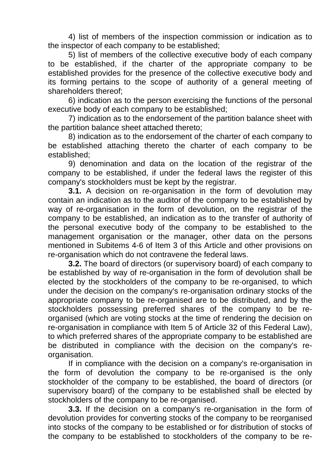4) list of members of the inspection commission or indication as to the inspector of each company to be established;

5) list of members of the collective executive body of each company to be established, if the charter of the appropriate company to be established provides for the presence of the collective executive body and its forming pertains to the scope of authority of a general meeting of shareholders thereof;

6) indication as to the person exercising the functions of the personal executive body of each company to be established;

7) indication as to the endorsement of the partition balance sheet with the partition balance sheet attached thereto;

8) indication as to the endorsement of the charter of each company to be established attaching thereto the charter of each company to be established;

9) denomination and data on the location of the registrar of the company to be established, if under the federal laws the register of this company's stockholders must be kept by the registrar.

**3.1.** A decision on re-organisation in the form of devolution may contain an indication as to the auditor of the company to be established by way of re-organisation in the form of devolution, on the registrar of the company to be established, an indication as to the transfer of authority of the personal executive body of the company to be established to the management organisation or the manager, other data on the persons mentioned in Subitems 4-6 of Item 3 of this Article and other provisions on re-organisation which do not contravene the federal laws.

**3.2.** The board of directors (or supervisory board) of each company to be established by way of re-organisation in the form of devolution shall be elected by the stockholders of the company to be re-organised, to which under the decision on the company's re-organisation ordinary stocks of the appropriate company to be re-organised are to be distributed, and by the stockholders possessing preferred shares of the company to be reorganised (which are voting stocks at the time of rendering the decision on re-organisation in compliance with Item 5 of Article 32 of this Federal Law), to which preferred shares of the appropriate company to be established are be distributed in compliance with the decision on the company's reorganisation.

If in compliance with the decision on a company's re-organisation in the form of devolution the company to be re-organised is the only stockholder of the company to be established, the board of directors (or supervisory board) of the company to be established shall be elected by stockholders of the company to be re-organised.

**3.3.** If the decision on a company's re-organisation in the form of devolution provides for converting stocks of the company to be reorganised into stocks of the company to be established or for distribution of stocks of the company to be established to stockholders of the company to be re-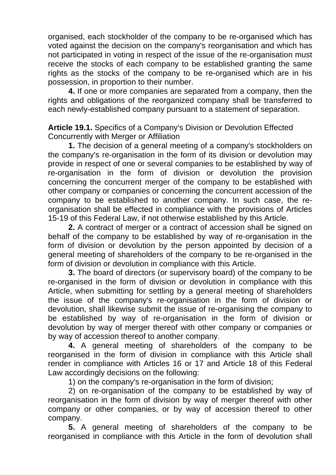organised, each stockholder of the company to be re-organised which has voted against the decision on the company's reorganisation and which has not participated in voting in respect of the issue of the re-organisation must receive the stocks of each company to be established granting the same rights as the stocks of the company to be re-organised which are in his possession, in proportion to their number.

**4.** If one or more companies are separated from a company, then the rights and obligations of the reorganized company shall be transferred to each newly-established company pursuant to a statement of separation.

**Article 19.1.** Specifics of a Company's Division or Devolution Effected Concurrently with Merger or Affiliation

**1.** The decision of a general meeting of a company's stockholders on the company's re-organisation in the form of its division or devolution may provide in respect of one or several companies to be established by way of re-organisation in the form of division or devolution the provision concerning the concurrent merger of the company to be established with other company or companies or concerning the concurrent accession of the company to be established to another company. In such case, the reorganisation shall be effected in compliance with the provisions of Articles 15-19 of this Federal Law, if not otherwise established by this Article.

**2.** A contract of merger or a contract of accession shall be signed on behalf of the company to be established by way of re-organisation in the form of division or devolution by the person appointed by decision of a general meeting of shareholders of the company to be re-organised in the form of division or devolution in compliance with this Article.

**3.** The board of directors (or supervisory board) of the company to be re-organised in the form of division or devolution in compliance with this Article, when submitting for settling by a general meeting of shareholders the issue of the company's re-organisation in the form of division or devolution, shall likewise submit the issue of re-organising the company to be established by way of re-organisation in the form of division or devolution by way of merger thereof with other company or companies or by way of accession thereof to another company.

**4.** A general meeting of shareholders of the company to be reorganised in the form of division in compliance with this Article shall render in compliance with Articles 16 or 17 and Article 18 of this Federal Law accordingly decisions on the following:

1) on the company's re-organisation in the form of division;

2) on re-organisation of the company to be established by way of reorganisation in the form of division by way of merger thereof with other company or other companies, or by way of accession thereof to other company.

**5.** A general meeting of shareholders of the company to be reorganised in compliance with this Article in the form of devolution shall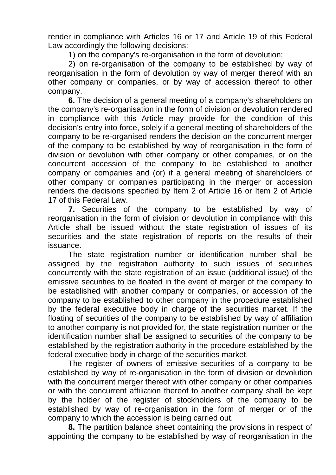render in compliance with Articles 16 or 17 and Article 19 of this Federal Law accordingly the following decisions:

1) on the company's re-organisation in the form of devolution;

2) on re-organisation of the company to be established by way of reorganisation in the form of devolution by way of merger thereof with an other company or companies, or by way of accession thereof to other company.

**6.** The decision of a general meeting of a company's shareholders on the company's re-organisation in the form of division or devolution rendered in compliance with this Article may provide for the condition of this decision's entry into force, solely if a general meeting of shareholders of the company to be re-organised renders the decision on the concurrent merger of the company to be established by way of reorganisation in the form of division or devolution with other company or other companies, or on the concurrent accession of the company to be established to another company or companies and (or) if a general meeting of shareholders of other company or companies participating in the merger or accession renders the decisions specified by Item 2 of Article 16 or Item 2 of Article 17 of this Federal Law.

**7.** Securities of the company to be established by way of reorganisation in the form of division or devolution in compliance with this Article shall be issued without the state registration of issues of its securities and the state registration of reports on the results of their issuance.

The state registration number or identification number shall be assigned by the registration authority to such issues of securities concurrently with the state registration of an issue (additional issue) of the emissive securities to be floated in the event of merger of the company to be established with another company or companies, or accession of the company to be established to other company in the procedure established by the federal executive body in charge of the securities market. If the floating of securities of the company to be established by way of affiliation to another company is not provided for, the state registration number or the identification number shall be assigned to securities of the company to be established by the registration authority in the procedure established by the federal executive body in charge of the securities market.

The register of owners of emissive securities of a company to be established by way of re-organisation in the form of division or devolution with the concurrent merger thereof with other company or other companies or with the concurrent affiliation thereof to another company shall be kept by the holder of the register of stockholders of the company to be established by way of re-organisation in the form of merger or of the company to which the accession is being carried out.

**8.** The partition balance sheet containing the provisions in respect of appointing the company to be established by way of reorganisation in the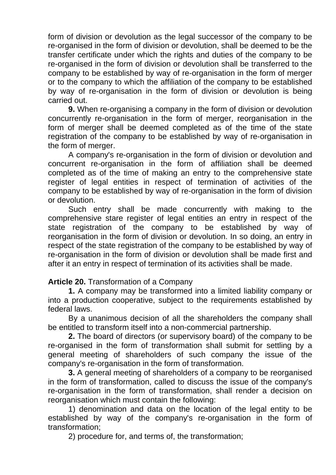form of division or devolution as the legal successor of the company to be re-organised in the form of division or devolution, shall be deemed to be the transfer certificate under which the rights and duties of the company to be re-organised in the form of division or devolution shall be transferred to the company to be established by way of re-organisation in the form of merger or to the company to which the affiliation of the company to be established by way of re-organisation in the form of division or devolution is being carried out.

**9.** When re-organising a company in the form of division or devolution concurrently re-organisation in the form of merger, reorganisation in the form of merger shall be deemed completed as of the time of the state registration of the company to be established by way of re-organisation in the form of merger.

A company's re-organisation in the form of division or devolution and concurrent re-organisation in the form of affiliation shall be deemed completed as of the time of making an entry to the comprehensive state register of legal entities in respect of termination of activities of the company to be established by way of re-organisation in the form of division or devolution.

Such entry shall be made concurrently with making to the comprehensive stare register of legal entities an entry in respect of the state registration of the company to be established by way of reorganisation in the form of division or devolution. In so doing, an entry in respect of the state registration of the company to be established by way of re-organisation in the form of division or devolution shall be made first and after it an entry in respect of termination of its activities shall be made.

## **Article 20.** Transformation of a Company

**1.** A company may be transformed into a limited liability company or into a production cooperative, subject to the requirements established by federal laws.

By a unanimous decision of all the shareholders the company shall be entitled to transform itself into a non-commercial partnership.

**2.** The board of directors (or supervisory board) of the company to be re-organised in the form of transformation shall submit for settling by a general meeting of shareholders of such company the issue of the company's re-organisation in the form of transformation.

**3.** A general meeting of shareholders of a company to be reorganised in the form of transformation, called to discuss the issue of the company's re-organisation in the form of transformation, shall render a decision on reorganisation which must contain the following:

1) denomination and data on the location of the legal entity to be established by way of the company's re-organisation in the form of transformation;

2) procedure for, and terms of, the transformation;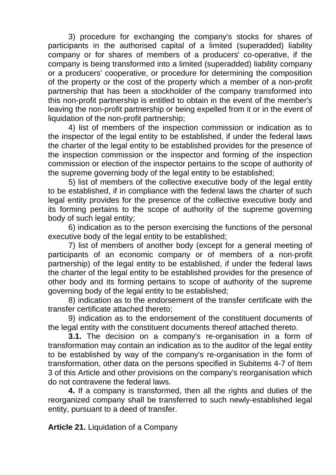3) procedure for exchanging the company's stocks for shares of participants in the authorised capital of a limited (superadded) liability company or for shares of members of a producers' co-operative, if the company is being transformed into a limited (superadded) liability company or a producers' cooperative, or procedure for determining the composition of the property or the cost of the property which a member of a non-profit partnership that has been a stockholder of the company transformed into this non-profit partnership is entitled to obtain in the event of the member's leaving the non-profit partnership or being expelled from it or in the event of liquidation of the non-profit partnership;

4) list of members of the inspection commission or indication as to the inspector of the legal entity to be established, if under the federal laws the charter of the legal entity to be established provides for the presence of the inspection commission or the inspector and forming of the inspection commission or election of the inspector pertains to the scope of authority of the supreme governing body of the legal entity to be established;

5) list of members of the collective executive body of the legal entity to be established, if in compliance with the federal laws the charter of such legal entity provides for the presence of the collective executive body and its forming pertains to the scope of authority of the supreme governing body of such legal entity;

6) indication as to the person exercising the functions of the personal executive body of the legal entity to be established;

7) list of members of another body (except for a general meeting of participants of an economic company or of members of a non-profit partnership) of the legal entity to be established, if under the federal laws the charter of the legal entity to be established provides for the presence of other body and its forming pertains to scope of authority of the supreme governing body of the legal entity to be established;

8) indication as to the endorsement of the transfer certificate with the transfer certificate attached thereto;

9) indication as to the endorsement of the constituent documents of the legal entity with the constituent documents thereof attached thereto.

**3.1.** The decision on a company's re-organisation in a form of transformation may contain an indication as to the auditor of the legal entity to be established by way of the company's re-organisation in the form of transformation, other data on the persons specified in Subitems 4-7 of Item 3 of this Article and other provisions on the company's reorganisation which do not contravene the federal laws.

**4.** If a company is transformed, then all the rights and duties of the reorganized company shall be transferred to such newly-established legal entity, pursuant to a deed of transfer.

**Article 21.** Liquidation of a Company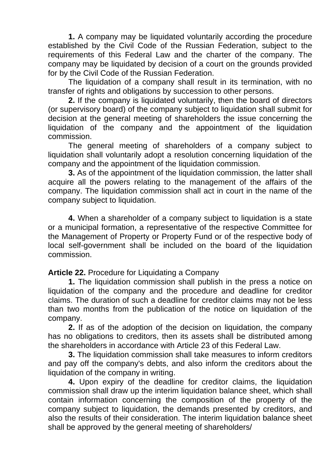**1.** A company may be liquidated voluntarily according the procedure established by the Civil Code of the Russian Federation, subject to the requirements of this Federal Law and the charter of the company. The company may be liquidated by decision of a court on the grounds provided for by the Civil Code of the Russian Federation.

The liquidation of a company shall result in its termination, with no transfer of rights and obligations by succession to other persons.

**2.** If the company is liquidated voluntarily, then the board of directors (or supervisory board) of the company subject to liquidation shall submit for decision at the general meeting of shareholders the issue concerning the liquidation of the company and the appointment of the liquidation commission.

The general meeting of shareholders of a company subject to liquidation shall voluntarily adopt a resolution concerning liquidation of the company and the appointment of the liquidation commission.

**3.** As of the appointment of the liquidation commission, the latter shall acquire all the powers relating to the management of the affairs of the company. The liquidation commission shall act in court in the name of the company subject to liquidation.

**4.** When a shareholder of a company subject to liquidation is a state or a municipal formation, a representative of the respective Committee for the Management of Property or Property Fund or of the respective body of local self-government shall be included on the board of the liquidation commission.

#### **Article 22.** Procedure for Liquidating a Company

**1.** The liquidation commission shall publish in the press a notice on liquidation of the company and the procedure and deadline for creditor claims. The duration of such a deadline for creditor claims may not be less than two months from the publication of the notice on liquidation of the company.

**2.** If as of the adoption of the decision on liquidation, the company has no obligations to creditors, then its assets shall be distributed among the shareholders in accordance with Article 23 of this Federal Law.

**3.** The liquidation commission shall take measures to inform creditors and pay off the company's debts, and also inform the creditors about the liquidation of the company in writing.

**4.** Upon expiry of the deadline for creditor claims, the liquidation commission shall draw up the interim liquidation balance sheet, which shall contain information concerning the composition of the property of the company subject to liquidation, the demands presented by creditors, and also the results of their consideration. The interim liquidation balance sheet shall be approved by the general meeting of shareholders/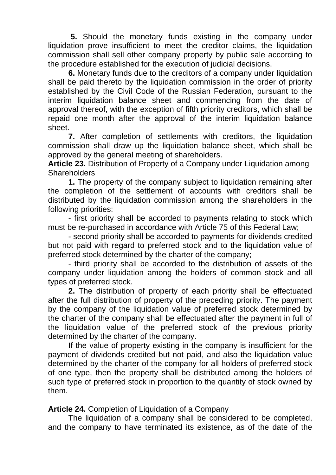**5.** Should the monetary funds existing in the company under liquidation prove insufficient to meet the creditor claims, the liquidation commission shall sell other company property by public sale according to the procedure established for the execution of judicial decisions.

**6.** Monetary funds due to the creditors of a company under liquidation shall be paid thereto by the liquidation commission in the order of priority established by the Civil Code of the Russian Federation, pursuant to the interim liquidation balance sheet and commencing from the date of approval thereof, with the exception of fifth priority creditors, which shall be repaid one month after the approval of the interim liquidation balance sheet.

**7.** After completion of settlements with creditors, the liquidation commission shall draw up the liquidation balance sheet, which shall be approved by the general meeting of shareholders.

**Article 23.** Distribution of Property of a Company under Liquidation among **Shareholders** 

**1.** The property of the company subject to liquidation remaining after the completion of the settlement of accounts with creditors shall be distributed by the liquidation commission among the shareholders in the following priorities:

- first priority shall be accorded to payments relating to stock which must be re-purchased in accordance with Article 75 of this Federal Law;

- second priority shall be accorded to payments for dividends credited but not paid with regard to preferred stock and to the liquidation value of preferred stock determined by the charter of the company;

- third priority shall be accorded to the distribution of assets of the company under liquidation among the holders of common stock and all types of preferred stock.

**2.** The distribution of property of each priority shall be effectuated after the full distribution of property of the preceding priority. The payment by the company of the liquidation value of preferred stock determined by the charter of the company shall be effectuated after the payment in full of the liquidation value of the preferred stock of the previous priority determined by the charter of the company.

If the value of property existing in the company is insufficient for the payment of dividends credited but not paid, and also the liquidation value determined by the charter of the company for all holders of preferred stock of one type, then the property shall be distributed among the holders of such type of preferred stock in proportion to the quantity of stock owned by them.

**Article 24.** Completion of Liquidation of a Company

The liquidation of a company shall be considered to be completed, and the company to have terminated its existence, as of the date of the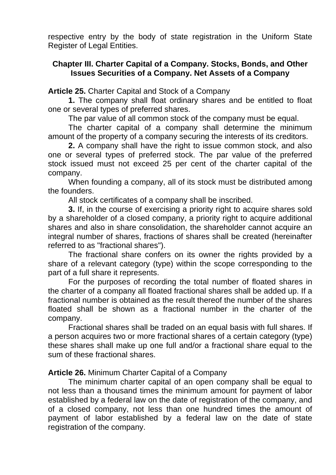respective entry by the body of state registration in the Uniform State Register of Legal Entities.

## **Chapter III. Charter Capital of a Company. Stocks, Bonds, and Other Issues Securities of a Company. Net Assets of a Company**

**Article 25.** Charter Capital and Stock of a Company

**1.** The company shall float ordinary shares and be entitled to float one or several types of preferred shares.

The par value of all common stock of the company must be equal.

The charter capital of a company shall determine the minimum amount of the property of a company securing the interests of its creditors.

**2.** A company shall have the right to issue common stock, and also one or several types of preferred stock. The par value of the preferred stock issued must not exceed 25 per cent of the charter capital of the company.

When founding a company, all of its stock must be distributed among the founders.

All stock certificates of a company shall be inscribed.

**3.** If, in the course of exercising a priority right to acquire shares sold by a shareholder of a closed company, a priority right to acquire additional shares and also in share consolidation, the shareholder cannot acquire an integral number of shares, fractions of shares shall be created (hereinafter referred to as "fractional shares").

The fractional share confers on its owner the rights provided by a share of a relevant category (type) within the scope corresponding to the part of a full share it represents.

For the purposes of recording the total number of floated shares in the charter of a company all floated fractional shares shall be added up. If a fractional number is obtained as the result thereof the number of the shares floated shall be shown as a fractional number in the charter of the company.

Fractional shares shall be traded on an equal basis with full shares. If a person acquires two or more fractional shares of a certain category (type) these shares shall make up one full and/or a fractional share equal to the sum of these fractional shares.

**Article 26.** Minimum Charter Capital of a Company

The minimum charter capital of an open company shall be equal to not less than a thousand times the minimum amount for payment of labor established by a federal law on the date of registration of the company, and of a closed company, not less than one hundred times the amount of payment of labor established by a federal law on the date of state registration of the company.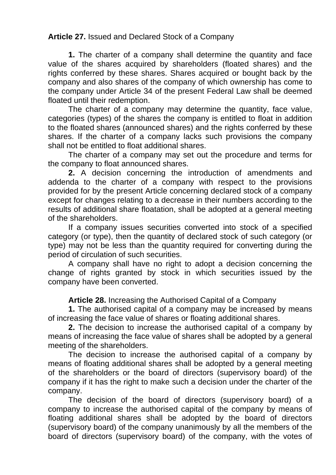# **Article 27.** Issued and Declared Stock of a Company

**1.** The charter of a company shall determine the quantity and face value of the shares acquired by shareholders (floated shares) and the rights conferred by these shares. Shares acquired or bought back by the company and also shares of the company of which ownership has come to the company under Article 34 of the present Federal Law shall be deemed floated until their redemption.

The charter of a company may determine the quantity, face value, categories (types) of the shares the company is entitled to float in addition to the floated shares (announced shares) and the rights conferred by these shares. If the charter of a company lacks such provisions the company shall not be entitled to float additional shares.

The charter of a company may set out the procedure and terms for the company to float announced shares.

**2.** A decision concerning the introduction of amendments and addenda to the charter of a company with respect to the provisions provided for by the present Article concerning declared stock of a company except for changes relating to a decrease in their numbers according to the results of additional share floatation, shall be adopted at a general meeting of the shareholders.

If a company issues securities converted into stock of a specified category (or type), then the quantity of declared stock of such category (or type) may not be less than the quantity required for converting during the period of circulation of such securities.

A company shall have no right to adopt a decision concerning the change of rights granted by stock in which securities issued by the company have been converted.

**Article 28.** Increasing the Authorised Capital of a Company

**1.** The authorised capital of a company may be increased by means of increasing the face value of shares or floating additional shares.

**2.** The decision to increase the authorised capital of a company by means of increasing the face value of shares shall be adopted by a general meeting of the shareholders.

The decision to increase the authorised capital of a company by means of floating additional shares shall be adopted by a general meeting of the shareholders or the board of directors (supervisory board) of the company if it has the right to make such a decision under the charter of the company.

The decision of the board of directors (supervisory board) of a company to increase the authorised capital of the company by means of floating additional shares shall be adopted by the board of directors (supervisory board) of the company unanimously by all the members of the board of directors (supervisory board) of the company, with the votes of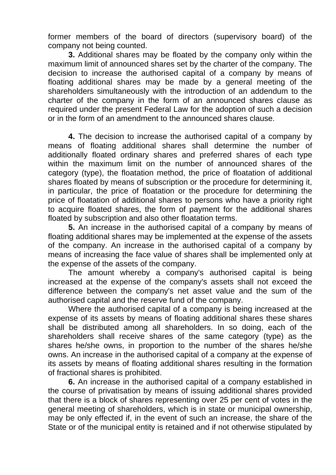former members of the board of directors (supervisory board) of the company not being counted.

**3.** Additional shares may be floated by the company only within the maximum limit of announced shares set by the charter of the company. The decision to increase the authorised capital of a company by means of floating additional shares may be made by a general meeting of the shareholders simultaneously with the introduction of an addendum to the charter of the company in the form of an announced shares clause as required under the present Federal Law for the adoption of such a decision or in the form of an amendment to the announced shares clause.

**4.** The decision to increase the authorised capital of a company by means of floating additional shares shall determine the number of additionally floated ordinary shares and preferred shares of each type within the maximum limit on the number of announced shares of the category (type), the floatation method, the price of floatation of additional shares floated by means of subscription or the procedure for determining it, in particular, the price of floatation or the procedure for determining the price of floatation of additional shares to persons who have a priority right to acquire floated shares, the form of payment for the additional shares floated by subscription and also other floatation terms.

**5.** An increase in the authorised capital of a company by means of floating additional shares may be implemented at the expense of the assets of the company. An increase in the authorised capital of a company by means of increasing the face value of shares shall be implemented only at the expense of the assets of the company.

The amount whereby a company's authorised capital is being increased at the expense of the company's assets shall not exceed the difference between the company's net asset value and the sum of the authorised capital and the reserve fund of the company.

Where the authorised capital of a company is being increased at the expense of its assets by means of floating additional shares these shares shall be distributed among all shareholders. In so doing, each of the shareholders shall receive shares of the same category (type) as the shares he/she owns, in proportion to the number of the shares he/she owns. An increase in the authorised capital of a company at the expense of its assets by means of floating additional shares resulting in the formation of fractional shares is prohibited.

**6.** An increase in the authorised capital of a company established in the course of privatisation by means of issuing additional shares provided that there is a block of shares representing over 25 per cent of votes in the general meeting of shareholders, which is in state or municipal ownership, may be only effected if, in the event of such an increase, the share of the State or of the municipal entity is retained and if not otherwise stipulated by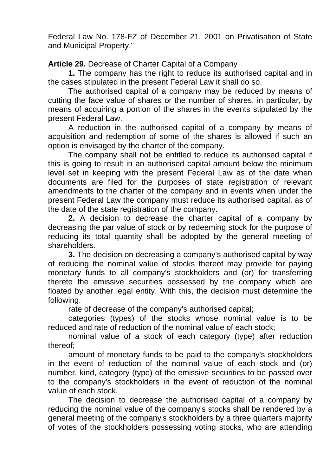Federal Law No. 178-FZ of December 21, 2001 on Privatisation of State and Municipal Property."

**Article 29.** Decrease of Charter Capital of a Company

**1.** The company has the right to reduce its authorised capital and in the cases stipulated in the present Federal Law it shall do so.

The authorised capital of a company may be reduced by means of cutting the face value of shares or the number of shares, in particular, by means of acquiring a portion of the shares in the events stipulated by the present Federal Law.

A reduction in the authorised capital of a company by means of acquisition and redemption of some of the shares is allowed if such an option is envisaged by the charter of the company.

The company shall not be entitled to reduce its authorised capital if this is going to result in an authorised capital amount below the minimum level set in keeping with the present Federal Law as of the date when documents are filed for the purposes of state registration of relevant amendments to the charter of the company and in events when under the present Federal Law the company must reduce its authorised capital, as of the date of the state registration of the company.

**2.** A decision to decrease the charter capital of a company by decreasing the par value of stock or by redeeming stock for the purpose of reducing its total quantity shall be adopted by the general meeting of shareholders.

**3.** The decision on decreasing a company's authorised capital by way of reducing the nominal value of stocks thereof may provide for paying monetary funds to all company's stockholders and (or) for transferring thereto the emissive securities possessed by the company which are floated by another legal entity. With this, the decision must determine the following:

rate of decrease of the company's authorised capital;

categories (types) of the stocks whose nominal value is to be reduced and rate of reduction of the nominal value of each stock;

nominal value of a stock of each category (type) after reduction thereof;

amount of monetary funds to be paid to the company's stockholders in the event of reduction of the nominal value of each stock and (or) number, kind, category (type) of the emissive securities to be passed over to the company's stockholders in the event of reduction of the nominal value of each stock.

The decision to decrease the authorised capital of a company by reducing the nominal value of the company's stocks shall be rendered by a general meeting of the company's stockholders by a three quarters majority of votes of the stockholders possessing voting stocks, who are attending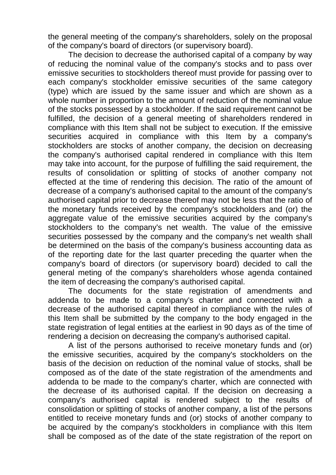the general meeting of the company's shareholders, solely on the proposal of the company's board of directors (or supervisory board).

The decision to decrease the authorised capital of a company by way of reducing the nominal value of the company's stocks and to pass over emissive securities to stockholders thereof must provide for passing over to each company's stockholder emissive securities of the same category (type) which are issued by the same issuer and which are shown as a whole number in proportion to the amount of reduction of the nominal value of the stocks possessed by a stockholder. If the said requirement cannot be fulfilled, the decision of a general meeting of shareholders rendered in compliance with this Item shall not be subject to execution. If the emissive securities acquired in compliance with this Item by a company's stockholders are stocks of another company, the decision on decreasing the company's authorised capital rendered in compliance with this Item may take into account, for the purpose of fulfilling the said requirement, the results of consolidation or splitting of stocks of another company not effected at the time of rendering this decision. The ratio of the amount of decrease of a company's authorised capital to the amount of the company's authorised capital prior to decrease thereof may not be less that the ratio of the monetary funds received by the company's stockholders and (or) the aggregate value of the emissive securities acquired by the company's stockholders to the company's net wealth. The value of the emissive securities possessed by the company and the company's net wealth shall be determined on the basis of the company's business accounting data as of the reporting date for the last quarter preceding the quarter when the company's board of directors (or supervisory board) decided to call the general meting of the company's shareholders whose agenda contained the item of decreasing the company's authorised capital.

The documents for the state registration of amendments and addenda to be made to a company's charter and connected with a decrease of the authorised capital thereof in compliance with the rules of this Item shall be submitted by the company to the body engaged in the state registration of legal entities at the earliest in 90 days as of the time of rendering a decision on decreasing the company's authorised capital.

A list of the persons authorised to receive monetary funds and (or) the emissive securities, acquired by the company's stockholders on the basis of the decision on reduction of the nominal value of stocks, shall be composed as of the date of the state registration of the amendments and addenda to be made to the company's charter, which are connected with the decrease of its authorised capital. If the decision on decreasing a company's authorised capital is rendered subject to the results of consolidation or splitting of stocks of another company, a list of the persons entitled to receive monetary funds and (or) stocks of another company to be acquired by the company's stockholders in compliance with this Item shall be composed as of the date of the state registration of the report on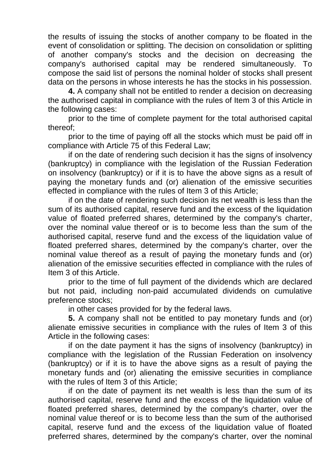the results of issuing the stocks of another company to be floated in the event of consolidation or splitting. The decision on consolidation or splitting of another company's stocks and the decision on decreasing the company's authorised capital may be rendered simultaneously. To compose the said list of persons the nominal holder of stocks shall present data on the persons in whose interests he has the stocks in his possession.

**4.** A company shall not be entitled to render a decision on decreasing the authorised capital in compliance with the rules of Item 3 of this Article in the following cases:

prior to the time of complete payment for the total authorised capital thereof;

prior to the time of paying off all the stocks which must be paid off in compliance with Article 75 of this Federal Law;

if on the date of rendering such decision it has the signs of insolvency (bankruptcy) in compliance with the legislation of the Russian Federation on insolvency (bankruptcy) or if it is to have the above signs as a result of paying the monetary funds and (or) alienation of the emissive securities effected in compliance with the rules of Item 3 of this Article;

if on the date of rendering such decision its net wealth is less than the sum of its authorised capital, reserve fund and the excess of the liquidation value of floated preferred shares, determined by the company's charter, over the nominal value thereof or is to become less than the sum of the authorised capital, reserve fund and the excess of the liquidation value of floated preferred shares, determined by the company's charter, over the nominal value thereof as a result of paying the monetary funds and (or) alienation of the emissive securities effected in compliance with the rules of Item 3 of this Article.

prior to the time of full payment of the dividends which are declared but not paid, including non-paid accumulated dividends on cumulative preference stocks;

in other cases provided for by the federal laws.

**5.** A company shall not be entitled to pay monetary funds and (or) alienate emissive securities in compliance with the rules of Item 3 of this Article in the following cases:

if on the date payment it has the signs of insolvency (bankruptcy) in compliance with the legislation of the Russian Federation on insolvency (bankruptcy) or if it is to have the above signs as a result of paying the monetary funds and (or) alienating the emissive securities in compliance with the rules of Item 3 of this Article;

if on the date of payment its net wealth is less than the sum of its authorised capital, reserve fund and the excess of the liquidation value of floated preferred shares, determined by the company's charter, over the nominal value thereof or is to become less than the sum of the authorised capital, reserve fund and the excess of the liquidation value of floated preferred shares, determined by the company's charter, over the nominal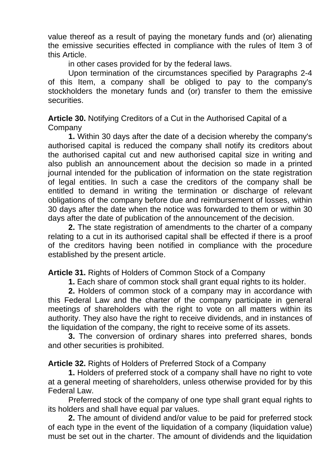value thereof as a result of paying the monetary funds and (or) alienating the emissive securities effected in compliance with the rules of Item 3 of this Article.

in other cases provided for by the federal laws.

Upon termination of the circumstances specified by Paragraphs 2-4 of this Item, a company shall be obliged to pay to the company's stockholders the monetary funds and (or) transfer to them the emissive securities.

**Article 30.** Notifying Creditors of a Cut in the Authorised Capital of a **Company** 

**1.** Within 30 days after the date of a decision whereby the company's authorised capital is reduced the company shall notify its creditors about the authorised capital cut and new authorised capital size in writing and also publish an announcement about the decision so made in a printed journal intended for the publication of information on the state registration of legal entities. In such a case the creditors of the company shall be entitled to demand in writing the termination or discharge of relevant obligations of the company before due and reimbursement of losses, within 30 days after the date when the notice was forwarded to them or within 30 days after the date of publication of the announcement of the decision.

**2.** The state registration of amendments to the charter of a company relating to a cut in its authorised capital shall be effected if there is a proof of the creditors having been notified in compliance with the procedure established by the present article.

**Article 31.** Rights of Holders of Common Stock of a Company

**1.** Each share of common stock shall grant equal rights to its holder.

**2.** Holders of common stock of a company may in accordance with this Federal Law and the charter of the company participate in general meetings of shareholders with the right to vote on all matters within its authority. They also have the right to receive dividends, and in instances of the liquidation of the company, the right to receive some of its assets.

**3.** The conversion of ordinary shares into preferred shares, bonds and other securities is prohibited.

**Article 32.** Rights of Holders of Preferred Stock of a Company

**1.** Holders of preferred stock of a company shall have no right to vote at a general meeting of shareholders, unless otherwise provided for by this Federal Law

Preferred stock of the company of one type shall grant equal rights to its holders and shall have equal par values.

**2.** The amount of dividend and/or value to be paid for preferred stock of each type in the event of the liquidation of a company (liquidation value) must be set out in the charter. The amount of dividends and the liquidation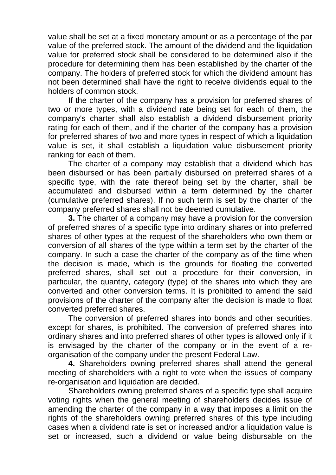value shall be set at a fixed monetary amount or as a percentage of the par value of the preferred stock. The amount of the dividend and the liquidation value for preferred stock shall be considered to be determined also if the procedure for determining them has been established by the charter of the company. The holders of preferred stock for which the dividend amount has not been determined shall have the right to receive dividends equal to the holders of common stock.

If the charter of the company has a provision for preferred shares of two or more types, with a dividend rate being set for each of them, the company's charter shall also establish a dividend disbursement priority rating for each of them, and if the charter of the company has a provision for preferred shares of two and more types in respect of which a liquidation value is set, it shall establish a liquidation value disbursement priority ranking for each of them.

The charter of a company may establish that a dividend which has been disbursed or has been partially disbursed on preferred shares of a specific type, with the rate thereof being set by the charter, shall be accumulated and disbursed within a term determined by the charter (cumulative preferred shares). If no such term is set by the charter of the company preferred shares shall not be deemed cumulative.

**3.** The charter of a company may have a provision for the conversion of preferred shares of a specific type into ordinary shares or into preferred shares of other types at the request of the shareholders who own them or conversion of all shares of the type within a term set by the charter of the company. In such a case the charter of the company as of the time when the decision is made, which is the grounds for floating the converted preferred shares, shall set out a procedure for their conversion, in particular, the quantity, category (type) of the shares into which they are converted and other conversion terms. It is prohibited to amend the said provisions of the charter of the company after the decision is made to float converted preferred shares.

The conversion of preferred shares into bonds and other securities, except for shares, is prohibited. The conversion of preferred shares into ordinary shares and into preferred shares of other types is allowed only if it is envisaged by the charter of the company or in the event of a reorganisation of the company under the present Federal Law.

**4.** Shareholders owning preferred shares shall attend the general meeting of shareholders with a right to vote when the issues of company re-organisation and liquidation are decided.

Shareholders owning preferred shares of a specific type shall acquire voting rights when the general meeting of shareholders decides issue of amending the charter of the company in a way that imposes a limit on the rights of the shareholders owning preferred shares of this type including cases when a dividend rate is set or increased and/or a liquidation value is set or increased, such a dividend or value being disbursable on the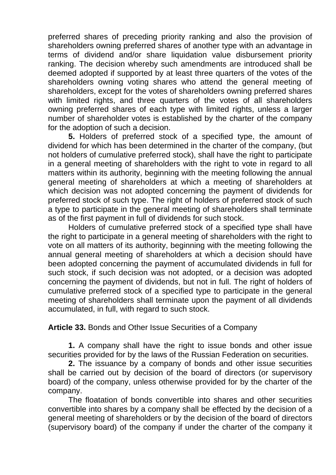preferred shares of preceding priority ranking and also the provision of shareholders owning preferred shares of another type with an advantage in terms of dividend and/or share liquidation value disbursement priority ranking. The decision whereby such amendments are introduced shall be deemed adopted if supported by at least three quarters of the votes of the shareholders owning voting shares who attend the general meeting of shareholders, except for the votes of shareholders owning preferred shares with limited rights, and three quarters of the votes of all shareholders owning preferred shares of each type with limited rights, unless a larger number of shareholder votes is established by the charter of the company for the adoption of such a decision.

**5.** Holders of preferred stock of a specified type, the amount of dividend for which has been determined in the charter of the company, (but not holders of cumulative preferred stock), shall have the right to participate in a general meeting of shareholders with the right to vote in regard to all matters within its authority, beginning with the meeting following the annual general meeting of shareholders at which a meeting of shareholders at which decision was not adopted concerning the payment of dividends for preferred stock of such type. The right of holders of preferred stock of such a type to participate in the general meeting of shareholders shall terminate as of the first payment in full of dividends for such stock.

Holders of cumulative preferred stock of a specified type shall have the right to participate in a general meeting of shareholders with the right to vote on all matters of its authority, beginning with the meeting following the annual general meeting of shareholders at which a decision should have been adopted concerning the payment of accumulated dividends in full for such stock, if such decision was not adopted, or a decision was adopted concerning the payment of dividends, but not in full. The right of holders of cumulative preferred stock of a specified type to participate in the general meeting of shareholders shall terminate upon the payment of all dividends accumulated, in full, with regard to such stock.

**Article 33.** Bonds and Other Issue Securities of a Company

**1.** A company shall have the right to issue bonds and other issue securities provided for by the laws of the Russian Federation on securities.

**2.** The issuance by a company of bonds and other issue securities shall be carried out by decision of the board of directors (or supervisory board) of the company, unless otherwise provided for by the charter of the company.

The floatation of bonds convertible into shares and other securities convertible into shares by a company shall be effected by the decision of a general meeting of shareholders or by the decision of the board of directors (supervisory board) of the company if under the charter of the company it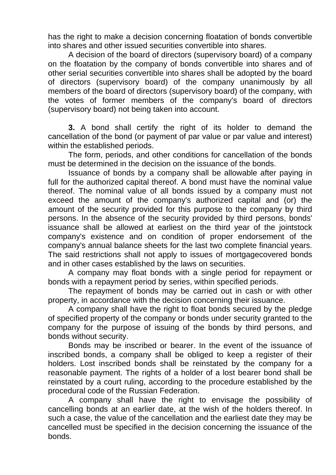has the right to make a decision concerning floatation of bonds convertible into shares and other issued securities convertible into shares.

A decision of the board of directors (supervisory board) of a company on the floatation by the company of bonds convertible into shares and of other serial securities convertible into shares shall be adopted by the board of directors (supervisory board) of the company unanimously by all members of the board of directors (supervisory board) of the company, with the votes of former members of the company's board of directors (supervisory board) not being taken into account.

**3.** A bond shall certify the right of its holder to demand the cancellation of the bond (or payment of par value or par value and interest) within the established periods.

The form, periods, and other conditions for cancellation of the bonds must be determined in the decision on the issuance of the bonds.

Issuance of bonds by a company shall be allowable after paying in full for the authorized capital thereof. A bond must have the nominal value thereof. The nominal value of all bonds issued by a company must not exceed the amount of the company's authorized capital and (or) the amount of the security provided for this purpose to the company by third persons. In the absence of the security provided by third persons, bonds' issuance shall be allowed at earliest on the third year of the jointstock company's existence and on condition of proper endorsement of the company's annual balance sheets for the last two complete financial years. The said restrictions shall not apply to issues of mortgagecovered bonds and in other cases established by the laws on securities.

A company may float bonds with a single period for repayment or bonds with a repayment period by series, within specified periods.

The repayment of bonds may be carried out in cash or with other property, in accordance with the decision concerning their issuance.

A company shall have the right to float bonds secured by the pledge of specified property of the company or bonds under security granted to the company for the purpose of issuing of the bonds by third persons, and bonds without security.

Bonds may be inscribed or bearer. In the event of the issuance of inscribed bonds, a company shall be obliged to keep a register of their holders. Lost inscribed bonds shall be reinstated by the company for a reasonable payment. The rights of a holder of a lost bearer bond shall be reinstated by a court ruling, according to the procedure established by the procedural code of the Russian Federation.

A company shall have the right to envisage the possibility of cancelling bonds at an earlier date, at the wish of the holders thereof. In such a case, the value of the cancellation and the earliest date they may be cancelled must be specified in the decision concerning the issuance of the bonds.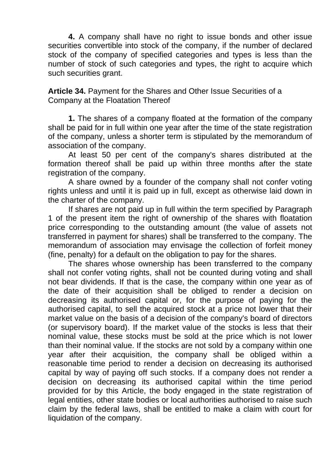**4.** A company shall have no right to issue bonds and other issue securities convertible into stock of the company, if the number of declared stock of the company of specified categories and types is less than the number of stock of such categories and types, the right to acquire which such securities grant.

**Article 34.** Payment for the Shares and Other Issue Securities of a Company at the Floatation Thereof

**1.** The shares of a company floated at the formation of the company shall be paid for in full within one year after the time of the state registration of the company, unless a shorter term is stipulated by the memorandum of association of the company.

At least 50 per cent of the company's shares distributed at the formation thereof shall be paid up within three months after the state registration of the company.

A share owned by a founder of the company shall not confer voting rights unless and until it is paid up in full, except as otherwise laid down in the charter of the company.

If shares are not paid up in full within the term specified by Paragraph 1 of the present item the right of ownership of the shares with floatation price corresponding to the outstanding amount (the value of assets not transferred in payment for shares) shall be transferred to the company. The memorandum of association may envisage the collection of forfeit money (fine, penalty) for a default on the obligation to pay for the shares.

The shares whose ownership has been transferred to the company shall not confer voting rights, shall not be counted during voting and shall not bear dividends. If that is the case, the company within one year as of the date of their acquisition shall be obliged to render a decision on decreasing its authorised capital or, for the purpose of paying for the authorised capital, to sell the acquired stock at a price not lower that their market value on the basis of a decision of the company's board of directors (or supervisory board). If the market value of the stocks is less that their nominal value, these stocks must be sold at the price which is not lower than their nominal value. If the stocks are not sold by a company within one year after their acquisition, the company shall be obliged within a reasonable time period to render a decision on decreasing its authorised capital by way of paying off such stocks. If a company does not render a decision on decreasing its authorised capital within the time period provided for by this Article, the body engaged in the state registration of legal entities, other state bodies or local authorities authorised to raise such claim by the federal laws, shall be entitled to make a claim with court for liquidation of the company.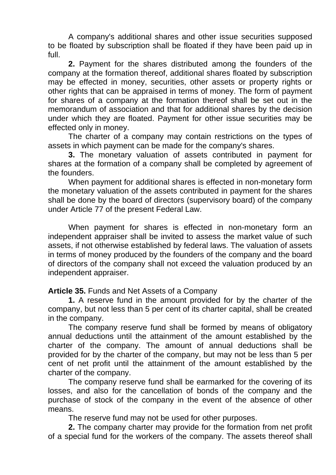A company's additional shares and other issue securities supposed to be floated by subscription shall be floated if they have been paid up in full.

**2.** Payment for the shares distributed among the founders of the company at the formation thereof, additional shares floated by subscription may be effected in money, securities, other assets or property rights or other rights that can be appraised in terms of money. The form of payment for shares of a company at the formation thereof shall be set out in the memorandum of association and that for additional shares by the decision under which they are floated. Payment for other issue securities may be effected only in money.

The charter of a company may contain restrictions on the types of assets in which payment can be made for the company's shares.

**3.** The monetary valuation of assets contributed in payment for shares at the formation of a company shall be completed by agreement of the founders.

When payment for additional shares is effected in non-monetary form the monetary valuation of the assets contributed in payment for the shares shall be done by the board of directors (supervisory board) of the company under Article 77 of the present Federal Law.

When payment for shares is effected in non-monetary form an independent appraiser shall be invited to assess the market value of such assets, if not otherwise established by federal laws. The valuation of assets in terms of money produced by the founders of the company and the board of directors of the company shall not exceed the valuation produced by an independent appraiser.

**Article 35.** Funds and Net Assets of a Company

**1.** A reserve fund in the amount provided for by the charter of the company, but not less than 5 per cent of its charter capital, shall be created in the company.

The company reserve fund shall be formed by means of obligatory annual deductions until the attainment of the amount established by the charter of the company. The amount of annual deductions shall be provided for by the charter of the company, but may not be less than 5 per cent of net profit until the attainment of the amount established by the charter of the company.

The company reserve fund shall be earmarked for the covering of its losses, and also for the cancellation of bonds of the company and the purchase of stock of the company in the event of the absence of other means.

The reserve fund may not be used for other purposes.

**2.** The company charter may provide for the formation from net profit of a special fund for the workers of the company. The assets thereof shall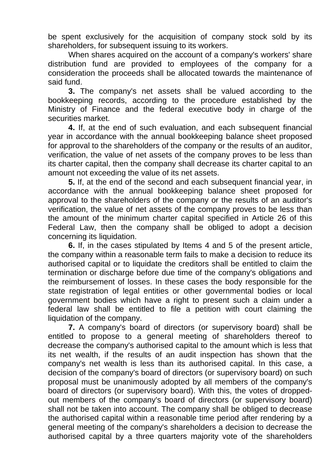be spent exclusively for the acquisition of company stock sold by its shareholders, for subsequent issuing to its workers.

When shares acquired on the account of a company's workers' share distribution fund are provided to employees of the company for a consideration the proceeds shall be allocated towards the maintenance of said fund.

**3.** The company's net assets shall be valued according to the bookkeeping records, according to the procedure established by the Ministry of Finance and the federal executive body in charge of the securities market.

**4.** If, at the end of such evaluation, and each subsequent financial year in accordance with the annual bookkeeping balance sheet proposed for approval to the shareholders of the company or the results of an auditor, verification, the value of net assets of the company proves to be less than its charter capital, then the company shall decrease its charter capital to an amount not exceeding the value of its net assets.

**5.** If, at the end of the second and each subsequent financial year, in accordance with the annual bookkeeping balance sheet proposed for approval to the shareholders of the company or the results of an auditor's verification, the value of net assets of the company proves to be less than the amount of the minimum charter capital specified in Article 26 of this Federal Law, then the company shall be obliged to adopt a decision concerning its liquidation.

**6.** If, in the cases stipulated by Items 4 and 5 of the present article, the company within a reasonable term fails to make a decision to reduce its authorised capital or to liquidate the creditors shall be entitled to claim the termination or discharge before due time of the company's obligations and the reimbursement of losses. In these cases the body responsible for the state registration of legal entities or other governmental bodies or local government bodies which have a right to present such a claim under a federal law shall be entitled to file a petition with court claiming the liquidation of the company.

**7.** A company's board of directors (or supervisory board) shall be entitled to propose to a general meeting of shareholders thereof to decrease the company's authorised capital to the amount which is less that its net wealth, if the results of an audit inspection has shown that the company's net wealth is less than its authorised capital. In this case, a decision of the company's board of directors (or supervisory board) on such proposal must be unanimously adopted by all members of the company's board of directors (or supervisory board). With this, the votes of droppedout members of the company's board of directors (or supervisory board) shall not be taken into account. The company shall be obliged to decrease the authorised capital within a reasonable time period after rendering by a general meeting of the company's shareholders a decision to decrease the authorised capital by a three quarters majority vote of the shareholders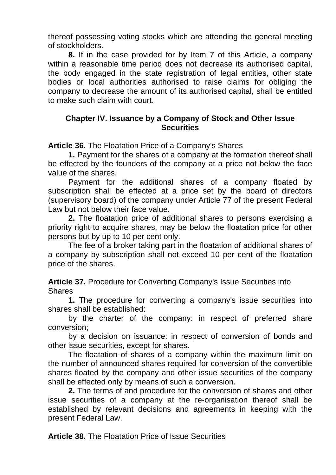thereof possessing voting stocks which are attending the general meeting of stockholders.

**8.** If in the case provided for by Item 7 of this Article, a company within a reasonable time period does not decrease its authorised capital, the body engaged in the state registration of legal entities, other state bodies or local authorities authorised to raise claims for obliging the company to decrease the amount of its authorised capital, shall be entitled to make such claim with court.

### **Chapter IV. Issuance by a Company of Stock and Other Issue Securities**

**Article 36.** The Floatation Price of a Company's Shares

**1.** Payment for the shares of a company at the formation thereof shall be effected by the founders of the company at a price not below the face value of the shares.

Payment for the additional shares of a company floated by subscription shall be effected at a price set by the board of directors (supervisory board) of the company under Article 77 of the present Federal Law but not below their face value.

**2.** The floatation price of additional shares to persons exercising a priority right to acquire shares, may be below the floatation price for other persons but by up to 10 per cent only.

The fee of a broker taking part in the floatation of additional shares of a company by subscription shall not exceed 10 per cent of the floatation price of the shares.

**Article 37.** Procedure for Converting Company's Issue Securities into **Shares** 

**1.** The procedure for converting a company's issue securities into shares shall be established:

by the charter of the company: in respect of preferred share conversion;

by a decision on issuance: in respect of conversion of bonds and other issue securities, except for shares.

The floatation of shares of a company within the maximum limit on the number of announced shares required for conversion of the convertible shares floated by the company and other issue securities of the company shall be effected only by means of such a conversion.

**2.** The terms of and procedure for the conversion of shares and other issue securities of a company at the re-organisation thereof shall be established by relevant decisions and agreements in keeping with the present Federal Law.

**Article 38.** The Floatation Price of Issue Securities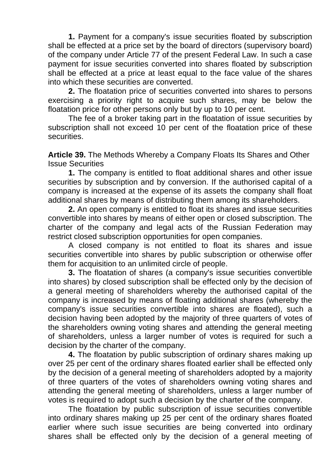**1.** Payment for a company's issue securities floated by subscription shall be effected at a price set by the board of directors (supervisory board) of the company under Article 77 of the present Federal Law. In such a case payment for issue securities converted into shares floated by subscription shall be effected at a price at least equal to the face value of the shares into which these securities are converted.

**2.** The floatation price of securities converted into shares to persons exercising a priority right to acquire such shares, may be below the floatation price for other persons only but by up to 10 per cent.

The fee of a broker taking part in the floatation of issue securities by subscription shall not exceed 10 per cent of the floatation price of these securities.

**Article 39.** The Methods Whereby a Company Floats Its Shares and Other Issue Securities

**1.** The company is entitled to float additional shares and other issue securities by subscription and by conversion. If the authorised capital of a company is increased at the expense of its assets the company shall float additional shares by means of distributing them among its shareholders.

**2.** An open company is entitled to float its shares and issue securities convertible into shares by means of either open or closed subscription. The charter of the company and legal acts of the Russian Federation may restrict closed subscription opportunities for open companies.

A closed company is not entitled to float its shares and issue securities convertible into shares by public subscription or otherwise offer them for acquisition to an unlimited circle of people.

**3.** The floatation of shares (a company's issue securities convertible into shares) by closed subscription shall be effected only by the decision of a general meeting of shareholders whereby the authorised capital of the company is increased by means of floating additional shares (whereby the company's issue securities convertible into shares are floated), such a decision having been adopted by the majority of three quarters of votes of the shareholders owning voting shares and attending the general meeting of shareholders, unless a larger number of votes is required for such a decision by the charter of the company.

**4.** The floatation by public subscription of ordinary shares making up over 25 per cent of the ordinary shares floated earlier shall be effected only by the decision of a general meeting of shareholders adopted by a majority of three quarters of the votes of shareholders owning voting shares and attending the general meeting of shareholders, unless a larger number of votes is required to adopt such a decision by the charter of the company.

The floatation by public subscription of issue securities convertible into ordinary shares making up 25 per cent of the ordinary shares floated earlier where such issue securities are being converted into ordinary shares shall be effected only by the decision of a general meeting of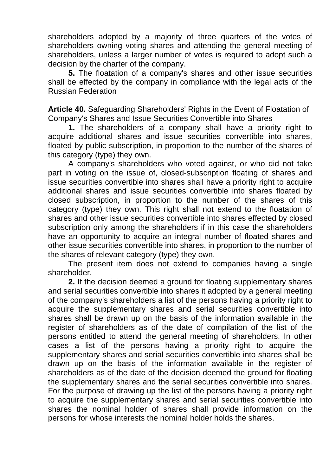shareholders adopted by a majority of three quarters of the votes of shareholders owning voting shares and attending the general meeting of shareholders, unless a larger number of votes is required to adopt such a decision by the charter of the company.

**5.** The floatation of a company's shares and other issue securities shall be effected by the company in compliance with the legal acts of the Russian Federation

**Article 40.** Safeguarding Shareholders' Rights in the Event of Floatation of Company's Shares and Issue Securities Convertible into Shares

**1.** The shareholders of a company shall have a priority right to acquire additional shares and issue securities convertible into shares, floated by public subscription, in proportion to the number of the shares of this category (type) they own.

A company's shareholders who voted against, or who did not take part in voting on the issue of, closed-subscription floating of shares and issue securities convertible into shares shall have a priority right to acquire additional shares and issue securities convertible into shares floated by closed subscription, in proportion to the number of the shares of this category (type) they own. This right shall not extend to the floatation of shares and other issue securities convertible into shares effected by closed subscription only among the shareholders if in this case the shareholders have an opportunity to acquire an integral number of floated shares and other issue securities convertible into shares, in proportion to the number of the shares of relevant category (type) they own.

The present item does not extend to companies having a single shareholder.

**2.** If the decision deemed a ground for floating supplementary shares and serial securities convertible into shares it adopted by a general meeting of the company's shareholders a list of the persons having a priority right to acquire the supplementary shares and serial securities convertible into shares shall be drawn up on the basis of the information available in the register of shareholders as of the date of compilation of the list of the persons entitled to attend the general meeting of shareholders. In other cases a list of the persons having a priority right to acquire the supplementary shares and serial securities convertible into shares shall be drawn up on the basis of the information available in the register of shareholders as of the date of the decision deemed the ground for floating the supplementary shares and the serial securities convertible into shares. For the purpose of drawing up the list of the persons having a priority right to acquire the supplementary shares and serial securities convertible into shares the nominal holder of shares shall provide information on the persons for whose interests the nominal holder holds the shares.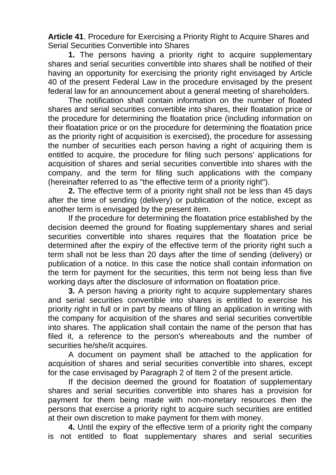**Article 41**. Procedure for Exercising a Priority Right to Acquire Shares and Serial Securities Convertible into Shares

**1.** The persons having a priority right to acquire supplementary shares and serial securities convertible into shares shall be notified of their having an opportunity for exercising the priority right envisaged by Article 40 of the present Federal Law in the procedure envisaged by the present federal law for an announcement about a general meeting of shareholders.

The notification shall contain information on the number of floated shares and serial securities convertible into shares, their floatation price or the procedure for determining the floatation price (including information on their floatation price or on the procedure for determining the floatation price as the priority right of acquisition is exercised), the procedure for assessing the number of securities each person having a right of acquiring them is entitled to acquire, the procedure for filing such persons' applications for acquisition of shares and serial securities convertible into shares with the company, and the term for filing such applications with the company (hereinafter referred to as "the effective term of a priority right").

**2.** The effective term of a priority right shall not be less than 45 days after the time of sending (delivery) or publication of the notice, except as another term is envisaged by the present item.

If the procedure for determining the floatation price established by the decision deemed the ground for floating supplementary shares and serial securities convertible into shares requires that the floatation price be determined after the expiry of the effective term of the priority right such a term shall not be less than 20 days after the time of sending (delivery) or publication of a notice. In this case the notice shall contain information on the term for payment for the securities, this term not being less than five working days after the disclosure of information on floatation price.

**3.** A person having a priority right to acquire supplementary shares and serial securities convertible into shares is entitled to exercise his priority right in full or in part by means of filing an application in writing with the company for acquisition of the shares and serial securities convertible into shares. The application shall contain the name of the person that has filed it, a reference to the person's whereabouts and the number of securities he/she/it acquires.

A document on payment shall be attached to the application for acquisition of shares and serial securities convertible into shares, except for the case envisaged by Paragraph 2 of Item 2 of the present article.

If the decision deemed the ground for floatation of supplementary shares and serial securities convertible into shares has a provision for payment for them being made with non-monetary resources then the persons that exercise a priority right to acquire such securities are entitled at their own discretion to make payment for them with money.

**4.** Until the expiry of the effective term of a priority right the company is not entitled to float supplementary shares and serial securities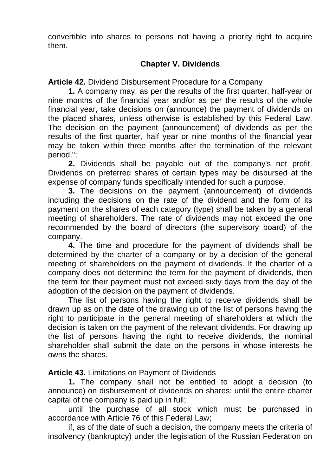convertible into shares to persons not having a priority right to acquire them.

# **Chapter V. Dividends**

**Article 42.** Dividend Disbursement Procedure for a Company

**1.** A company may, as per the results of the first quarter, half-year or nine months of the financial year and/or as per the results of the whole financial year, take decisions on (announce) the payment of dividends on the placed shares, unless otherwise is established by this Federal Law. The decision on the payment (announcement) of dividends as per the results of the first quarter, half year or nine months of the financial year may be taken within three months after the termination of the relevant period.";

**2.** Dividends shall be payable out of the company's net profit. Dividends on preferred shares of certain types may be disbursed at the expense of company funds specifically intended for such a purpose.

**3.** The decisions on the payment (announcement) of dividends including the decisions on the rate of the dividend and the form of its payment on the shares of each category (type) shall be taken by a general meeting of shareholders. The rate of dividends may not exceed the one recommended by the board of directors (the supervisory board) of the company.

**4.** The time and procedure for the payment of dividends shall be determined by the charter of a company or by a decision of the general meeting of shareholders on the payment of dividends. If the charter of a company does not determine the term for the payment of dividends, then the term for their payment must not exceed sixty days from the day of the adoption of the decision on the payment of dividends.

The list of persons having the right to receive dividends shall be drawn up as on the date of the drawing up of the list of persons having the right to participate in the general meeting of shareholders at which the decision is taken on the payment of the relevant dividends. For drawing up the list of persons having the right to receive dividends, the nominal shareholder shall submit the date on the persons in whose interests he owns the shares.

**Article 43.** Limitations on Payment of Dividends

**1.** The company shall not be entitled to adopt a decision (to announce) on disbursement of dividends on shares: until the entire charter capital of the company is paid up in full;

until the purchase of all stock which must be purchased in accordance with Article 76 of this Federal Law;

if, as of the date of such a decision, the company meets the criteria of insolvency (bankruptcy) under the legislation of the Russian Federation on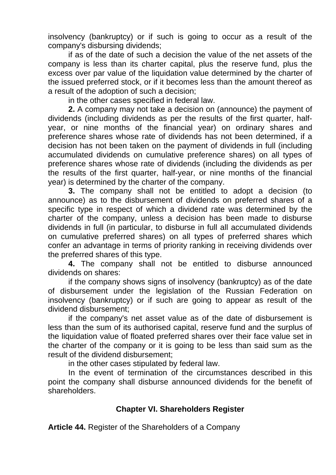insolvency (bankruptcy) or if such is going to occur as a result of the company's disbursing dividends;

if as of the date of such a decision the value of the net assets of the company is less than its charter capital, plus the reserve fund, plus the excess over par value of the liquidation value determined by the charter of the issued preferred stock, or if it becomes less than the amount thereof as a result of the adoption of such a decision;

in the other cases specified in federal law.

**2.** A company may not take a decision on (announce) the payment of dividends (including dividends as per the results of the first quarter, halfyear, or nine months of the financial year) on ordinary shares and preference shares whose rate of dividends has not been determined, if a decision has not been taken on the payment of dividends in full (including accumulated dividends on cumulative preference shares) on all types of preference shares whose rate of dividends (including the dividends as per the results of the first quarter, half-year, or nine months of the financial year) is determined by the charter of the company.

**3.** The company shall not be entitled to adopt a decision (to announce) as to the disbursement of dividends on preferred shares of a specific type in respect of which a dividend rate was determined by the charter of the company, unless a decision has been made to disburse dividends in full (in particular, to disburse in full all accumulated dividends on cumulative preferred shares) on all types of preferred shares which confer an advantage in terms of priority ranking in receiving dividends over the preferred shares of this type.

**4.** The company shall not be entitled to disburse announced dividends on shares:

if the company shows signs of insolvency (bankruptcy) as of the date of disbursement under the legislation of the Russian Federation on insolvency (bankruptcy) or if such are going to appear as result of the dividend disbursement;

if the company's net asset value as of the date of disbursement is less than the sum of its authorised capital, reserve fund and the surplus of the liquidation value of floated preferred shares over their face value set in the charter of the company or it is going to be less than said sum as the result of the dividend disbursement;

in the other cases stipulated by federal law.

In the event of termination of the circumstances described in this point the company shall disburse announced dividends for the benefit of shareholders.

### **Chapter VI. Shareholders Register**

**Article 44.** Register of the Shareholders of a Company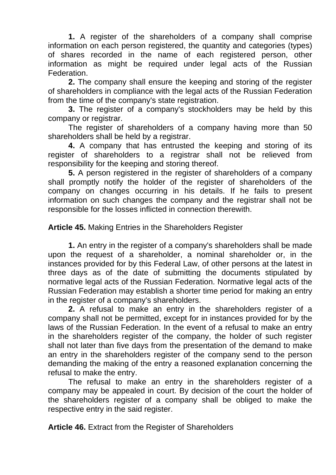**1.** A register of the shareholders of a company shall comprise information on each person registered, the quantity and categories (types) of shares recorded in the name of each registered person, other information as might be required under legal acts of the Russian Federation.

**2.** The company shall ensure the keeping and storing of the register of shareholders in compliance with the legal acts of the Russian Federation from the time of the company's state registration.

**3.** The register of a company's stockholders may be held by this company or registrar.

The register of shareholders of a company having more than 50 shareholders shall be held by a registrar.

**4.** A company that has entrusted the keeping and storing of its register of shareholders to a registrar shall not be relieved from responsibility for the keeping and storing thereof.

**5.** A person registered in the register of shareholders of a company shall promptly notify the holder of the register of shareholders of the company on changes occurring in his details. If he fails to present information on such changes the company and the registrar shall not be responsible for the losses inflicted in connection therewith.

**Article 45.** Making Entries in the Shareholders Register

**1.** An entry in the register of a company's shareholders shall be made upon the request of a shareholder, a nominal shareholder or, in the instances provided for by this Federal Law, of other persons at the latest in three days as of the date of submitting the documents stipulated by normative legal acts of the Russian Federation. Normative legal acts of the Russian Federation may establish a shorter time period for making an entry in the register of a company's shareholders.

**2.** A refusal to make an entry in the shareholders register of a company shall not be permitted, except for in instances provided for by the laws of the Russian Federation. In the event of a refusal to make an entry in the shareholders register of the company, the holder of such register shall not later than five days from the presentation of the demand to make an entry in the shareholders register of the company send to the person demanding the making of the entry a reasoned explanation concerning the refusal to make the entry.

The refusal to make an entry in the shareholders register of a company may be appealed in court. By decision of the court the holder of the shareholders register of a company shall be obliged to make the respective entry in the said register.

**Article 46.** Extract from the Register of Shareholders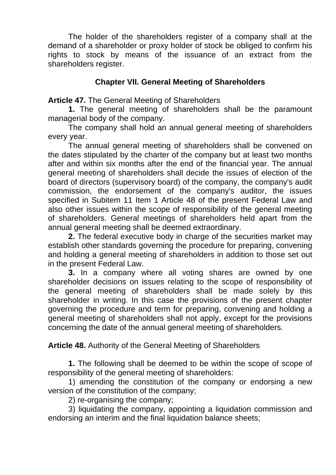The holder of the shareholders register of a company shall at the demand of a shareholder or proxy holder of stock be obliged to confirm his rights to stock by means of the issuance of an extract from the shareholders register.

# **Chapter VII. General Meeting of Shareholders**

**Article 47.** The General Meeting of Shareholders

**1.** The general meeting of shareholders shall be the paramount managerial body of the company.

The company shall hold an annual general meeting of shareholders every year.

The annual general meeting of shareholders shall be convened on the dates stipulated by the charter of the company but at least two months after and within six months after the end of the financial year. The annual general meeting of shareholders shall decide the issues of election of the board of directors (supervisory board) of the company, the company's audit commission, the endorsement of the company's auditor, the issues specified in Subitem 11 Item 1 Article 48 of the present Federal Law and also other issues within the scope of responsibility of the general meeting of shareholders. General meetings of shareholders held apart from the annual general meeting shall be deemed extraordinary.

**2.** The federal executive body in charge of the securities market may establish other standards governing the procedure for preparing, convening and holding a general meeting of shareholders in addition to those set out in the present Federal Law.

**3.** In a company where all voting shares are owned by one shareholder decisions on issues relating to the scope of responsibility of the general meeting of shareholders shall be made solely by this shareholder in writing. In this case the provisions of the present chapter governing the procedure and term for preparing, convening and holding a general meeting of shareholders shall not apply, except for the provisions concerning the date of the annual general meeting of shareholders.

**Article 48.** Authority of the General Meeting of Shareholders

**1.** The following shall be deemed to be within the scope of scope of responsibility of the general meeting of shareholders:

1) amending the constitution of the company or endorsing a new version of the constitution of the company;

2) re-organising the company;

3) liquidating the company, appointing a liquidation commission and endorsing an interim and the final liquidation balance sheets;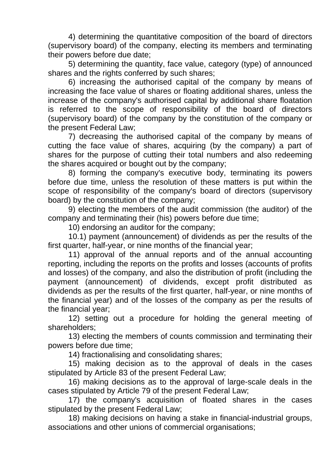4) determining the quantitative composition of the board of directors (supervisory board) of the company, electing its members and terminating their powers before due date;

5) determining the quantity, face value, category (type) of announced shares and the rights conferred by such shares;

6) increasing the authorised capital of the company by means of increasing the face value of shares or floating additional shares, unless the increase of the company's authorised capital by additional share floatation is referred to the scope of responsibility of the board of directors (supervisory board) of the company by the constitution of the company or the present Federal Law;

7) decreasing the authorised capital of the company by means of cutting the face value of shares, acquiring (by the company) a part of shares for the purpose of cutting their total numbers and also redeeming the shares acquired or bought out by the company;

8) forming the company's executive body, terminating its powers before due time, unless the resolution of these matters is put within the scope of responsibility of the company's board of directors (supervisory board) by the constitution of the company;

9) electing the members of the audit commission (the auditor) of the company and terminating their (his) powers before due time;

10) endorsing an auditor for the company;

10.1) payment (announcement) of dividends as per the results of the first quarter, half-year, or nine months of the financial year;

11) approval of the annual reports and of the annual accounting reporting, including the reports on the profits and losses (accounts of profits and losses) of the company, and also the distribution of profit (including the payment (announcement) of dividends, except profit distributed as dividends as per the results of the first quarter, half-year, or nine months of the financial year) and of the losses of the company as per the results of the financial year;

12) setting out a procedure for holding the general meeting of shareholders;

13) electing the members of counts commission and terminating their powers before due time;

14) fractionalising and consolidating shares;

15) making decision as to the approval of deals in the cases stipulated by Article 83 of the present Federal Law;

16) making decisions as to the approval of large-scale deals in the cases stipulated by Article 79 of the present Federal Law;

17) the company's acquisition of floated shares in the cases stipulated by the present Federal Law;

18) making decisions on having a stake in financial-industrial groups, associations and other unions of commercial organisations;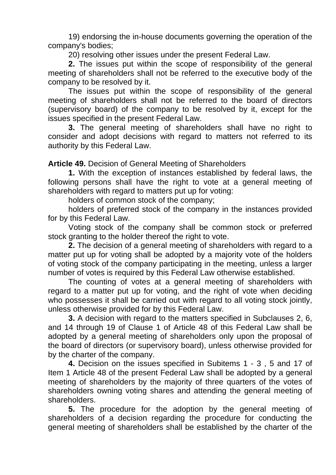19) endorsing the in-house documents governing the operation of the company's bodies;

20) resolving other issues under the present Federal Law.

**2.** The issues put within the scope of responsibility of the general meeting of shareholders shall not be referred to the executive body of the company to be resolved by it.

The issues put within the scope of responsibility of the general meeting of shareholders shall not be referred to the board of directors (supervisory board) of the company to be resolved by it, except for the issues specified in the present Federal Law.

**3.** The general meeting of shareholders shall have no right to consider and adopt decisions with regard to matters not referred to its authority by this Federal Law.

**Article 49.** Decision of General Meeting of Shareholders

**1.** With the exception of instances established by federal laws, the following persons shall have the right to vote at a general meeting of shareholders with regard to matters put up for voting:

holders of common stock of the company;

holders of preferred stock of the company in the instances provided for by this Federal Law.

Voting stock of the company shall be common stock or preferred stock granting to the holder thereof the right to vote.

**2.** The decision of a general meeting of shareholders with regard to a matter put up for voting shall be adopted by a majority vote of the holders of voting stock of the company participating in the meeting, unless a larger number of votes is required by this Federal Law otherwise established.

The counting of votes at a general meeting of shareholders with regard to a matter put up for voting, and the right of vote when deciding who possesses it shall be carried out with regard to all voting stock jointly, unless otherwise provided for by this Federal Law.

**3.** A decision with regard to the matters specified in Subclauses 2, 6, and 14 through 19 of Clause 1 of Article 48 of this Federal Law shall be adopted by a general meeting of shareholders only upon the proposal of the board of directors (or supervisory board), unless otherwise provided for by the charter of the company.

**4.** Decision on the issues specified in Subitems 1 - 3 , 5 and 17 of Item 1 Article 48 of the present Federal Law shall be adopted by a general meeting of shareholders by the majority of three quarters of the votes of shareholders owning voting shares and attending the general meeting of shareholders.

**5.** The procedure for the adoption by the general meeting of shareholders of a decision regarding the procedure for conducting the general meeting of shareholders shall be established by the charter of the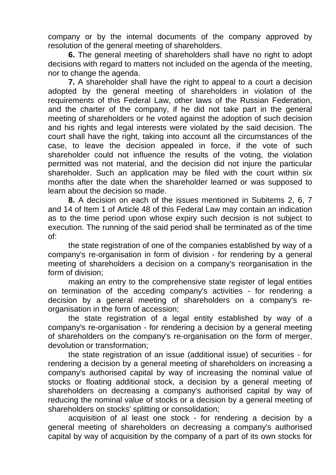company or by the internal documents of the company approved by resolution of the general meeting of shareholders.

**6.** The general meeting of shareholders shall have no right to adopt decisions with regard to matters not included on the agenda of the meeting, nor to change the agenda.

**7.** A shareholder shall have the right to appeal to a court a decision adopted by the general meeting of shareholders in violation of the requirements of this Federal Law, other laws of the Russian Federation, and the charter of the company, if he did not take part in the general meeting of shareholders or he voted against the adoption of such decision and his rights and legal interests were violated by the said decision. The court shall have the right, taking into account all the circumstances of the case, to leave the decision appealed in force, if the vote of such shareholder could not influence the results of the voting, the violation permitted was not material, and the decision did not injure the particular shareholder. Such an application may be filed with the court within six months after the date when the shareholder learned or was supposed to learn about the decision so made.

**8.** A decision on each of the issues mentioned in Subitems 2, 6, 7 and 14 of Item 1 of Article 48 of this Federal Law may contain an indication as to the time period upon whose expiry such decision is not subject to execution. The running of the said period shall be terminated as of the time of:

the state registration of one of the companies established by way of a company's re-organisation in form of division - for rendering by a general meeting of shareholders a decision on a company's reorganisation in the form of division;

making an entry to the comprehensive state register of legal entities on termination of the acceding company's activities - for rendering a decision by a general meeting of shareholders on a company's reorganisation in the form of accession;

the state registration of a legal entity established by way of a company's re-organisation - for rendering a decision by a general meeting of shareholders on the company's re-organisation on the form of merger, devolution or transformation;

the state registration of an issue (additional issue) of securities - for rendering a decision by a general meeting of shareholders on increasing a company's authorised capital by way of increasing the nominal value of stocks or floating additional stock, a decision by a general meeting of shareholders on decreasing a company's authorised capital by way of reducing the nominal value of stocks or a decision by a general meeting of shareholders on stocks' splitting or consolidation;

acquisition of al least one stock - for rendering a decision by a general meeting of shareholders on decreasing a company's authorised capital by way of acquisition by the company of a part of its own stocks for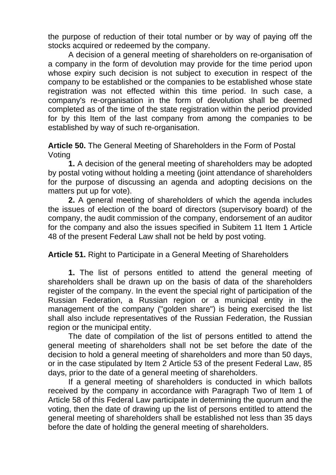the purpose of reduction of their total number or by way of paying off the stocks acquired or redeemed by the company.

A decision of a general meeting of shareholders on re-organisation of a company in the form of devolution may provide for the time period upon whose expiry such decision is not subject to execution in respect of the company to be established or the companies to be established whose state registration was not effected within this time period. In such case, a company's re-organisation in the form of devolution shall be deemed completed as of the time of the state registration within the period provided for by this Item of the last company from among the companies to be established by way of such re-organisation.

**Article 50.** The General Meeting of Shareholders in the Form of Postal Voting

**1.** A decision of the general meeting of shareholders may be adopted by postal voting without holding a meeting (joint attendance of shareholders for the purpose of discussing an agenda and adopting decisions on the matters put up for vote).

**2.** A general meeting of shareholders of which the agenda includes the issues of election of the board of directors (supervisory board) of the company, the audit commission of the company, endorsement of an auditor for the company and also the issues specified in Subitem 11 Item 1 Article 48 of the present Federal Law shall not be held by post voting.

**Article 51.** Right to Participate in a General Meeting of Shareholders

**1.** The list of persons entitled to attend the general meeting of shareholders shall be drawn up on the basis of data of the shareholders register of the company. In the event the special right of participation of the Russian Federation, a Russian region or a municipal entity in the management of the company ("golden share") is being exercised the list shall also include representatives of the Russian Federation, the Russian region or the municipal entity.

The date of compilation of the list of persons entitled to attend the general meeting of shareholders shall not be set before the date of the decision to hold a general meeting of shareholders and more than 50 days, or in the case stipulated by Item 2 Article 53 of the present Federal Law, 85 days, prior to the date of a general meeting of shareholders.

If a general meeting of shareholders is conducted in which ballots received by the company in accordance with Paragraph Two of Item 1 of Article 58 of this Federal Law participate in determining the quorum and the voting, then the date of drawing up the list of persons entitled to attend the general meeting of shareholders shall be established not less than 35 days before the date of holding the general meeting of shareholders.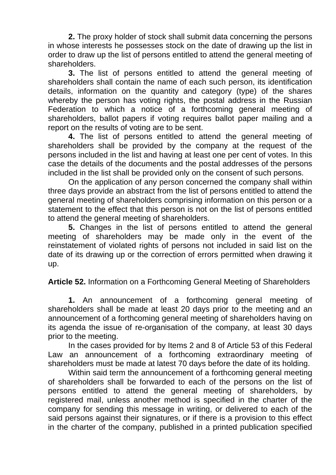**2.** The proxy holder of stock shall submit data concerning the persons in whose interests he possesses stock on the date of drawing up the list in order to draw up the list of persons entitled to attend the general meeting of shareholders.

**3.** The list of persons entitled to attend the general meeting of shareholders shall contain the name of each such person, its identification details, information on the quantity and category (type) of the shares whereby the person has voting rights, the postal address in the Russian Federation to which a notice of a forthcoming general meeting of shareholders, ballot papers if voting requires ballot paper mailing and a report on the results of voting are to be sent.

**4.** The list of persons entitled to attend the general meeting of shareholders shall be provided by the company at the request of the persons included in the list and having at least one per cent of votes. In this case the details of the documents and the postal addresses of the persons included in the list shall be provided only on the consent of such persons.

On the application of any person concerned the company shall within three days provide an abstract from the list of persons entitled to attend the general meeting of shareholders comprising information on this person or a statement to the effect that this person is not on the list of persons entitled to attend the general meeting of shareholders.

**5.** Changes in the list of persons entitled to attend the general meeting of shareholders may be made only in the event of the reinstatement of violated rights of persons not included in said list on the date of its drawing up or the correction of errors permitted when drawing it up.

**Article 52.** Information on a Forthcoming General Meeting of Shareholders

**1.** An announcement of a forthcoming general meeting of shareholders shall be made at least 20 days prior to the meeting and an announcement of a forthcoming general meeting of shareholders having on its agenda the issue of re-organisation of the company, at least 30 days prior to the meeting.

In the cases provided for by Items 2 and 8 of Article 53 of this Federal Law an announcement of a forthcoming extraordinary meeting of shareholders must be made at latest 70 days before the date of its holding.

Within said term the announcement of a forthcoming general meeting of shareholders shall be forwarded to each of the persons on the list of persons entitled to attend the general meeting of shareholders, by registered mail, unless another method is specified in the charter of the company for sending this message in writing, or delivered to each of the said persons against their signatures, or if there is a provision to this effect in the charter of the company, published in a printed publication specified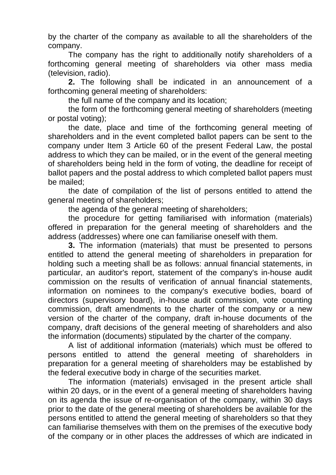by the charter of the company as available to all the shareholders of the company.

The company has the right to additionally notify shareholders of a forthcoming general meeting of shareholders via other mass media (television, radio).

**2.** The following shall be indicated in an announcement of a forthcoming general meeting of shareholders:

the full name of the company and its location;

the form of the forthcoming general meeting of shareholders (meeting or postal voting);

the date, place and time of the forthcoming general meeting of shareholders and in the event completed ballot papers can be sent to the company under Item 3 Article 60 of the present Federal Law, the postal address to which they can be mailed, or in the event of the general meeting of shareholders being held in the form of voting, the deadline for receipt of ballot papers and the postal address to which completed ballot papers must be mailed;

the date of compilation of the list of persons entitled to attend the general meeting of shareholders;

the agenda of the general meeting of shareholders;

the procedure for getting familiarised with information (materials) offered in preparation for the general meeting of shareholders and the address (addresses) where one can familiarise oneself with them.

**3.** The information (materials) that must be presented to persons entitled to attend the general meeting of shareholders in preparation for holding such a meeting shall be as follows: annual financial statements, in particular, an auditor's report, statement of the company's in-house audit commission on the results of verification of annual financial statements, information on nominees to the company's executive bodies, board of directors (supervisory board), in-house audit commission, vote counting commission, draft amendments to the charter of the company or a new version of the charter of the company, draft in-house documents of the company, draft decisions of the general meeting of shareholders and also the information (documents) stipulated by the charter of the company.

A list of additional information (materials) which must be offered to persons entitled to attend the general meeting of shareholders in preparation for a general meeting of shareholders may be established by the federal executive body in charge of the securities market.

The information (materials) envisaged in the present article shall within 20 days, or in the event of a general meeting of shareholders having on its agenda the issue of re-organisation of the company, within 30 days prior to the date of the general meeting of shareholders be available for the persons entitled to attend the general meeting of shareholders so that they can familiarise themselves with them on the premises of the executive body of the company or in other places the addresses of which are indicated in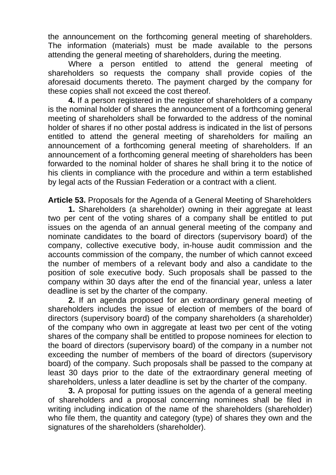the announcement on the forthcoming general meeting of shareholders. The information (materials) must be made available to the persons attending the general meeting of shareholders, during the meeting.

Where a person entitled to attend the general meeting of shareholders so requests the company shall provide copies of the aforesaid documents thereto. The payment charged by the company for these copies shall not exceed the cost thereof.

**4.** If a person registered in the register of shareholders of a company is the nominal holder of shares the announcement of a forthcoming general meeting of shareholders shall be forwarded to the address of the nominal holder of shares if no other postal address is indicated in the list of persons entitled to attend the general meeting of shareholders for mailing an announcement of a forthcoming general meeting of shareholders. If an announcement of a forthcoming general meeting of shareholders has been forwarded to the nominal holder of shares he shall bring it to the notice of his clients in compliance with the procedure and within a term established by legal acts of the Russian Federation or a contract with a client.

**Article 53.** Proposals for the Agenda of a General Meeting of Shareholders

**1.** Shareholders (a shareholder) owning in their aggregate at least two per cent of the voting shares of a company shall be entitled to put issues on the agenda of an annual general meeting of the company and nominate candidates to the board of directors (supervisory board) of the company, collective executive body, in-house audit commission and the accounts commission of the company, the number of which cannot exceed the number of members of a relevant body and also a candidate to the position of sole executive body. Such proposals shall be passed to the company within 30 days after the end of the financial year, unless a later deadline is set by the charter of the company.

**2.** If an agenda proposed for an extraordinary general meeting of shareholders includes the issue of election of members of the board of directors (supervisory board) of the company shareholders (a shareholder) of the company who own in aggregate at least two per cent of the voting shares of the company shall be entitled to propose nominees for election to the board of directors (supervisory board) of the company in a number not exceeding the number of members of the board of directors (supervisory board) of the company. Such proposals shall be passed to the company at least 30 days prior to the date of the extraordinary general meeting of shareholders, unless a later deadline is set by the charter of the company.

**3.** A proposal for putting issues on the agenda of a general meeting of shareholders and a proposal concerning nominees shall be filed in writing including indication of the name of the shareholders (shareholder) who file them, the quantity and category (type) of shares they own and the signatures of the shareholders (shareholder).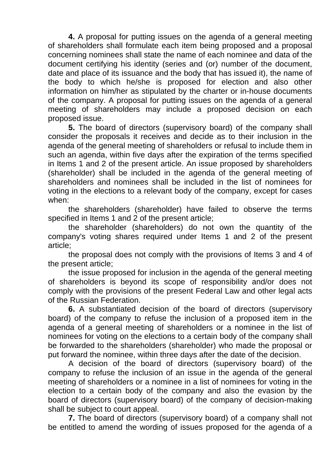**4.** A proposal for putting issues on the agenda of a general meeting of shareholders shall formulate each item being proposed and a proposal concerning nominees shall state the name of each nominee and data of the document certifying his identity (series and (or) number of the document, date and place of its issuance and the body that has issued it), the name of the body to which he/she is proposed for election and also other information on him/her as stipulated by the charter or in-house documents of the company. A proposal for putting issues on the agenda of a general meeting of shareholders may include a proposed decision on each proposed issue.

**5.** The board of directors (supervisory board) of the company shall consider the proposals it receives and decide as to their inclusion in the agenda of the general meeting of shareholders or refusal to include them in such an agenda, within five days after the expiration of the terms specified in Items 1 and 2 of the present article. An issue proposed by shareholders (shareholder) shall be included in the agenda of the general meeting of shareholders and nominees shall be included in the list of nominees for voting in the elections to a relevant body of the company, except for cases when:

the shareholders (shareholder) have failed to observe the terms specified in Items 1 and 2 of the present article;

the shareholder (shareholders) do not own the quantity of the company's voting shares required under Items 1 and 2 of the present article;

the proposal does not comply with the provisions of Items 3 and 4 of the present article;

the issue proposed for inclusion in the agenda of the general meeting of shareholders is beyond its scope of responsibility and/or does not comply with the provisions of the present Federal Law and other legal acts of the Russian Federation.

**6.** A substantiated decision of the board of directors (supervisory board) of the company to refuse the inclusion of a proposed item in the agenda of a general meeting of shareholders or a nominee in the list of nominees for voting on the elections to a certain body of the company shall be forwarded to the shareholders (shareholder) who made the proposal or put forward the nominee, within three days after the date of the decision.

A decision of the board of directors (supervisory board) of the company to refuse the inclusion of an issue in the agenda of the general meeting of shareholders or a nominee in a list of nominees for voting in the election to a certain body of the company and also the evasion by the board of directors (supervisory board) of the company of decision-making shall be subject to court appeal.

**7.** The board of directors (supervisory board) of a company shall not be entitled to amend the wording of issues proposed for the agenda of a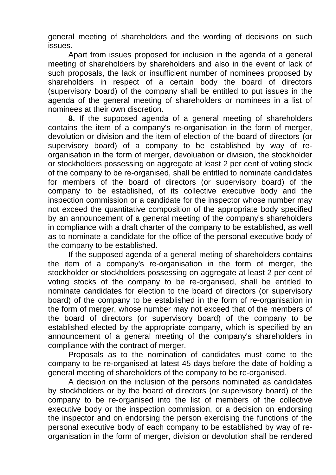general meeting of shareholders and the wording of decisions on such issues.

Apart from issues proposed for inclusion in the agenda of a general meeting of shareholders by shareholders and also in the event of lack of such proposals, the lack or insufficient number of nominees proposed by shareholders in respect of a certain body the board of directors (supervisory board) of the company shall be entitled to put issues in the agenda of the general meeting of shareholders or nominees in a list of nominees at their own discretion.

**8.** If the supposed agenda of a general meeting of shareholders contains the item of a company's re-organisation in the form of merger, devolution or division and the item of election of the board of directors (or supervisory board) of a company to be established by way of reorganisation in the form of merger, devoluation or division, the stockholder or stockholders possessing on aggregate at least 2 per cent of voting stock of the company to be re-organised, shall be entitled to nominate candidates for members of the board of directors (or supervisory board) of the company to be established, of its collective executive body and the inspection commission or a candidate for the inspector whose number may not exceed the quantitative composition of the appropriate body specified by an announcement of a general meeting of the company's shareholders in compliance with a draft charter of the company to be established, as well as to nominate a candidate for the office of the personal executive body of the company to be established.

If the supposed agenda of a general meting of shareholders contains the item of a company's re-organisation in the form of merger, the stockholder or stockholders possessing on aggregate at least 2 per cent of voting stocks of the company to be re-organised, shall be entitled to nominate candidates for election to the board of directors (or supervisory board) of the company to be established in the form of re-organisation in the form of merger, whose number may not exceed that of the members of the board of directors (or supervisory board) of the company to be established elected by the appropriate company, which is specified by an announcement of a general meeting of the company's shareholders in compliance with the contract of merger.

Proposals as to the nomination of candidates must come to the company to be re-organised at latest 45 days before the date of holding a general meeting of shareholders of the company to be re-organised.

A decision on the inclusion of the persons nominated as candidates by stockholders or by the board of directors (or supervisory board) of the company to be re-organised into the list of members of the collective executive body or the inspection commission, or a decision on endorsing the inspector and on endorsing the person exercising the functions of the personal executive body of each company to be established by way of reorganisation in the form of merger, division or devolution shall be rendered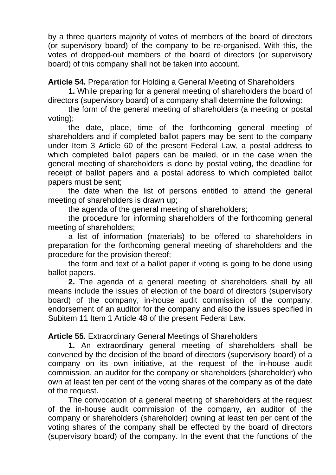by a three quarters majority of votes of members of the board of directors (or supervisory board) of the company to be re-organised. With this, the votes of dropped-out members of the board of directors (or supervisory board) of this company shall not be taken into account.

**Article 54.** Preparation for Holding a General Meeting of Shareholders

**1.** While preparing for a general meeting of shareholders the board of directors (supervisory board) of a company shall determine the following:

the form of the general meeting of shareholders (a meeting or postal voting);

the date, place, time of the forthcoming general meeting of shareholders and if completed ballot papers may be sent to the company under Item 3 Article 60 of the present Federal Law, a postal address to which completed ballot papers can be mailed, or in the case when the general meeting of shareholders is done by postal voting, the deadline for receipt of ballot papers and a postal address to which completed ballot papers must be sent;

the date when the list of persons entitled to attend the general meeting of shareholders is drawn up;

the agenda of the general meeting of shareholders;

the procedure for informing shareholders of the forthcoming general meeting of shareholders;

a list of information (materials) to be offered to shareholders in preparation for the forthcoming general meeting of shareholders and the procedure for the provision thereof;

the form and text of a ballot paper if voting is going to be done using ballot papers.

**2.** The agenda of a general meeting of shareholders shall by all means include the issues of election of the board of directors (supervisory board) of the company, in-house audit commission of the company, endorsement of an auditor for the company and also the issues specified in Subitem 11 Item 1 Article 48 of the present Federal Law.

**Article 55.** Extraordinary General Meetings of Shareholders

**1.** An extraordinary general meeting of shareholders shall be convened by the decision of the board of directors (supervisory board) of a company on its own initiative, at the request of the in-house audit commission, an auditor for the company or shareholders (shareholder) who own at least ten per cent of the voting shares of the company as of the date of the request.

The convocation of a general meeting of shareholders at the request of the in-house audit commission of the company, an auditor of the company or shareholders (shareholder) owning at least ten per cent of the voting shares of the company shall be effected by the board of directors (supervisory board) of the company. In the event that the functions of the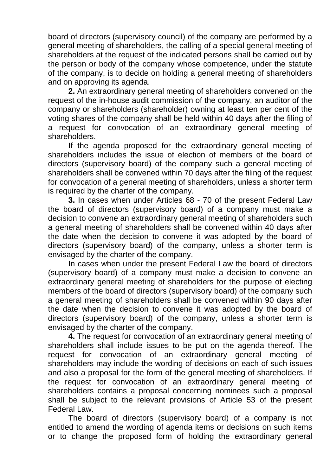board of directors (supervisory council) of the company are performed by a general meeting of shareholders, the calling of a special general meeting of shareholders at the request of the indicated persons shall be carried out by the person or body of the company whose competence, under the statute of the company, is to decide on holding a general meeting of shareholders and on approving its agenda.

**2.** An extraordinary general meeting of shareholders convened on the request of the in-house audit commission of the company, an auditor of the company or shareholders (shareholder) owning at least ten per cent of the voting shares of the company shall be held within 40 days after the filing of a request for convocation of an extraordinary general meeting of shareholders.

If the agenda proposed for the extraordinary general meeting of shareholders includes the issue of election of members of the board of directors (supervisory board) of the company such a general meeting of shareholders shall be convened within 70 days after the filing of the request for convocation of a general meeting of shareholders, unless a shorter term is required by the charter of the company.

**3.** In cases when under Articles 68 - 70 of the present Federal Law the board of directors (supervisory board) of a company must make a decision to convene an extraordinary general meeting of shareholders such a general meeting of shareholders shall be convened within 40 days after the date when the decision to convene it was adopted by the board of directors (supervisory board) of the company, unless a shorter term is envisaged by the charter of the company.

In cases when under the present Federal Law the board of directors (supervisory board) of a company must make a decision to convene an extraordinary general meeting of shareholders for the purpose of electing members of the board of directors (supervisory board) of the company such a general meeting of shareholders shall be convened within 90 days after the date when the decision to convene it was adopted by the board of directors (supervisory board) of the company, unless a shorter term is envisaged by the charter of the company.

**4.** The request for convocation of an extraordinary general meeting of shareholders shall include issues to be put on the agenda thereof. The request for convocation of an extraordinary general meeting of shareholders may include the wording of decisions on each of such issues and also a proposal for the form of the general meeting of shareholders. If the request for convocation of an extraordinary general meeting of shareholders contains a proposal concerning nominees such a proposal shall be subject to the relevant provisions of Article 53 of the present Federal Law.

The board of directors (supervisory board) of a company is not entitled to amend the wording of agenda items or decisions on such items or to change the proposed form of holding the extraordinary general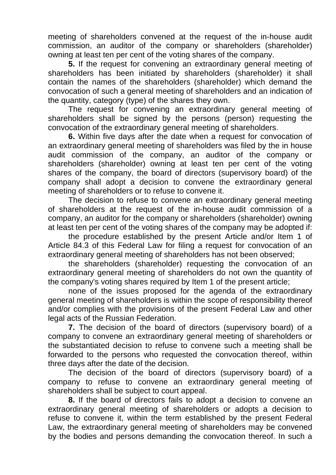meeting of shareholders convened at the request of the in-house audit commission, an auditor of the company or shareholders (shareholder) owning at least ten per cent of the voting shares of the company.

**5.** If the request for convening an extraordinary general meeting of shareholders has been initiated by shareholders (shareholder) it shall contain the names of the shareholders (shareholder) which demand the convocation of such a general meeting of shareholders and an indication of the quantity, category (type) of the shares they own.

The request for convening an extraordinary general meeting of shareholders shall be signed by the persons (person) requesting the convocation of the extraordinary general meeting of shareholders.

**6.** Within five days after the date when a request for convocation of an extraordinary general meeting of shareholders was filed by the in house audit commission of the company, an auditor of the company or shareholders (shareholder) owning at least ten per cent of the voting shares of the company, the board of directors (supervisory board) of the company shall adopt a decision to convene the extraordinary general meeting of shareholders or to refuse to convene it.

The decision to refuse to convene an extraordinary general meeting of shareholders at the request of the in-house audit commission of a company, an auditor for the company or shareholders (shareholder) owning at least ten per cent of the voting shares of the company may be adopted if:

the procedure established by the present Article and/or Item 1 of Article 84.3 of this Federal Law for filing a request for convocation of an extraordinary general meeting of shareholders has not been observed;

the shareholders (shareholder) requesting the convocation of an extraordinary general meeting of shareholders do not own the quantity of the company's voting shares required by Item 1 of the present article;

none of the issues proposed for the agenda of the extraordinary general meeting of shareholders is within the scope of responsibility thereof and/or complies with the provisions of the present Federal Law and other legal acts of the Russian Federation.

**7.** The decision of the board of directors (supervisory board) of a company to convene an extraordinary general meeting of shareholders or the substantiated decision to refuse to convene such a meeting shall be forwarded to the persons who requested the convocation thereof, within three days after the date of the decision.

The decision of the board of directors (supervisory board) of a company to refuse to convene an extraordinary general meeting of shareholders shall be subject to court appeal.

**8.** If the board of directors fails to adopt a decision to convene an extraordinary general meeting of shareholders or adopts a decision to refuse to convene it, within the term established by the present Federal Law, the extraordinary general meeting of shareholders may be convened by the bodies and persons demanding the convocation thereof. In such a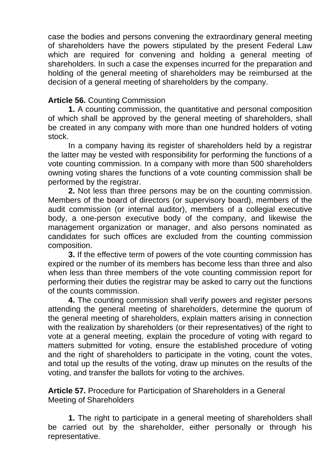case the bodies and persons convening the extraordinary general meeting of shareholders have the powers stipulated by the present Federal Law which are required for convening and holding a general meeting of shareholders. In such a case the expenses incurred for the preparation and holding of the general meeting of shareholders may be reimbursed at the decision of a general meeting of shareholders by the company.

### **Article 56.** Counting Commission

**1.** A counting commission, the quantitative and personal composition of which shall be approved by the general meeting of shareholders, shall be created in any company with more than one hundred holders of voting stock.

In a company having its register of shareholders held by a registrar the latter may be vested with responsibility for performing the functions of a vote counting commission. In a company with more than 500 shareholders owning voting shares the functions of a vote counting commission shall be performed by the registrar.

**2.** Not less than three persons may be on the counting commission. Members of the board of directors (or supervisory board), members of the audit commission (or internal auditor), members of a collegial executive body, a one-person executive body of the company, and likewise the management organization or manager, and also persons nominated as candidates for such offices are excluded from the counting commission composition.

**3.** If the effective term of powers of the vote counting commission has expired or the number of its members has become less than three and also when less than three members of the vote counting commission report for performing their duties the registrar may be asked to carry out the functions of the counts commission.

**4.** The counting commission shall verify powers and register persons attending the general meeting of shareholders, determine the quorum of the general meeting of shareholders, explain matters arising in connection with the realization by shareholders (or their representatives) of the right to vote at a general meeting, explain the procedure of voting with regard to matters submitted for voting, ensure the established procedure of voting and the right of shareholders to participate in the voting, count the votes, and total up the results of the voting, draw up minutes on the results of the voting, and transfer the ballots for voting to the archives.

**Article 57.** Procedure for Participation of Shareholders in a General Meeting of Shareholders

**1.** The right to participate in a general meeting of shareholders shall be carried out by the shareholder, either personally or through his representative.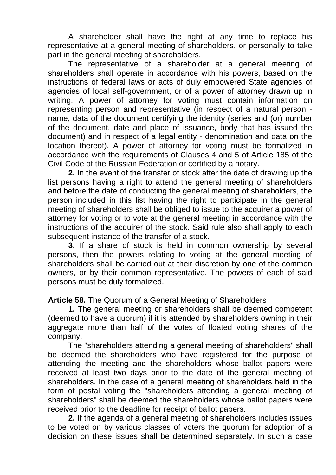A shareholder shall have the right at any time to replace his representative at a general meeting of shareholders, or personally to take part in the general meeting of shareholders.

The representative of a shareholder at a general meeting of shareholders shall operate in accordance with his powers, based on the instructions of federal laws or acts of duly empowered State agencies of agencies of local self-government, or of a power of attorney drawn up in writing. A power of attorney for voting must contain information on representing person and representative (in respect of a natural person name, data of the document certifying the identity (series and (or) number of the document, date and place of issuance, body that has issued the document) and in respect of a legal entity - denomination and data on the location thereof). A power of attorney for voting must be formalized in accordance with the requirements of Clauses 4 and 5 of Article 185 of the Civil Code of the Russian Federation or certified by a notary.

**2.** In the event of the transfer of stock after the date of drawing up the list persons having a right to attend the general meeting of shareholders and before the date of conducting the general meeting of shareholders, the person included in this list having the right to participate in the general meeting of shareholders shall be obliged to issue to the acquirer a power of attorney for voting or to vote at the general meeting in accordance with the instructions of the acquirer of the stock. Said rule also shall apply to each subsequent instance of the transfer of a stock.

**3.** If a share of stock is held in common ownership by several persons, then the powers relating to voting at the general meeting of shareholders shall be carried out at their discretion by one of the common owners, or by their common representative. The powers of each of said persons must be duly formalized.

**Article 58.** The Quorum of a General Meeting of Shareholders

**1.** The general meeting or shareholders shall be deemed competent (deemed to have a quorum) if it is attended by shareholders owning in their aggregate more than half of the votes of floated voting shares of the company.

The "shareholders attending a general meeting of shareholders" shall be deemed the shareholders who have registered for the purpose of attending the meeting and the shareholders whose ballot papers were received at least two days prior to the date of the general meeting of shareholders. In the case of a general meeting of shareholders held in the form of postal voting the "shareholders attending a general meeting of shareholders" shall be deemed the shareholders whose ballot papers were received prior to the deadline for receipt of ballot papers.

**2.** If the agenda of a general meeting of shareholders includes issues to be voted on by various classes of voters the quorum for adoption of a decision on these issues shall be determined separately. In such a case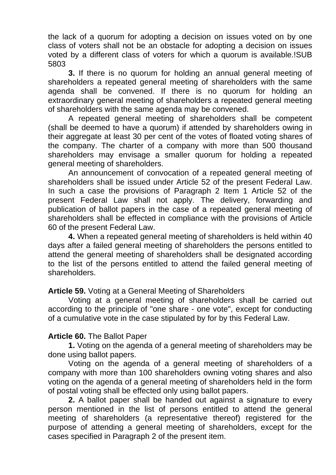the lack of a quorum for adopting a decision on issues voted on by one class of voters shall not be an obstacle for adopting a decision on issues voted by a different class of voters for which a quorum is available.!SUB 5803

**3.** If there is no quorum for holding an annual general meeting of shareholders a repeated general meeting of shareholders with the same agenda shall be convened. If there is no quorum for holding an extraordinary general meeting of shareholders a repeated general meeting of shareholders with the same agenda may be convened.

A repeated general meeting of shareholders shall be competent (shall be deemed to have a quorum) if attended by shareholders owing in their aggregate at least 30 per cent of the votes of floated voting shares of the company. The charter of a company with more than 500 thousand shareholders may envisage a smaller quorum for holding a repeated general meeting of shareholders.

An announcement of convocation of a repeated general meeting of shareholders shall be issued under Article 52 of the present Federal Law. In such a case the provisions of Paragraph 2 Item 1 Article 52 of the present Federal Law shall not apply. The delivery, forwarding and publication of ballot papers in the case of a repeated general meeting of shareholders shall be effected in compliance with the provisions of Article 60 of the present Federal Law.

**4.** When a repeated general meeting of shareholders is held within 40 days after a failed general meeting of shareholders the persons entitled to attend the general meeting of shareholders shall be designated according to the list of the persons entitled to attend the failed general meeting of shareholders.

### **Article 59.** Voting at a General Meeting of Shareholders

Voting at a general meeting of shareholders shall be carried out according to the principle of "one share - one vote", except for conducting of a cumulative vote in the case stipulated by for by this Federal Law.

### **Article 60.** The Ballot Paper

**1.** Voting on the agenda of a general meeting of shareholders may be done using ballot papers.

Voting on the agenda of a general meeting of shareholders of a company with more than 100 shareholders owning voting shares and also voting on the agenda of a general meeting of shareholders held in the form of postal voting shall be effected only using ballot papers.

**2.** A ballot paper shall be handed out against a signature to every person mentioned in the list of persons entitled to attend the general meeting of shareholders (a representative thereof) registered for the purpose of attending a general meeting of shareholders, except for the cases specified in Paragraph 2 of the present item.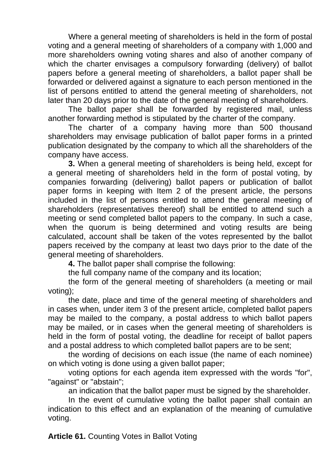Where a general meeting of shareholders is held in the form of postal voting and a general meeting of shareholders of a company with 1,000 and more shareholders owning voting shares and also of another company of which the charter envisages a compulsory forwarding (delivery) of ballot papers before a general meeting of shareholders, a ballot paper shall be forwarded or delivered against a signature to each person mentioned in the list of persons entitled to attend the general meeting of shareholders, not later than 20 days prior to the date of the general meeting of shareholders.

The ballot paper shall be forwarded by registered mail, unless another forwarding method is stipulated by the charter of the company.

The charter of a company having more than 500 thousand shareholders may envisage publication of ballot paper forms in a printed publication designated by the company to which all the shareholders of the company have access.

**3.** When a general meeting of shareholders is being held, except for a general meeting of shareholders held in the form of postal voting, by companies forwarding (delivering) ballot papers or publication of ballot paper forms in keeping with Item 2 of the present article, the persons included in the list of persons entitled to attend the general meeting of shareholders (representatives thereof) shall be entitled to attend such a meeting or send completed ballot papers to the company. In such a case, when the quorum is being determined and voting results are being calculated, account shall be taken of the votes represented by the ballot papers received by the company at least two days prior to the date of the general meeting of shareholders.

**4.** The ballot paper shall comprise the following:

the full company name of the company and its location;

the form of the general meeting of shareholders (a meeting or mail voting);

the date, place and time of the general meeting of shareholders and in cases when, under item 3 of the present article, completed ballot papers may be mailed to the company, a postal address to which ballot papers may be mailed, or in cases when the general meeting of shareholders is held in the form of postal voting, the deadline for receipt of ballot papers and a postal address to which completed ballot papers are to be sent;

the wording of decisions on each issue (the name of each nominee) on which voting is done using a given ballot paper;

voting options for each agenda item expressed with the words "for", "against" or "abstain";

an indication that the ballot paper must be signed by the shareholder.

In the event of cumulative voting the ballot paper shall contain an indication to this effect and an explanation of the meaning of cumulative voting.

**Article 61.** Counting Votes in Ballot Voting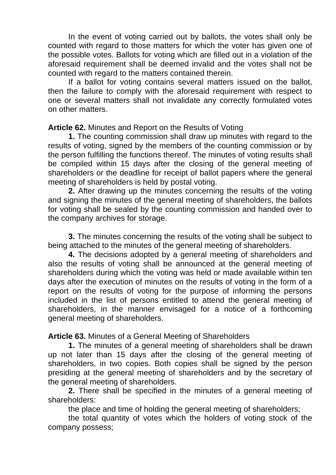In the event of voting carried out by ballots, the votes shall only be counted with regard to those matters for which the voter has given one of the possible votes. Ballots for voting which are filled out in a violation of the aforesaid requirement shall be deemed invalid and the votes shall not be counted with regard to the matters contained therein.

If a ballot for voting contains several matters issued on the ballot, then the failure to comply with the aforesaid requirement with respect to one or several matters shall not invalidate any correctly formulated votes on other matters.

**Article 62.** Minutes and Report on the Results of Voting

**1.** The counting commission shall draw up minutes with regard to the results of voting, signed by the members of the counting commission or by the person fulfilling the functions thereof. The minutes of voting results shall be compiled within 15 days after the closing of the general meeting of shareholders or the deadline for receipt of ballot papers where the general meeting of shareholders is held by postal voting.

**2.** After drawing up the minutes concerning the results of the voting and signing the minutes of the general meeting of shareholders, the ballots for voting shall be sealed by the counting commission and handed over to the company archives for storage.

**3.** The minutes concerning the results of the voting shall be subject to being attached to the minutes of the general meeting of shareholders.

**4.** The decisions adopted by a general meeting of shareholders and also the results of voting shall be announced at the general meeting of shareholders during which the voting was held or made available within ten days after the execution of minutes on the results of voting in the form of a report on the results of voting for the purpose of informing the persons included in the list of persons entitled to attend the general meeting of shareholders, in the manner envisaged for a notice of a forthcoming general meeting of shareholders.

**Article 63.** Minutes of a General Meeting of Shareholders

**1.** The minutes of a general meeting of shareholders shall be drawn up not later than 15 days after the closing of the general meeting of shareholders, in two copies. Both copies shall be signed by the person presiding at the general meeting of shareholders and by the secretary of the general meeting of shareholders.

**2.** There shall be specified in the minutes of a general meeting of shareholders:

the place and time of holding the general meeting of shareholders;

the total quantity of votes which the holders of voting stock of the company possess;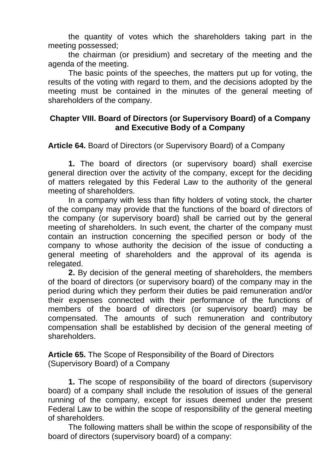the quantity of votes which the shareholders taking part in the meeting possessed;

the chairman (or presidium) and secretary of the meeting and the agenda of the meeting.

The basic points of the speeches, the matters put up for voting, the results of the voting with regard to them, and the decisions adopted by the meeting must be contained in the minutes of the general meeting of shareholders of the company.

### **Chapter VIII. Board of Directors (or Supervisory Board) of a Company and Executive Body of a Company**

**Article 64.** Board of Directors (or Supervisory Board) of a Company

**1.** The board of directors (or supervisory board) shall exercise general direction over the activity of the company, except for the deciding of matters relegated by this Federal Law to the authority of the general meeting of shareholders.

In a company with less than fifty holders of voting stock, the charter of the company may provide that the functions of the board of directors of the company (or supervisory board) shall be carried out by the general meeting of shareholders. In such event, the charter of the company must contain an instruction concerning the specified person or body of the company to whose authority the decision of the issue of conducting a general meeting of shareholders and the approval of its agenda is relegated.

**2.** By decision of the general meeting of shareholders, the members of the board of directors (or supervisory board) of the company may in the period during which they perform their duties be paid remuneration and/or their expenses connected with their performance of the functions of members of the board of directors (or supervisory board) may be compensated. The amounts of such remuneration and contributory compensation shall be established by decision of the general meeting of shareholders.

**Article 65.** The Scope of Responsibility of the Board of Directors (Supervisory Board) of a Company

**1.** The scope of responsibility of the board of directors (supervisory board) of a company shall include the resolution of issues of the general running of the company, except for issues deemed under the present Federal Law to be within the scope of responsibility of the general meeting of shareholders.

The following matters shall be within the scope of responsibility of the board of directors (supervisory board) of a company: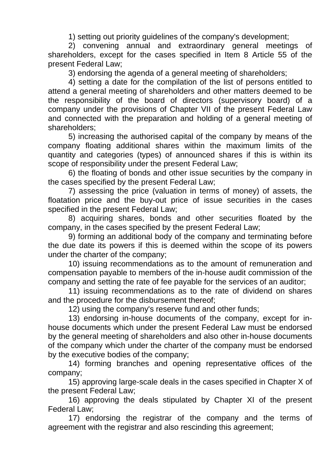1) setting out priority guidelines of the company's development;

2) convening annual and extraordinary general meetings of shareholders, except for the cases specified in Item 8 Article 55 of the present Federal Law;

3) endorsing the agenda of a general meeting of shareholders;

4) setting a date for the compilation of the list of persons entitled to attend a general meeting of shareholders and other matters deemed to be the responsibility of the board of directors (supervisory board) of a company under the provisions of Chapter VII of the present Federal Law and connected with the preparation and holding of a general meeting of shareholders;

5) increasing the authorised capital of the company by means of the company floating additional shares within the maximum limits of the quantity and categories (types) of announced shares if this is within its scope of responsibility under the present Federal Law;

6) the floating of bonds and other issue securities by the company in the cases specified by the present Federal Law;

7) assessing the price (valuation in terms of money) of assets, the floatation price and the buy-out price of issue securities in the cases specified in the present Federal Law;

8) acquiring shares, bonds and other securities floated by the company, in the cases specified by the present Federal Law;

9) forming an additional body of the company and terminating before the due date its powers if this is deemed within the scope of its powers under the charter of the company;

10) issuing recommendations as to the amount of remuneration and compensation payable to members of the in-house audit commission of the company and setting the rate of fee payable for the services of an auditor;

11) issuing recommendations as to the rate of dividend on shares and the procedure for the disbursement thereof;

12) using the company's reserve fund and other funds;

13) endorsing in-house documents of the company, except for inhouse documents which under the present Federal Law must be endorsed by the general meeting of shareholders and also other in-house documents of the company which under the charter of the company must be endorsed by the executive bodies of the company;

14) forming branches and opening representative offices of the company;

15) approving large-scale deals in the cases specified in Chapter X of the present Federal Law;

16) approving the deals stipulated by Chapter XI of the present Federal Law;

17) endorsing the registrar of the company and the terms of agreement with the registrar and also rescinding this agreement;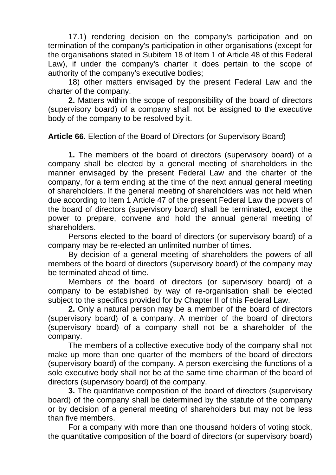17.1) rendering decision on the company's participation and on termination of the company's participation in other organisations (except for the organisations stated in Subitem 18 of Item 1 of Article 48 of this Federal Law), if under the company's charter it does pertain to the scope of authority of the company's executive bodies;

18) other matters envisaged by the present Federal Law and the charter of the company.

**2.** Matters within the scope of responsibility of the board of directors (supervisory board) of a company shall not be assigned to the executive body of the company to be resolved by it.

**Article 66.** Election of the Board of Directors (or Supervisory Board)

**1.** The members of the board of directors (supervisory board) of a company shall be elected by a general meeting of shareholders in the manner envisaged by the present Federal Law and the charter of the company, for a term ending at the time of the next annual general meeting of shareholders. If the general meeting of shareholders was not held when due according to Item 1 Article 47 of the present Federal Law the powers of the board of directors (supervisory board) shall be terminated, except the power to prepare, convene and hold the annual general meeting of shareholders.

Persons elected to the board of directors (or supervisory board) of a company may be re-elected an unlimited number of times.

By decision of a general meeting of shareholders the powers of all members of the board of directors (supervisory board) of the company may be terminated ahead of time.

Members of the board of directors (or supervisory board) of a company to be established by way of re-organisation shall be elected subject to the specifics provided for by Chapter II of this Federal Law.

**2.** Only a natural person may be a member of the board of directors (supervisory board) of a company. A member of the board of directors (supervisory board) of a company shall not be a shareholder of the company.

The members of a collective executive body of the company shall not make up more than one quarter of the members of the board of directors (supervisory board) of the company. A person exercising the functions of a sole executive body shall not be at the same time chairman of the board of directors (supervisory board) of the company.

**3.** The quantitative composition of the board of directors (supervisory board) of the company shall be determined by the statute of the company or by decision of a general meeting of shareholders but may not be less than five members.

For a company with more than one thousand holders of voting stock, the quantitative composition of the board of directors (or supervisory board)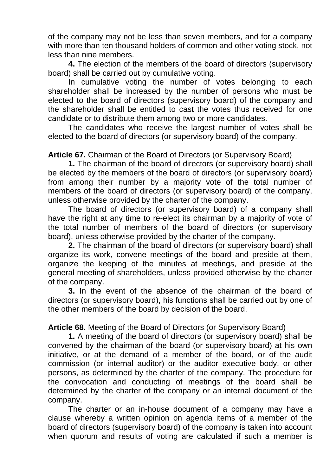of the company may not be less than seven members, and for a company with more than ten thousand holders of common and other voting stock, not less than nine members.

**4.** The election of the members of the board of directors (supervisory board) shall be carried out by cumulative voting.

In cumulative voting the number of votes belonging to each shareholder shall be increased by the number of persons who must be elected to the board of directors (supervisory board) of the company and the shareholder shall be entitled to cast the votes thus received for one candidate or to distribute them among two or more candidates.

The candidates who receive the largest number of votes shall be elected to the board of directors (or supervisory board) of the company.

**Article 67.** Chairman of the Board of Directors (or Supervisory Board)

**1.** The chairman of the board of directors (or supervisory board) shall be elected by the members of the board of directors (or supervisory board) from among their number by a majority vote of the total number of members of the board of directors (or supervisory board) of the company, unless otherwise provided by the charter of the company.

The board of directors (or supervisory board) of a company shall have the right at any time to re-elect its chairman by a majority of vote of the total number of members of the board of directors (or supervisory board), unless otherwise provided by the charter of the company.

**2.** The chairman of the board of directors (or supervisory board) shall organize its work, convene meetings of the board and preside at them, organize the keeping of the minutes at meetings, and preside at the general meeting of shareholders, unless provided otherwise by the charter of the company.

**3.** In the event of the absence of the chairman of the board of directors (or supervisory board), his functions shall be carried out by one of the other members of the board by decision of the board.

**Article 68.** Meeting of the Board of Directors (or Supervisory Board)

**1.** A meeting of the board of directors (or supervisory board) shall be convened by the chairman of the board (or supervisory board) at his own initiative, or at the demand of a member of the board, or of the audit commission (or internal auditor) or the auditor executive body, or other persons, as determined by the charter of the company. The procedure for the convocation and conducting of meetings of the board shall be determined by the charter of the company or an internal document of the company.

The charter or an in-house document of a company may have a clause whereby a written opinion on agenda items of a member of the board of directors (supervisory board) of the company is taken into account when quorum and results of voting are calculated if such a member is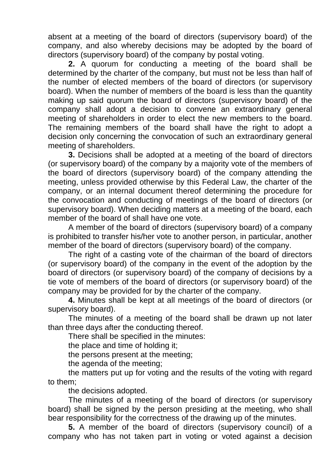absent at a meeting of the board of directors (supervisory board) of the company, and also whereby decisions may be adopted by the board of directors (supervisory board) of the company by postal voting.

**2.** A quorum for conducting a meeting of the board shall be determined by the charter of the company, but must not be less than half of the number of elected members of the board of directors (or supervisory board). When the number of members of the board is less than the quantity making up said quorum the board of directors (supervisory board) of the company shall adopt a decision to convene an extraordinary general meeting of shareholders in order to elect the new members to the board. The remaining members of the board shall have the right to adopt a decision only concerning the convocation of such an extraordinary general meeting of shareholders.

**3.** Decisions shall be adopted at a meeting of the board of directors (or supervisory board) of the company by a majority vote of the members of the board of directors (supervisory board) of the company attending the meeting, unless provided otherwise by this Federal Law, the charter of the company, or an internal document thereof determining the procedure for the convocation and conducting of meetings of the board of directors (or supervisory board). When deciding matters at a meeting of the board, each member of the board of shall have one vote.

A member of the board of directors (supervisory board) of a company is prohibited to transfer his/her vote to another person, in particular, another member of the board of directors (supervisory board) of the company.

The right of a casting vote of the chairman of the board of directors (or supervisory board) of the company in the event of the adoption by the board of directors (or supervisory board) of the company of decisions by a tie vote of members of the board of directors (or supervisory board) of the company may be provided for by the charter of the company.

**4.** Minutes shall be kept at all meetings of the board of directors (or supervisory board).

The minutes of a meeting of the board shall be drawn up not later than three days after the conducting thereof.

There shall be specified in the minutes:

the place and time of holding it;

the persons present at the meeting;

the agenda of the meeting;

the matters put up for voting and the results of the voting with regard to them;

the decisions adopted.

The minutes of a meeting of the board of directors (or supervisory board) shall be signed by the person presiding at the meeting, who shall bear responsibility for the correctness of the drawing up of the minutes.

**5.** A member of the board of directors (supervisory council) of a company who has not taken part in voting or voted against a decision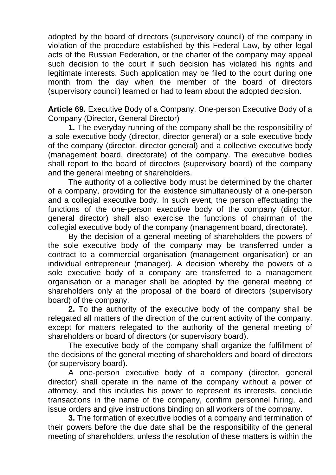adopted by the board of directors (supervisory council) of the company in violation of the procedure established by this Federal Law, by other legal acts of the Russian Federation, or the charter of the company may appeal such decision to the court if such decision has violated his rights and legitimate interests. Such application may be filed to the court during one month from the day when the member of the board of directors (supervisory council) learned or had to learn about the adopted decision.

**Article 69.** Executive Body of a Company. One-person Executive Body of a Company (Director, General Director)

**1.** The everyday running of the company shall be the responsibility of a sole executive body (director, director general) or a sole executive body of the company (director, director general) and a collective executive body (management board, directorate) of the company. The executive bodies shall report to the board of directors (supervisory board) of the company and the general meeting of shareholders.

The authority of a collective body must be determined by the charter of a company, providing for the existence simultaneously of a one-person and a collegial executive body. In such event, the person effectuating the functions of the one-person executive body of the company (director, general director) shall also exercise the functions of chairman of the collegial executive body of the company (management board, directorate).

By the decision of a general meeting of shareholders the powers of the sole executive body of the company may be transferred under a contract to a commercial organisation (management organisation) or an individual entrepreneur (manager). A decision whereby the powers of a sole executive body of a company are transferred to a management organisation or a manager shall be adopted by the general meeting of shareholders only at the proposal of the board of directors (supervisory board) of the company.

**2.** To the authority of the executive body of the company shall be relegated all matters of the direction of the current activity of the company, except for matters relegated to the authority of the general meeting of shareholders or board of directors (or supervisory board).

The executive body of the company shall organize the fulfillment of the decisions of the general meeting of shareholders and board of directors (or supervisory board).

A one-person executive body of a company (director, general director) shall operate in the name of the company without a power of attorney, and this includes his power to represent its interests, conclude transactions in the name of the company, confirm personnel hiring, and issue orders and give instructions binding on all workers of the company.

**3.** The formation of executive bodies of a company and termination of their powers before the due date shall be the responsibility of the general meeting of shareholders, unless the resolution of these matters is within the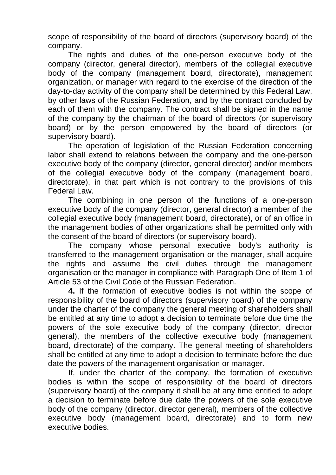scope of responsibility of the board of directors (supervisory board) of the company.

The rights and duties of the one-person executive body of the company (director, general director), members of the collegial executive body of the company (management board, directorate), management organization, or manager with regard to the exercise of the direction of the day-to-day activity of the company shall be determined by this Federal Law, by other laws of the Russian Federation, and by the contract concluded by each of them with the company. The contract shall be signed in the name of the company by the chairman of the board of directors (or supervisory board) or by the person empowered by the board of directors (or supervisory board).

The operation of legislation of the Russian Federation concerning labor shall extend to relations between the company and the one-person executive body of the company (director, general director) and/or members of the collegial executive body of the company (management board, directorate), in that part which is not contrary to the provisions of this Federal Law.

The combining in one person of the functions of a one-person executive body of the company (director, general director) a member of the collegial executive body (management board, directorate), or of an office in the management bodies of other organizations shall be permitted only with the consent of the board of directors (or supervisory board).

The company whose personal executive body's authority is transferred to the management organisation or the manager, shall acquire the rights and assume the civil duties through the management organisation or the manager in compliance with Paragraph One of Item 1 of Article 53 of the Civil Code of the Russian Federation.

**4.** If the formation of executive bodies is not within the scope of responsibility of the board of directors (supervisory board) of the company under the charter of the company the general meeting of shareholders shall be entitled at any time to adopt a decision to terminate before due time the powers of the sole executive body of the company (director, director general), the members of the collective executive body (management board, directorate) of the company. The general meeting of shareholders shall be entitled at any time to adopt a decision to terminate before the due date the powers of the management organisation or manager.

If, under the charter of the company, the formation of executive bodies is within the scope of responsibility of the board of directors (supervisory board) of the company it shall be at any time entitled to adopt a decision to terminate before due date the powers of the sole executive body of the company (director, director general), members of the collective executive body (management board, directorate) and to form new executive bodies.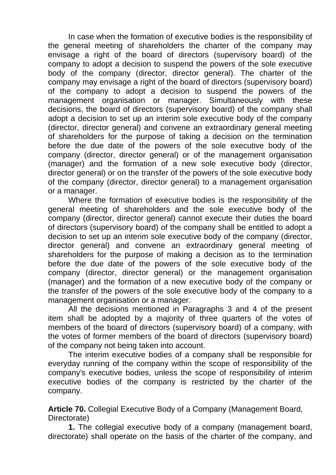In case when the formation of executive bodies is the responsibility of the general meeting of shareholders the charter of the company may envisage a right of the board of directors (supervisory board) of the company to adopt a decision to suspend the powers of the sole executive body of the company (director, director general). The charter of the company may envisage a right of the board of directors (supervisory board) of the company to adopt a decision to suspend the powers of the management organisation or manager. Simultaneously with these decisions, the board of directors (supervisory board) of the company shall adopt a decision to set up an interim sole executive body of the company (director, director general) and convene an extraordinary general meeting of shareholders for the purpose of taking a decision on the termination before the due date of the powers of the sole executive body of the company (director, director general) or of the management organisation (manager) and the formation of a new sole executive body (director, director general) or on the transfer of the powers of the sole executive body of the company (director, director general) to a management organisation or a manager.

Where the formation of executive bodies is the responsibility of the general meeting of shareholders and the sole executive body of the company (director, director general) cannot execute their duties the board of directors (supervisory board) of the company shall be entitled to adopt a decision to set up an interim sole executive body of the company (director, director general) and convene an extraordinary general meeting of shareholders for the purpose of making a decision as to the termination before the due date of the powers of the sole executive body of the company (director, director general) or the management organisation (manager) and the formation of a new executive body of the company or the transfer of the powers of the sole executive body of the company to a management organisation or a manager.

All the decisions mentioned in Paragraphs 3 and 4 of the present item shall be adopted by a majority of three quarters of the votes of members of the board of directors (supervisory board) of a company, with the votes of former members of the board of directors (supervisory board) of the company not being taken into account.

The interim executive bodies of a company shall be responsible for everyday running of the company within the scope of responsibility of the company's executive bodies, unless the scope of responsibility of interim executive bodies of the company is restricted by the charter of the company.

**Article 70.** Collegial Executive Body of a Company (Management Board, Directorate)

**1.** The collegial executive body of a company (management board, directorate) shall operate on the basis of the charter of the company, and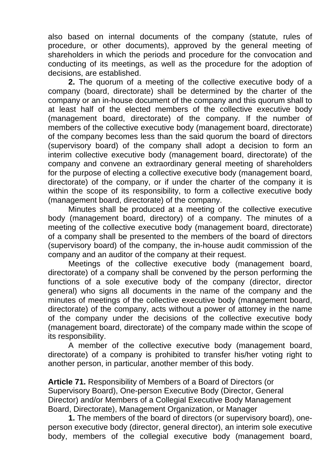also based on internal documents of the company (statute, rules of procedure, or other documents), approved by the general meeting of shareholders in which the periods and procedure for the convocation and conducting of its meetings, as well as the procedure for the adoption of decisions, are established.

**2.** The quorum of a meeting of the collective executive body of a company (board, directorate) shall be determined by the charter of the company or an in-house document of the company and this quorum shall to at least half of the elected members of the collective executive body (management board, directorate) of the company. If the number of members of the collective executive body (management board, directorate) of the company becomes less than the said quorum the board of directors (supervisory board) of the company shall adopt a decision to form an interim collective executive body (management board, directorate) of the company and convene an extraordinary general meeting of shareholders for the purpose of electing a collective executive body (management board, directorate) of the company, or if under the charter of the company it is within the scope of its responsibility, to form a collective executive body (management board, directorate) of the company.

Minutes shall be produced at a meeting of the collective executive body (management board, directory) of a company. The minutes of a meeting of the collective executive body (management board, directorate) of a company shall be presented to the members of the board of directors (supervisory board) of the company, the in-house audit commission of the company and an auditor of the company at their request.

Meetings of the collective executive body (management board, directorate) of a company shall be convened by the person performing the functions of a sole executive body of the company (director, director general) who signs all documents in the name of the company and the minutes of meetings of the collective executive body (management board, directorate) of the company, acts without a power of attorney in the name of the company under the decisions of the collective executive body (management board, directorate) of the company made within the scope of its responsibility.

A member of the collective executive body (management board, directorate) of a company is prohibited to transfer his/her voting right to another person, in particular, another member of this body.

**Article 71.** Responsibility of Members of a Board of Directors (or Supervisory Board), One-person Executive Body (Director, General Director) and/or Members of a Collegial Executive Body Management Board, Directorate), Management Organization, or Manager

**1.** The members of the board of directors (or supervisory board), oneperson executive body (director, general director), an interim sole executive body, members of the collegial executive body (management board,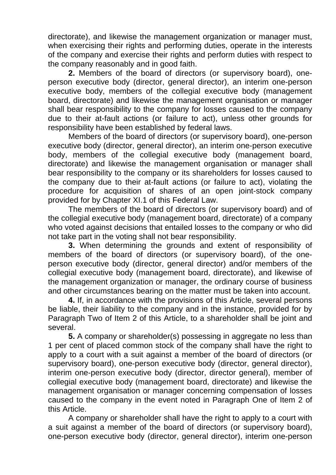directorate), and likewise the management organization or manager must, when exercising their rights and performing duties, operate in the interests of the company and exercise their rights and perform duties with respect to the company reasonably and in good faith.

**2.** Members of the board of directors (or supervisory board), oneperson executive body (director, general director), an interim one-person executive body, members of the collegial executive body (management board, directorate) and likewise the management organisation or manager shall bear responsibility to the company for losses caused to the company due to their at-fault actions (or failure to act), unless other grounds for responsibility have been established by federal laws.

Members of the board of directors (or supervisory board), one-person executive body (director, general director), an interim one-person executive body, members of the collegial executive body (management board, directorate) and likewise the management organisation or manager shall bear responsibility to the company or its shareholders for losses caused to the company due to their at-fault actions (or failure to act), violating the procedure for acquisition of shares of an open joint-stock company provided for by Chapter XI.1 of this Federal Law.

The members of the board of directors (or supervisory board) and of the collegial executive body (management board, directorate) of a company who voted against decisions that entailed losses to the company or who did not take part in the voting shall not bear responsibility.

**3.** When determining the grounds and extent of responsibility of members of the board of directors (or supervisory board), of the oneperson executive body (director, general director) and/or members of the collegial executive body (management board, directorate), and likewise of the management organization or manager, the ordinary course of business and other circumstances bearing on the matter must be taken into account.

**4.** If, in accordance with the provisions of this Article, several persons be liable, their liability to the company and in the instance, provided for by Paragraph Two of Item 2 of this Article, to a shareholder shall be joint and several.

**5.** A company or shareholder(s) possessing in aggregate no less than 1 per cent of placed common stock of the company shall have the right to apply to a court with a suit against a member of the board of directors (or supervisory board), one-person executive body (director, general director), interim one-person executive body (director, director general), member of collegial executive body (management board, directorate) and likewise the management organisation or manager concerning compensation of losses caused to the company in the event noted in Paragraph One of Item 2 of this Article.

A company or shareholder shall have the right to apply to a court with a suit against a member of the board of directors (or supervisory board), one-person executive body (director, general director), interim one-person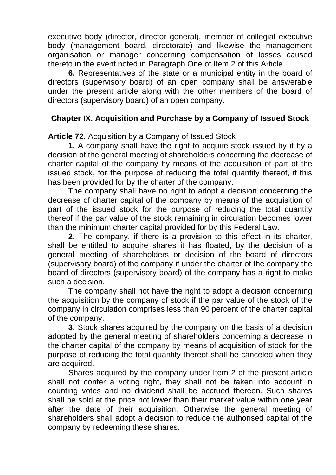executive body (director, director general), member of collegial executive body (management board, directorate) and likewise the management organisation or manager concerning compensation of losses caused thereto in the event noted in Paragraph One of Item 2 of this Article.

**6.** Representatives of the state or a municipal entity in the board of directors (supervisory board) of an open company shall be answerable under the present article along with the other members of the board of directors (supervisory board) of an open company.

## **Chapter IX. Acquisition and Purchase by a Company of Issued Stock**

**Article 72.** Acquisition by a Company of Issued Stock

**1.** A company shall have the right to acquire stock issued by it by a decision of the general meeting of shareholders concerning the decrease of charter capital of the company by means of the acquisition of part of the issued stock, for the purpose of reducing the total quantity thereof, if this has been provided for by the charter of the company.

The company shall have no right to adopt a decision concerning the decrease of charter capital of the company by means of the acquisition of part of the issued stock for the purpose of reducing the total quantity thereof if the par value of the stock remaining in circulation becomes lower than the minimum charter capital provided for by this Federal Law.

**2.** The company, if there is a provision to this effect in its charter, shall be entitled to acquire shares it has floated, by the decision of a general meeting of shareholders or decision of the board of directors (supervisory board) of the company if under the charter of the company the board of directors (supervisory board) of the company has a right to make such a decision.

The company shall not have the right to adopt a decision concerning the acquisition by the company of stock if the par value of the stock of the company in circulation comprises less than 90 percent of the charter capital of the company.

**3.** Stock shares acquired by the company on the basis of a decision adopted by the general meeting of shareholders concerning a decrease in the charter capital of the company by means of acquisition of stock for the purpose of reducing the total quantity thereof shall be canceled when they are acquired.

Shares acquired by the company under Item 2 of the present article shall not confer a voting right, they shall not be taken into account in counting votes and no dividend shall be accrued thereon. Such shares shall be sold at the price not lower than their market value within one year after the date of their acquisition. Otherwise the general meeting of shareholders shall adopt a decision to reduce the authorised capital of the company by redeeming these shares.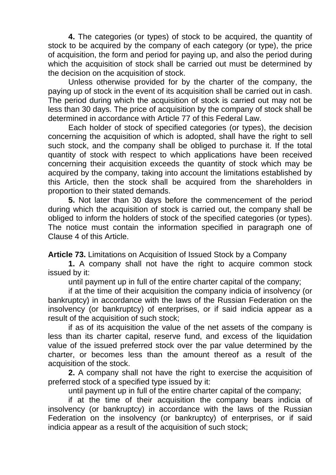**4.** The categories (or types) of stock to be acquired, the quantity of stock to be acquired by the company of each category (or type), the price of acquisition, the form and period for paying up, and also the period during which the acquisition of stock shall be carried out must be determined by the decision on the acquisition of stock.

Unless otherwise provided for by the charter of the company, the paying up of stock in the event of its acquisition shall be carried out in cash. The period during which the acquisition of stock is carried out may not be less than 30 days. The price of acquisition by the company of stock shall be determined in accordance with Article 77 of this Federal Law.

Each holder of stock of specified categories (or types), the decision concerning the acquisition of which is adopted, shall have the right to sell such stock, and the company shall be obliged to purchase it. If the total quantity of stock with respect to which applications have been received concerning their acquisition exceeds the quantity of stock which may be acquired by the company, taking into account the limitations established by this Article, then the stock shall be acquired from the shareholders in proportion to their stated demands.

**5.** Not later than 30 days before the commencement of the period during which the acquisition of stock is carried out, the company shall be obliged to inform the holders of stock of the specified categories (or types). The notice must contain the information specified in paragraph one of Clause 4 of this Article.

**Article 73.** Limitations on Acquisition of Issued Stock by a Company

**1.** A company shall not have the right to acquire common stock issued by it:

until payment up in full of the entire charter capital of the company;

if at the time of their acquisition the company indicia of insolvency (or bankruptcy) in accordance with the laws of the Russian Federation on the insolvency (or bankruptcy) of enterprises, or if said indicia appear as a result of the acquisition of such stock;

if as of its acquisition the value of the net assets of the company is less than its charter capital, reserve fund, and excess of the liquidation value of the issued preferred stock over the par value determined by the charter, or becomes less than the amount thereof as a result of the acquisition of the stock.

**2.** A company shall not have the right to exercise the acquisition of preferred stock of a specified type issued by it:

until payment up in full of the entire charter capital of the company;

if at the time of their acquisition the company bears indicia of insolvency (or bankruptcy) in accordance with the laws of the Russian Federation on the insolvency (or bankruptcy) of enterprises, or if said indicia appear as a result of the acquisition of such stock;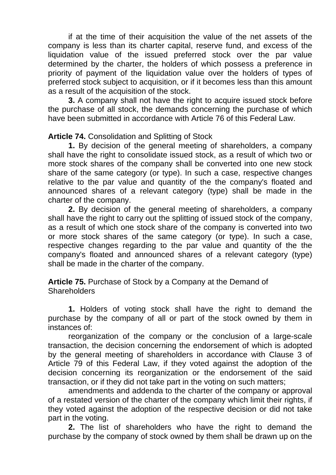if at the time of their acquisition the value of the net assets of the company is less than its charter capital, reserve fund, and excess of the liquidation value of the issued preferred stock over the par value determined by the charter, the holders of which possess a preference in priority of payment of the liquidation value over the holders of types of preferred stock subject to acquisition, or if it becomes less than this amount as a result of the acquisition of the stock.

**3.** A company shall not have the right to acquire issued stock before the purchase of all stock, the demands concerning the purchase of which have been submitted in accordance with Article 76 of this Federal Law.

**Article 74.** Consolidation and Splitting of Stock

**1.** By decision of the general meeting of shareholders, a company shall have the right to consolidate issued stock, as a result of which two or more stock shares of the company shall be converted into one new stock share of the same category (or type). In such a case, respective changes relative to the par value and quantity of the the company's floated and announced shares of a relevant category (type) shall be made in the charter of the company.

**2.** By decision of the general meeting of shareholders, a company shall have the right to carry out the splitting of issued stock of the company, as a result of which one stock share of the company is converted into two or more stock shares of the same category (or type). In such a case, respective changes regarding to the par value and quantity of the the company's floated and announced shares of a relevant category (type) shall be made in the charter of the company.

**Article 75.** Purchase of Stock by a Company at the Demand of **Shareholders** 

**1.** Holders of voting stock shall have the right to demand the purchase by the company of all or part of the stock owned by them in instances of:

reorganization of the company or the conclusion of a large-scale transaction, the decision concerning the endorsement of which is adopted by the general meeting of shareholders in accordance with Clause 3 of Article 79 of this Federal Law, if they voted against the adoption of the decision concerning its reorganization or the endorsement of the said transaction, or if they did not take part in the voting on such matters;

amendments and addenda to the charter of the company or approval of a restated version of the charter of the company which limit their rights, if they voted against the adoption of the respective decision or did not take part in the voting.

**2.** The list of shareholders who have the right to demand the purchase by the company of stock owned by them shall be drawn up on the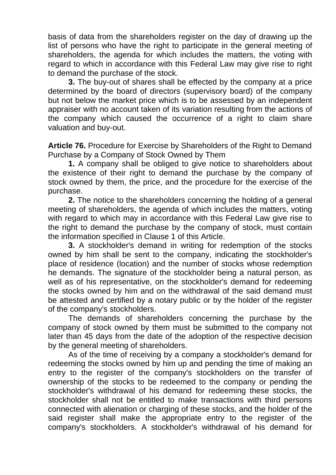basis of data from the shareholders register on the day of drawing up the list of persons who have the right to participate in the general meeting of shareholders, the agenda for which includes the matters, the voting with regard to which in accordance with this Federal Law may give rise to right to demand the purchase of the stock.

**3.** The buy-out of shares shall be effected by the company at a price determined by the board of directors (supervisory board) of the company but not below the market price which is to be assessed by an independent appraiser with no account taken of its variation resulting from the actions of the company which caused the occurrence of a right to claim share valuation and buy-out.

**Article 76.** Procedure for Exercise by Shareholders of the Right to Demand Purchase by a Company of Stock Owned by Them

**1.** A company shall be obliged to give notice to shareholders about the existence of their right to demand the purchase by the company of stock owned by them, the price, and the procedure for the exercise of the purchase.

**2.** The notice to the shareholders concerning the holding of a general meeting of shareholders, the agenda of which includes the matters, voting with regard to which may in accordance with this Federal Law give rise to the right to demand the purchase by the company of stock, must contain the information specified in Clause 1 of this Article.

**3.** A stockholder's demand in writing for redemption of the stocks owned by him shall be sent to the company, indicating the stockholder's place of residence (location) and the number of stocks whose redemption he demands. The signature of the stockholder being a natural person, as well as of his representative, on the stockholder's demand for redeeming the stocks owned by him and on the withdrawal of the said demand must be attested and certified by a notary public or by the holder of the register of the company's stockholders.

The demands of shareholders concerning the purchase by the company of stock owned by them must be submitted to the company not later than 45 days from the date of the adoption of the respective decision by the general meeting of shareholders.

As of the time of receiving by a company a stockholder's demand for redeeming the stocks owned by him up and pending the time of making an entry to the register of the company's stockholders on the transfer of ownership of the stocks to be redeemed to the company or pending the stockholder's withdrawal of his demand for redeeming these stocks, the stockholder shall not be entitled to make transactions with third persons connected with alienation or charging of these stocks, and the holder of the said register shall make the appropriate entry to the register of the company's stockholders. A stockholder's withdrawal of his demand for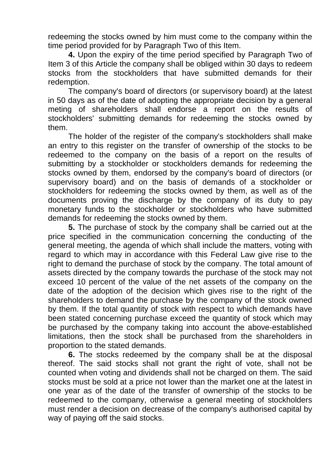redeeming the stocks owned by him must come to the company within the time period provided for by Paragraph Two of this Item.

**4.** Upon the expiry of the time period specified by Paragraph Two of Item 3 of this Article the company shall be obliged within 30 days to redeem stocks from the stockholders that have submitted demands for their redemption.

The company's board of directors (or supervisory board) at the latest in 50 days as of the date of adopting the appropriate decision by a general meting of shareholders shall endorse a report on the results of stockholders' submitting demands for redeeming the stocks owned by them.

The holder of the register of the company's stockholders shall make an entry to this register on the transfer of ownership of the stocks to be redeemed to the company on the basis of a report on the results of submitting by a stockholder or stockholders demands for redeeming the stocks owned by them, endorsed by the company's board of directors (or supervisory board) and on the basis of demands of a stockholder or stockholders for redeeming the stocks owned by them, as well as of the documents proving the discharge by the company of its duty to pay monetary funds to the stockholder or stockholders who have submitted demands for redeeming the stocks owned by them.

**5.** The purchase of stock by the company shall be carried out at the price specified in the communication concerning the conducting of the general meeting, the agenda of which shall include the matters, voting with regard to which may in accordance with this Federal Law give rise to the right to demand the purchase of stock by the company. The total amount of assets directed by the company towards the purchase of the stock may not exceed 10 percent of the value of the net assets of the company on the date of the adoption of the decision which gives rise to the right of the shareholders to demand the purchase by the company of the stock owned by them. If the total quantity of stock with respect to which demands have been stated concerning purchase exceed the quantity of stock which may be purchased by the company taking into account the above-established limitations, then the stock shall be purchased from the shareholders in proportion to the stated demands.

**6.** The stocks redeemed by the company shall be at the disposal thereof. The said stocks shall not grant the right of vote, shall not be counted when voting and dividends shall not be charged on them. The said stocks must be sold at a price not lower than the market one at the latest in one year as of the date of the transfer of ownership of the stocks to be redeemed to the company, otherwise a general meeting of stockholders must render a decision on decrease of the company's authorised capital by way of paying off the said stocks.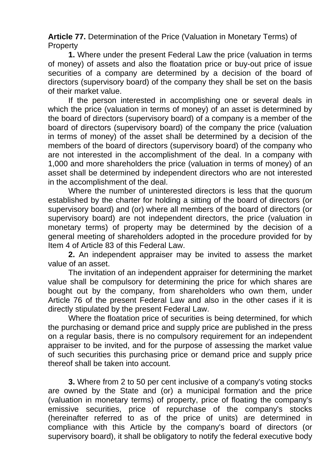**Article 77.** Determination of the Price (Valuation in Monetary Terms) of **Property** 

**1.** Where under the present Federal Law the price (valuation in terms of money) of assets and also the floatation price or buy-out price of issue securities of a company are determined by a decision of the board of directors (supervisory board) of the company they shall be set on the basis of their market value.

If the person interested in accomplishing one or several deals in which the price (valuation in terms of money) of an asset is determined by the board of directors (supervisory board) of a company is a member of the board of directors (supervisory board) of the company the price (valuation in terms of money) of the asset shall be determined by a decision of the members of the board of directors (supervisory board) of the company who are not interested in the accomplishment of the deal. In a company with 1,000 and more shareholders the price (valuation in terms of money) of an asset shall be determined by independent directors who are not interested in the accomplishment of the deal.

Where the number of uninterested directors is less that the quorum established by the charter for holding a sitting of the board of directors (or supervisory board) and (or) where all members of the board of directors (or supervisory board) are not independent directors, the price (valuation in monetary terms) of property may be determined by the decision of a general meeting of shareholders adopted in the procedure provided for by Item 4 of Article 83 of this Federal Law.

**2.** An independent appraiser may be invited to assess the market value of an asset.

The invitation of an independent appraiser for determining the market value shall be compulsory for determining the price for which shares are bought out by the company, from shareholders who own them, under Article 76 of the present Federal Law and also in the other cases if it is directly stipulated by the present Federal Law.

Where the floatation price of securities is being determined, for which the purchasing or demand price and supply price are published in the press on a regular basis, there is no compulsory requirement for an independent appraiser to be invited, and for the purpose of assessing the market value of such securities this purchasing price or demand price and supply price thereof shall be taken into account.

**3.** Where from 2 to 50 per cent inclusive of a company's voting stocks are owned by the State and (or) a municipal formation and the price (valuation in monetary terms) of property, price of floating the company's emissive securities, price of repurchase of the company's stocks (hereinafter referred to as of the price of units) are determined in compliance with this Article by the company's board of directors (or supervisory board), it shall be obligatory to notify the federal executive body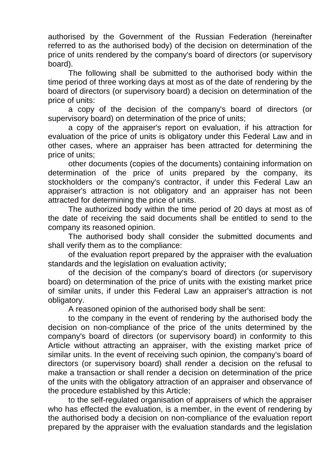authorised by the Government of the Russian Federation (hereinafter referred to as the authorised body) of the decision on determination of the price of units rendered by the company's board of directors (or supervisory board).

The following shall be submitted to the authorised body within the time period of three working days at most as of the date of rendering by the board of directors (or supervisory board) a decision on determination of the price of units:

a copy of the decision of the company's board of directors (or supervisory board) on determination of the price of units;

a copy of the appraiser's report on evaluation, if his attraction for evaluation of the price of units is obligatory under this Federal Law and in other cases, where an appraiser has been attracted for determining the price of units;

other documents (copies of the documents) containing information on determination of the price of units prepared by the company, its stockholders or the company's contractor, if under this Federal Law an appraiser's attraction is not obligatory and an appraiser has not been attracted for determining the price of units.

The authorized body within the time period of 20 days at most as of the date of receiving the said documents shall be entitled to send to the company its reasoned opinion.

The authorised body shall consider the submitted documents and shall verify them as to the compliance:

of the evaluation report prepared by the appraiser with the evaluation standards and the legislation on evaluation activity;

of the decision of the company's board of directors (or supervisory board) on determination of the price of units with the existing market price of similar units, if under this Federal Law an appraiser's attraction is not obligatory.

A reasoned opinion of the authorised body shall be sent:

to the company in the event of rendering by the authorised body the decision on non-compliance of the price of the units determined by the company's board of directors (or supervisory board) in conformity to this Article without attracting an appraiser, with the existing market price of similar units. In the event of receiving such opinion, the company's board of directors (or supervisory board) shall render a decision on the refusal to make a transaction or shall render a decision on determination of the price of the units with the obligatory attraction of an appraiser and observance of the procedure established by this Article;

to the self-regulated organisation of appraisers of which the appraiser who has effected the evaluation, is a member, in the event of rendering by the authorised body a decision on non-compliance of the evaluation report prepared by the appraiser with the evaluation standards and the legislation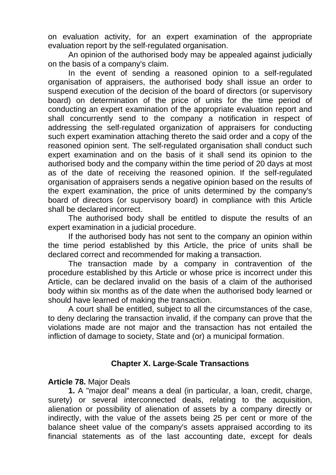on evaluation activity, for an expert examination of the appropriate evaluation report by the self-regulated organisation.

An opinion of the authorised body may be appealed against judicially on the basis of a company's claim.

In the event of sending a reasoned opinion to a self-regulated organisation of appraisers, the authorised body shall issue an order to suspend execution of the decision of the board of directors (or supervisory board) on determination of the price of units for the time period of conducting an expert examination of the appropriate evaluation report and shall concurrently send to the company a notification in respect of addressing the self-regulated organization of appraisers for conducting such expert examination attaching thereto the said order and a copy of the reasoned opinion sent. The self-regulated organisation shall conduct such expert examination and on the basis of it shall send its opinion to the authorised body and the company within the time period of 20 days at most as of the date of receiving the reasoned opinion. If the self-regulated organisation of appraisers sends a negative opinion based on the results of the expert examination, the price of units determined by the company's board of directors (or supervisory board) in compliance with this Article shall be declared incorrect.

The authorised body shall be entitled to dispute the results of an expert examination in a judicial procedure.

If the authorised body has not sent to the company an opinion within the time period established by this Article, the price of units shall be declared correct and recommended for making a transaction.

The transaction made by a company in contravention of the procedure established by this Article or whose price is incorrect under this Article, can be declared invalid on the basis of a claim of the authorised body within six months as of the date when the authorised body learned or should have learned of making the transaction.

A court shall be entitled, subject to all the circumstances of the case, to deny declaring the transaction invalid, if the company can prove that the violations made are not major and the transaction has not entailed the infliction of damage to society, State and (or) a municipal formation.

#### **Chapter X. Large-Scale Transactions**

#### **Article 78.** Major Deals

**1.** A "major deal" means a deal (in particular, a loan, credit, charge, surety) or several interconnected deals, relating to the acquisition, alienation or possibility of alienation of assets by a company directly or indirectly, with the value of the assets being 25 per cent or more of the balance sheet value of the company's assets appraised according to its financial statements as of the last accounting date, except for deals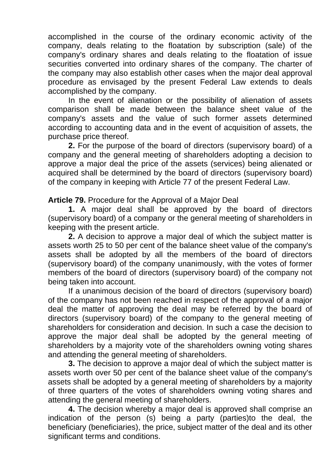accomplished in the course of the ordinary economic activity of the company, deals relating to the floatation by subscription (sale) of the company's ordinary shares and deals relating to the floatation of issue securities converted into ordinary shares of the company. The charter of the company may also establish other cases when the major deal approval procedure as envisaged by the present Federal Law extends to deals accomplished by the company.

In the event of alienation or the possibility of alienation of assets comparison shall be made between the balance sheet value of the company's assets and the value of such former assets determined according to accounting data and in the event of acquisition of assets, the purchase price thereof.

**2.** For the purpose of the board of directors (supervisory board) of a company and the general meeting of shareholders adopting a decision to approve a major deal the price of the assets (services) being alienated or acquired shall be determined by the board of directors (supervisory board) of the company in keeping with Article 77 of the present Federal Law.

**Article 79.** Procedure for the Approval of a Major Deal

**1.** A major deal shall be approved by the board of directors (supervisory board) of a company or the general meeting of shareholders in keeping with the present article.

**2.** A decision to approve a major deal of which the subject matter is assets worth 25 to 50 per cent of the balance sheet value of the company's assets shall be adopted by all the members of the board of directors (supervisory board) of the company unanimously, with the votes of former members of the board of directors (supervisory board) of the company not being taken into account.

If a unanimous decision of the board of directors (supervisory board) of the company has not been reached in respect of the approval of a major deal the matter of approving the deal may be referred by the board of directors (supervisory board) of the company to the general meeting of shareholders for consideration and decision. In such a case the decision to approve the major deal shall be adopted by the general meeting of shareholders by a majority vote of the shareholders owning voting shares and attending the general meeting of shareholders.

**3.** The decision to approve a major deal of which the subject matter is assets worth over 50 per cent of the balance sheet value of the company's assets shall be adopted by a general meeting of shareholders by a majority of three quarters of the votes of shareholders owning voting shares and attending the general meeting of shareholders.

**4.** The decision whereby a major deal is approved shall comprise an indication of the person (s) being a party (parties)to the deal, the beneficiary (beneficiaries), the price, subject matter of the deal and its other significant terms and conditions.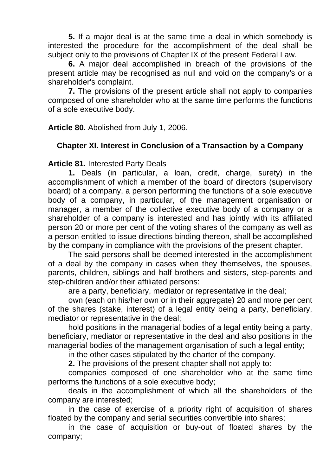**5.** If a major deal is at the same time a deal in which somebody is interested the procedure for the accomplishment of the deal shall be subject only to the provisions of Chapter IX of the present Federal Law.

**6.** A major deal accomplished in breach of the provisions of the present article may be recognised as null and void on the company's or a shareholder's complaint.

**7.** The provisions of the present article shall not apply to companies composed of one shareholder who at the same time performs the functions of a sole executive body.

**Article 80.** Abolished from July 1, 2006.

# **Chapter XI. Interest in Conclusion of a Transaction by a Company**

**Article 81.** Interested Party Deals

**1.** Deals (in particular, a loan, credit, charge, surety) in the accomplishment of which a member of the board of directors (supervisory board) of a company, a person performing the functions of a sole executive body of a company, in particular, of the management organisation or manager, a member of the collective executive body of a company or a shareholder of a company is interested and has jointly with its affiliated person 20 or more per cent of the voting shares of the company as well as a person entitled to issue directions binding thereon, shall be accomplished by the company in compliance with the provisions of the present chapter.

The said persons shall be deemed interested in the accomplishment of a deal by the company in cases when they themselves, the spouses, parents, children, siblings and half brothers and sisters, step-parents and step-children and/or their affiliated persons:

are a party, beneficiary, mediator or representative in the deal;

own (each on his/her own or in their aggregate) 20 and more per cent of the shares (stake, interest) of a legal entity being a party, beneficiary, mediator or representative in the deal;

hold positions in the managerial bodies of a legal entity being a party, beneficiary, mediator or representative in the deal and also positions in the managerial bodies of the management organisation of such a legal entity;

in the other cases stipulated by the charter of the company.

**2.** The provisions of the present chapter shall not apply to:

companies composed of one shareholder who at the same time performs the functions of a sole executive body;

deals in the accomplishment of which all the shareholders of the company are interested;

in the case of exercise of a priority right of acquisition of shares floated by the company and serial securities convertible into shares;

in the case of acquisition or buy-out of floated shares by the company;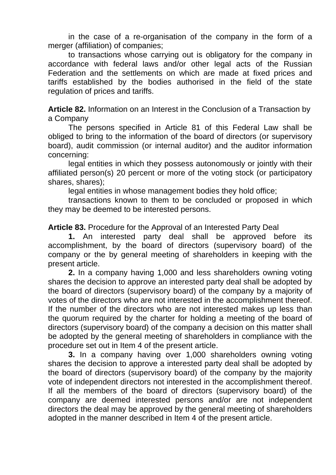in the case of a re-organisation of the company in the form of a merger (affiliation) of companies;

to transactions whose carrying out is obligatory for the company in accordance with federal laws and/or other legal acts of the Russian Federation and the settlements on which are made at fixed prices and tariffs established by the bodies authorised in the field of the state regulation of prices and tariffs.

**Article 82.** Information on an Interest in the Conclusion of a Transaction by a Company

The persons specified in Article 81 of this Federal Law shall be obliged to bring to the information of the board of directors (or supervisory board), audit commission (or internal auditor) and the auditor information concerning:

legal entities in which they possess autonomously or jointly with their affiliated person(s) 20 percent or more of the voting stock (or participatory shares, shares);

legal entities in whose management bodies they hold office;

transactions known to them to be concluded or proposed in which they may be deemed to be interested persons.

**Article 83.** Procedure for the Approval of an Interested Party Deal

**1.** An interested party deal shall be approved before its accomplishment, by the board of directors (supervisory board) of the company or the by general meeting of shareholders in keeping with the present article.

**2.** In a company having 1,000 and less shareholders owning voting shares the decision to approve an interested party deal shall be adopted by the board of directors (supervisory board) of the company by a majority of votes of the directors who are not interested in the accomplishment thereof. If the number of the directors who are not interested makes up less than the quorum required by the charter for holding a meeting of the board of directors (supervisory board) of the company a decision on this matter shall be adopted by the general meeting of shareholders in compliance with the procedure set out in Item 4 of the present article.

**3.** In a company having over 1,000 shareholders owning voting shares the decision to approve a interested party deal shall be adopted by the board of directors (supervisory board) of the company by the majority vote of independent directors not interested in the accomplishment thereof. If all the members of the board of directors (supervisory board) of the company are deemed interested persons and/or are not independent directors the deal may be approved by the general meeting of shareholders adopted in the manner described in Item 4 of the present article.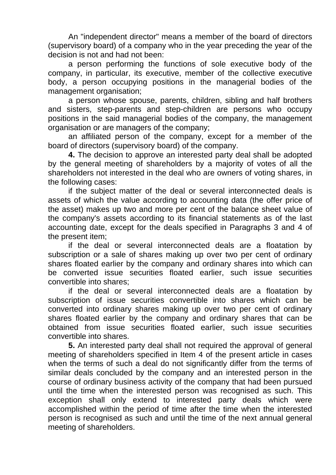An "independent director" means a member of the board of directors (supervisory board) of a company who in the year preceding the year of the decision is not and had not been:

a person performing the functions of sole executive body of the company, in particular, its executive, member of the collective executive body, a person occupying positions in the managerial bodies of the management organisation;

a person whose spouse, parents, children, sibling and half brothers and sisters, step-parents and step-children are persons who occupy positions in the said managerial bodies of the company, the management organisation or are managers of the company;

an affiliated person of the company, except for a member of the board of directors (supervisory board) of the company.

**4.** The decision to approve an interested party deal shall be adopted by the general meeting of shareholders by a majority of votes of all the shareholders not interested in the deal who are owners of voting shares, in the following cases:

if the subject matter of the deal or several interconnected deals is assets of which the value according to accounting data (the offer price of the asset) makes up two and more per cent of the balance sheet value of the company's assets according to its financial statements as of the last accounting date, except for the deals specified in Paragraphs 3 and 4 of the present item;

if the deal or several interconnected deals are a floatation by subscription or a sale of shares making up over two per cent of ordinary shares floated earlier by the company and ordinary shares into which can be converted issue securities floated earlier, such issue securities convertible into shares;

if the deal or several interconnected deals are a floatation by subscription of issue securities convertible into shares which can be converted into ordinary shares making up over two per cent of ordinary shares floated earlier by the company and ordinary shares that can be obtained from issue securities floated earlier, such issue securities convertible into shares.

**5.** An interested party deal shall not required the approval of general meeting of shareholders specified in Item 4 of the present article in cases when the terms of such a deal do not significantly differ from the terms of similar deals concluded by the company and an interested person in the course of ordinary business activity of the company that had been pursued until the time when the interested person was recognised as such. This exception shall only extend to interested party deals which were accomplished within the period of time after the time when the interested person is recognised as such and until the time of the next annual general meeting of shareholders.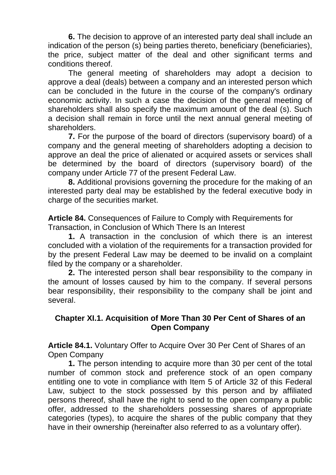**6.** The decision to approve of an interested party deal shall include an indication of the person (s) being parties thereto, beneficiary (beneficiaries), the price, subject matter of the deal and other significant terms and conditions thereof.

The general meeting of shareholders may adopt a decision to approve a deal (deals) between a company and an interested person which can be concluded in the future in the course of the company's ordinary economic activity. In such a case the decision of the general meeting of shareholders shall also specify the maximum amount of the deal (s). Such a decision shall remain in force until the next annual general meeting of shareholders.

**7.** For the purpose of the board of directors (supervisory board) of a company and the general meeting of shareholders adopting a decision to approve an deal the price of alienated or acquired assets or services shall be determined by the board of directors (supervisory board) of the company under Article 77 of the present Federal Law.

**8.** Additional provisions governing the procedure for the making of an interested party deal may be established by the federal executive body in charge of the securities market.

**Article 84.** Consequences of Failure to Comply with Requirements for Transaction, in Conclusion of Which There Is an Interest

**1.** A transaction in the conclusion of which there is an interest concluded with a violation of the requirements for a transaction provided for by the present Federal Law may be deemed to be invalid on a complaint filed by the company or a shareholder.

**2.** The interested person shall bear responsibility to the company in the amount of losses caused by him to the company. If several persons bear responsibility, their responsibility to the company shall be joint and several.

#### **Chapter XI.1. Acquisition of More Than 30 Per Cent of Shares of an Open Company**

**Article 84.1.** Voluntary Offer to Acquire Over 30 Per Cent of Shares of an Open Company

**1.** The person intending to acquire more than 30 per cent of the total number of common stock and preference stock of an open company entitling one to vote in compliance with Item 5 of Article 32 of this Federal Law, subject to the stock possessed by this person and by affiliated persons thereof, shall have the right to send to the open company a public offer, addressed to the shareholders possessing shares of appropriate categories (types), to acquire the shares of the public company that they have in their ownership (hereinafter also referred to as a voluntary offer).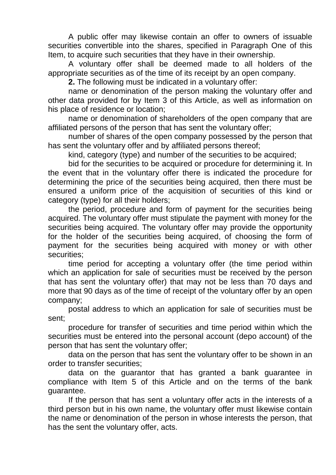A public offer may likewise contain an offer to owners of issuable securities convertible into the shares, specified in Paragraph One of this Item, to acquire such securities that they have in their ownership.

A voluntary offer shall be deemed made to all holders of the appropriate securities as of the time of its receipt by an open company.

**2.** The following must be indicated in a voluntary offer:

name or denomination of the person making the voluntary offer and other data provided for by Item 3 of this Article, as well as information on his place of residence or location;

name or denomination of shareholders of the open company that are affiliated persons of the person that has sent the voluntary offer;

number of shares of the open company possessed by the person that has sent the voluntary offer and by affiliated persons thereof;

kind, category (type) and number of the securities to be acquired;

bid for the securities to be acquired or procedure for determining it. In the event that in the voluntary offer there is indicated the procedure for determining the price of the securities being acquired, then there must be ensured a uniform price of the acquisition of securities of this kind or category (type) for all their holders;

the period, procedure and form of payment for the securities being acquired. The voluntary offer must stipulate the payment with money for the securities being acquired. The voluntary offer may provide the opportunity for the holder of the securities being acquired, of choosing the form of payment for the securities being acquired with money or with other securities;

time period for accepting a voluntary offer (the time period within which an application for sale of securities must be received by the person that has sent the voluntary offer) that may not be less than 70 days and more that 90 days as of the time of receipt of the voluntary offer by an open company;

postal address to which an application for sale of securities must be sent;

procedure for transfer of securities and time period within which the securities must be entered into the personal account (depo account) of the person that has sent the voluntary offer;

data on the person that has sent the voluntary offer to be shown in an order to transfer securities;

data on the guarantor that has granted a bank guarantee in compliance with Item 5 of this Article and on the terms of the bank guarantee.

If the person that has sent a voluntary offer acts in the interests of a third person but in his own name, the voluntary offer must likewise contain the name or denomination of the person in whose interests the person, that has the sent the voluntary offer, acts.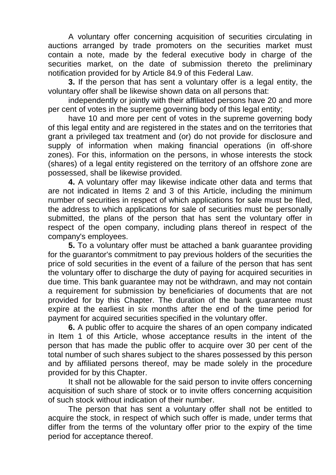A voluntary offer concerning acquisition of securities circulating in auctions arranged by trade promoters on the securities market must contain a note, made by the federal executive body in charge of the securities market, on the date of submission thereto the preliminary notification provided for by Article 84.9 of this Federal Law.

**3.** If the person that has sent a voluntary offer is a legal entity, the voluntary offer shall be likewise shown data on all persons that:

independently or jointly with their affiliated persons have 20 and more per cent of votes in the supreme governing body of this legal entity;

have 10 and more per cent of votes in the supreme governing body of this legal entity and are registered in the states and on the territories that grant a privileged tax treatment and (or) do not provide for disclosure and supply of information when making financial operations (in off-shore zones). For this, information on the persons, in whose interests the stock (shares) of a legal entity registered on the territory of an offshore zone are possessed, shall be likewise provided.

**4.** A voluntary offer may likewise indicate other data and terms that are not indicated in Items 2 and 3 of this Article, including the minimum number of securities in respect of which applications for sale must be filed, the address to which applications for sale of securities must be personally submitted, the plans of the person that has sent the voluntary offer in respect of the open company, including plans thereof in respect of the company's employees.

**5.** To a voluntary offer must be attached a bank guarantee providing for the guarantor's commitment to pay previous holders of the securities the price of sold securities in the event of a failure of the person that has sent the voluntary offer to discharge the duty of paying for acquired securities in due time. This bank guarantee may not be withdrawn, and may not contain a requirement for submission by beneficiaries of documents that are not provided for by this Chapter. The duration of the bank guarantee must expire at the earliest in six months after the end of the time period for payment for acquired securities specified in the voluntary offer.

**6.** A public offer to acquire the shares of an open company indicated in Item 1 of this Article, whose acceptance results in the intent of the person that has made the public offer to acquire over 30 per cent of the total number of such shares subject to the shares possessed by this person and by affiliated persons thereof, may be made solely in the procedure provided for by this Chapter.

It shall not be allowable for the said person to invite offers concerning acquisition of such share of stock or to invite offers concerning acquisition of such stock without indication of their number.

The person that has sent a voluntary offer shall not be entitled to acquire the stock, in respect of which such offer is made, under terms that differ from the terms of the voluntary offer prior to the expiry of the time period for acceptance thereof.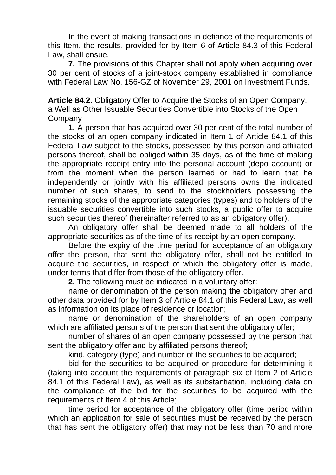In the event of making transactions in defiance of the requirements of this Item, the results, provided for by Item 6 of Article 84.3 of this Federal Law, shall ensue.

**7.** The provisions of this Chapter shall not apply when acquiring over 30 per cent of stocks of a joint-stock company established in compliance with Federal Law No. 156-GZ of November 29, 2001 on Investment Funds.

**Article 84.2.** Obligatory Offer to Acquire the Stocks of an Open Company, a Well as Other Issuable Securities Convertible into Stocks of the Open **Company** 

**1.** A person that has acquired over 30 per cent of the total number of the stocks of an open company indicated in Item 1 of Article 84.1 of this Federal Law subject to the stocks, possessed by this person and affiliated persons thereof, shall be obliged within 35 days, as of the time of making the appropriate receipt entry into the personal account (depo account) or from the moment when the person learned or had to learn that he independently or jointly with his affiliated persons owns the indicated number of such shares, to send to the stockholders possessing the remaining stocks of the appropriate categories (types) and to holders of the issuable securities convertible into such stocks, a public offer to acquire such securities thereof (hereinafter referred to as an obligatory offer).

An obligatory offer shall be deemed made to all holders of the appropriate securities as of the time of its receipt by an open company.

Before the expiry of the time period for acceptance of an obligatory offer the person, that sent the obligatory offer, shall not be entitled to acquire the securities, in respect of which the obligatory offer is made, under terms that differ from those of the obligatory offer.

**2.** The following must be indicated in a voluntary offer:

name or denomination of the person making the obligatory offer and other data provided for by Item 3 of Article 84.1 of this Federal Law, as well as information on its place of residence or location;

name or denomination of the shareholders of an open company which are affiliated persons of the person that sent the obligatory offer;

number of shares of an open company possessed by the person that sent the obligatory offer and by affiliated persons thereof;

kind, category (type) and number of the securities to be acquired;

bid for the securities to be acquired or procedure for determining it (taking into account the requirements of paragraph six of Item 2 of Article 84.1 of this Federal Law), as well as its substantiation, including data on the compliance of the bid for the securities to be acquired with the requirements of Item 4 of this Article;

time period for acceptance of the obligatory offer (time period within which an application for sale of securities must be received by the person that has sent the obligatory offer) that may not be less than 70 and more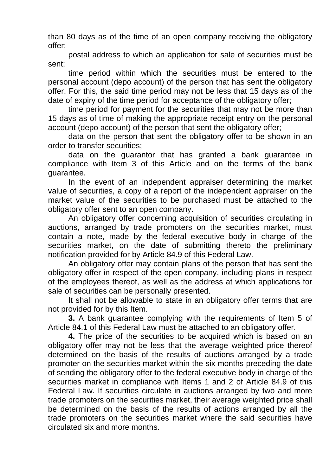than 80 days as of the time of an open company receiving the obligatory offer;

postal address to which an application for sale of securities must be sent;

time period within which the securities must be entered to the personal account (depo account) of the person that has sent the obligatory offer. For this, the said time period may not be less that 15 days as of the date of expiry of the time period for acceptance of the obligatory offer;

time period for payment for the securities that may not be more than 15 days as of time of making the appropriate receipt entry on the personal account (depo account) of the person that sent the obligatory offer;

data on the person that sent the obligatory offer to be shown in an order to transfer securities;

data on the guarantor that has granted a bank guarantee in compliance with Item 3 of this Article and on the terms of the bank guarantee.

In the event of an independent appraiser determining the market value of securities, a copy of a report of the independent appraiser on the market value of the securities to be purchased must be attached to the obligatory offer sent to an open company.

An obligatory offer concerning acquisition of securities circulating in auctions, arranged by trade promoters on the securities market, must contain a note, made by the federal executive body in charge of the securities market, on the date of submitting thereto the preliminary notification provided for by Article 84.9 of this Federal Law.

An obligatory offer may contain plans of the person that has sent the obligatory offer in respect of the open company, including plans in respect of the employees thereof, as well as the address at which applications for sale of securities can be personally presented.

It shall not be allowable to state in an obligatory offer terms that are not provided for by this Item.

**3.** A bank guarantee complying with the requirements of Item 5 of Article 84.1 of this Federal Law must be attached to an obligatory offer.

**4.** The price of the securities to be acquired which is based on an obligatory offer may not be less that the average weighted price thereof determined on the basis of the results of auctions arranged by a trade promoter on the securities market within the six months preceding the date of sending the obligatory offer to the federal executive body in charge of the securities market in compliance with Items 1 and 2 of Article 84.9 of this Federal Law. If securities circulate in auctions arranged by two and more trade promoters on the securities market, their average weighted price shall be determined on the basis of the results of actions arranged by all the trade promoters on the securities market where the said securities have circulated six and more months.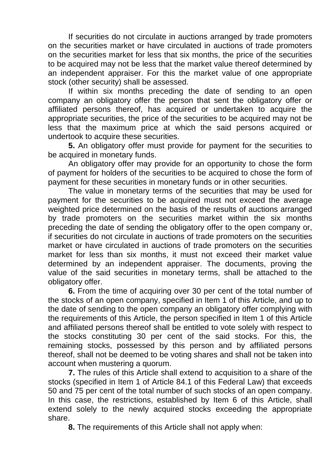If securities do not circulate in auctions arranged by trade promoters on the securities market or have circulated in auctions of trade promoters on the securities market for less that six months, the price of the securities to be acquired may not be less that the market value thereof determined by an independent appraiser. For this the market value of one appropriate stock (other security) shall be assessed.

If within six months preceding the date of sending to an open company an obligatory offer the person that sent the obligatory offer or affiliated persons thereof, has acquired or undertaken to acquire the appropriate securities, the price of the securities to be acquired may not be less that the maximum price at which the said persons acquired or undertook to acquire these securities.

**5.** An obligatory offer must provide for payment for the securities to be acquired in monetary funds.

An obligatory offer may provide for an opportunity to chose the form of payment for holders of the securities to be acquired to chose the form of payment for these securities in monetary funds or in other securities.

The value in monetary terms of the securities that may be used for payment for the securities to be acquired must not exceed the average weighted price determined on the basis of the results of auctions arranged by trade promoters on the securities market within the six months preceding the date of sending the obligatory offer to the open company or, if securities do not circulate in auctions of trade promoters on the securities market or have circulated in auctions of trade promoters on the securities market for less than six months, it must not exceed their market value determined by an independent appraiser. The documents, proving the value of the said securities in monetary terms, shall be attached to the obligatory offer.

**6.** From the time of acquiring over 30 per cent of the total number of the stocks of an open company, specified in Item 1 of this Article, and up to the date of sending to the open company an obligatory offer complying with the requirements of this Article, the person specified in Item 1 of this Article and affiliated persons thereof shall be entitled to vote solely with respect to the stocks constituting 30 per cent of the said stocks. For this, the remaining stocks, possessed by this person and by affiliated persons thereof, shall not be deemed to be voting shares and shall not be taken into account when mustering a quorum.

**7.** The rules of this Article shall extend to acquisition to a share of the stocks (specified in Item 1 of Article 84.1 of this Federal Law) that exceeds 50 and 75 per cent of the total number of such stocks of an open company. In this case, the restrictions, established by Item 6 of this Article, shall extend solely to the newly acquired stocks exceeding the appropriate share.

**8.** The requirements of this Article shall not apply when: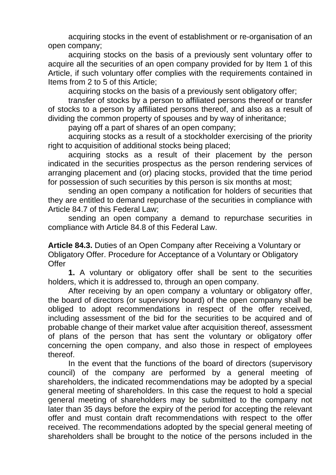acquiring stocks in the event of establishment or re-organisation of an open company;

acquiring stocks on the basis of a previously sent voluntary offer to acquire all the securities of an open company provided for by Item 1 of this Article, if such voluntary offer complies with the requirements contained in Items from 2 to 5 of this Article;

acquiring stocks on the basis of a previously sent obligatory offer;

transfer of stocks by a person to affiliated persons thereof or transfer of stocks to a person by affiliated persons thereof, and also as a result of dividing the common property of spouses and by way of inheritance;

paying off a part of shares of an open company;

acquiring stocks as a result of a stockholder exercising of the priority right to acquisition of additional stocks being placed;

acquiring stocks as a result of their placement by the person indicated in the securities prospectus as the person rendering services of arranging placement and (or) placing stocks, provided that the time period for possession of such securities by this person is six months at most;

sending an open company a notification for holders of securities that they are entitled to demand repurchase of the securities in compliance with Article 84.7 of this Federal Law;

sending an open company a demand to repurchase securities in compliance with Article 84.8 of this Federal Law.

**Article 84.3.** Duties of an Open Company after Receiving a Voluntary or Obligatory Offer. Procedure for Acceptance of a Voluntary or Obligatory **Offer** 

**1.** A voluntary or obligatory offer shall be sent to the securities holders, which it is addressed to, through an open company.

After receiving by an open company a voluntary or obligatory offer, the board of directors (or supervisory board) of the open company shall be obliged to adopt recommendations in respect of the offer received, including assessment of the bid for the securities to be acquired and of probable change of their market value after acquisition thereof, assessment of plans of the person that has sent the voluntary or obligatory offer concerning the open company, and also those in respect of employees thereof.

In the event that the functions of the board of directors (supervisory council) of the company are performed by a general meeting of shareholders, the indicated recommendations may be adopted by a special general meeting of shareholders. In this case the request to hold a special general meeting of shareholders may be submitted to the company not later than 35 days before the expiry of the period for accepting the relevant offer and must contain draft recommendations with respect to the offer received. The recommendations adopted by the special general meeting of shareholders shall be brought to the notice of the persons included in the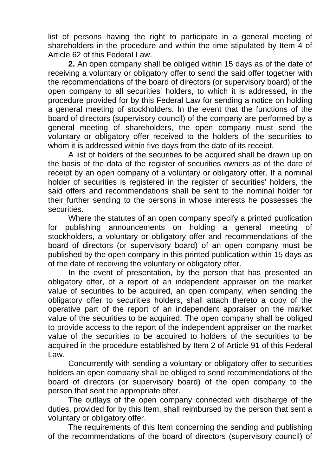list of persons having the right to participate in a general meeting of shareholders in the procedure and within the time stipulated by Item 4 of Article 62 of this Federal Law.

**2.** An open company shall be obliged within 15 days as of the date of receiving a voluntary or obligatory offer to send the said offer together with the recommendations of the board of directors (or supervisory board) of the open company to all securities' holders, to which it is addressed, in the procedure provided for by this Federal Law for sending a notice on holding a general meeting of stockholders. In the event that the functions of the board of directors (supervisory council) of the company are performed by a general meeting of shareholders, the open company must send the voluntary or obligatory offer received to the holders of the securities to whom it is addressed within five days from the date of its receipt.

A list of holders of the securities to be acquired shall be drawn up on the basis of the data of the register of securities owners as of the date of receipt by an open company of a voluntary or obligatory offer. If a nominal holder of securities is registered in the register of securities' holders, the said offers and recommendations shall be sent to the nominal holder for their further sending to the persons in whose interests he possesses the securities.

Where the statutes of an open company specify a printed publication for publishing announcements on holding a general meeting of stockholders, a voluntary or obligatory offer and recommendations of the board of directors (or supervisory board) of an open company must be published by the open company in this printed publication within 15 days as of the date of receiving the voluntary or obligatory offer.

In the event of presentation, by the person that has presented an obligatory offer, of a report of an independent appraiser on the market value of securities to be acquired, an open company, when sending the obligatory offer to securities holders, shall attach thereto a copy of the operative part of the report of an independent appraiser on the market value of the securities to be acquired. The open company shall be obliged to provide access to the report of the independent appraiser on the market value of the securities to be acquired to holders of the securities to be acquired in the procedure established by Item 2 of Article 91 of this Federal Law.

Concurrently with sending a voluntary or obligatory offer to securities holders an open company shall be obliged to send recommendations of the board of directors (or supervisory board) of the open company to the person that sent the appropriate offer.

The outlays of the open company connected with discharge of the duties, provided for by this Item, shall reimbursed by the person that sent a voluntary or obligatory offer.

The requirements of this Item concerning the sending and publishing of the recommendations of the board of directors (supervisory council) of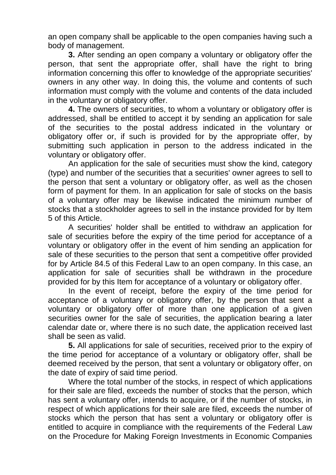an open company shall be applicable to the open companies having such a body of management.

**3.** After sending an open company a voluntary or obligatory offer the person, that sent the appropriate offer, shall have the right to bring information concerning this offer to knowledge of the appropriate securities' owners in any other way. In doing this, the volume and contents of such information must comply with the volume and contents of the data included in the voluntary or obligatory offer.

**4.** The owners of securities, to whom a voluntary or obligatory offer is addressed, shall be entitled to accept it by sending an application for sale of the securities to the postal address indicated in the voluntary or obligatory offer or, if such is provided for by the appropriate offer, by submitting such application in person to the address indicated in the voluntary or obligatory offer.

An application for the sale of securities must show the kind, category (type) and number of the securities that a securities' owner agrees to sell to the person that sent a voluntary or obligatory offer, as well as the chosen form of payment for them. In an application for sale of stocks on the basis of a voluntary offer may be likewise indicated the minimum number of stocks that a stockholder agrees to sell in the instance provided for by Item 5 of this Article.

A securities' holder shall be entitled to withdraw an application for sale of securities before the expiry of the time period for acceptance of a voluntary or obligatory offer in the event of him sending an application for sale of these securities to the person that sent a competitive offer provided for by Article 84.5 of this Federal Law to an open company. In this case, an application for sale of securities shall be withdrawn in the procedure provided for by this Item for acceptance of a voluntary or obligatory offer.

In the event of receipt, before the expiry of the time period for acceptance of a voluntary or obligatory offer, by the person that sent a voluntary or obligatory offer of more than one application of a given securities owner for the sale of securities, the application bearing a later calendar date or, where there is no such date, the application received last shall be seen as valid.

**5.** All applications for sale of securities, received prior to the expiry of the time period for acceptance of a voluntary or obligatory offer, shall be deemed received by the person, that sent a voluntary or obligatory offer, on the date of expiry of said time period.

Where the total number of the stocks, in respect of which applications for their sale are filed, exceeds the number of stocks that the person, which has sent a voluntary offer, intends to acquire, or if the number of stocks, in respect of which applications for their sale are filed, exceeds the number of stocks which the person that has sent a voluntary or obligatory offer is entitled to acquire in compliance with the requirements of the Federal Law on the Procedure for Making Foreign Investments in Economic Companies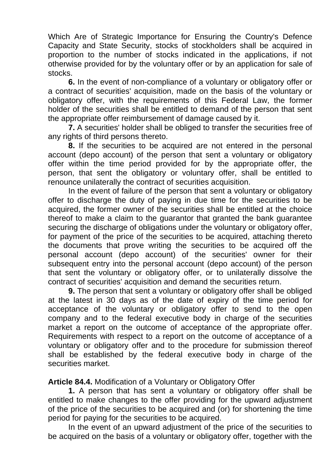Which Are of Strategic Importance for Ensuring the Country's Defence Capacity and State Security, stocks of stockholders shall be acquired in proportion to the number of stocks indicated in the applications, if not otherwise provided for by the voluntary offer or by an application for sale of stocks.

**6.** In the event of non-compliance of a voluntary or obligatory offer or a contract of securities' acquisition, made on the basis of the voluntary or obligatory offer, with the requirements of this Federal Law, the former holder of the securities shall be entitled to demand of the person that sent the appropriate offer reimbursement of damage caused by it.

**7.** A securities' holder shall be obliged to transfer the securities free of any rights of third persons thereto.

**8.** If the securities to be acquired are not entered in the personal account (depo account) of the person that sent a voluntary or obligatory offer within the time period provided for by the appropriate offer, the person, that sent the obligatory or voluntary offer, shall be entitled to renounce unilaterally the contract of securities acquisition.

In the event of failure of the person that sent a voluntary or obligatory offer to discharge the duty of paying in due time for the securities to be acquired, the former owner of the securities shall be entitled at the choice thereof to make a claim to the guarantor that granted the bank guarantee securing the discharge of obligations under the voluntary or obligatory offer, for payment of the price of the securities to be acquired, attaching thereto the documents that prove writing the securities to be acquired off the personal account (depo account) of the securities' owner for their subsequent entry into the personal account (depo account) of the person that sent the voluntary or obligatory offer, or to unilaterally dissolve the contract of securities' acquisition and demand the securities return.

**9.** The person that sent a voluntary or obligatory offer shall be obliged at the latest in 30 days as of the date of expiry of the time period for acceptance of the voluntary or obligatory offer to send to the open company and to the federal executive body in charge of the securities market a report on the outcome of acceptance of the appropriate offer. Requirements with respect to a report on the outcome of acceptance of a voluntary or obligatory offer and to the procedure for submission thereof shall be established by the federal executive body in charge of the securities market.

**Article 84.4.** Modification of a Voluntary or Obligatory Offer

**1.** A person that has sent a voluntary or obligatory offer shall be entitled to make changes to the offer providing for the upward adjustment of the price of the securities to be acquired and (or) for shortening the time period for paying for the securities to be acquired.

In the event of an upward adjustment of the price of the securities to be acquired on the basis of a voluntary or obligatory offer, together with the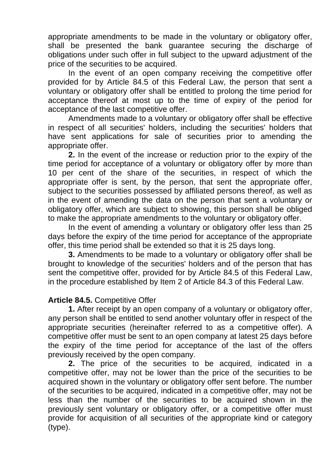appropriate amendments to be made in the voluntary or obligatory offer, shall be presented the bank guarantee securing the discharge of obligations under such offer in full subject to the upward adjustment of the price of the securities to be acquired.

In the event of an open company receiving the competitive offer provided for by Article 84.5 of this Federal Law, the person that sent a voluntary or obligatory offer shall be entitled to prolong the time period for acceptance thereof at most up to the time of expiry of the period for acceptance of the last competitive offer.

Amendments made to a voluntary or obligatory offer shall be effective in respect of all securities' holders, including the securities' holders that have sent applications for sale of securities prior to amending the appropriate offer.

**2.** In the event of the increase or reduction prior to the expiry of the time period for acceptance of a voluntary or obligatory offer by more than 10 per cent of the share of the securities, in respect of which the appropriate offer is sent, by the person, that sent the appropriate offer, subject to the securities possessed by affiliated persons thereof, as well as in the event of amending the data on the person that sent a voluntary or obligatory offer, which are subject to showing, this person shall be obliged to make the appropriate amendments to the voluntary or obligatory offer.

In the event of amending a voluntary or obligatory offer less than 25 days before the expiry of the time period for acceptance of the appropriate offer, this time period shall be extended so that it is 25 days long.

**3.** Amendments to be made to a voluntary or obligatory offer shall be brought to knowledge of the securities' holders and of the person that has sent the competitive offer, provided for by Article 84.5 of this Federal Law, in the procedure established by Item 2 of Article 84.3 of this Federal Law.

### **Article 84.5.** Competitive Offer

**1.** After receipt by an open company of a voluntary or obligatory offer, any person shall be entitled to send another voluntary offer in respect of the appropriate securities (hereinafter referred to as a competitive offer). A competitive offer must be sent to an open company at latest 25 days before the expiry of the time period for acceptance of the last of the offers previously received by the open company.

**2.** The price of the securities to be acquired, indicated in a competitive offer, may not be lower than the price of the securities to be acquired shown in the voluntary or obligatory offer sent before. The number of the securities to be acquired, indicated in a competitive offer, may not be less than the number of the securities to be acquired shown in the previously sent voluntary or obligatory offer, or a competitive offer must provide for acquisition of all securities of the appropriate kind or category (type).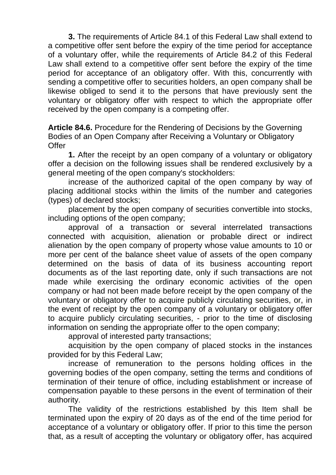**3.** The requirements of Article 84.1 of this Federal Law shall extend to a competitive offer sent before the expiry of the time period for acceptance of a voluntary offer, while the requirements of Article 84.2 of this Federal Law shall extend to a competitive offer sent before the expiry of the time period for acceptance of an obligatory offer. With this, concurrently with sending a competitive offer to securities holders, an open company shall be likewise obliged to send it to the persons that have previously sent the voluntary or obligatory offer with respect to which the appropriate offer received by the open company is a competing offer.

**Article 84.6.** Procedure for the Rendering of Decisions by the Governing Bodies of an Open Company after Receiving a Voluntary or Obligatory **Offer** 

**1.** After the receipt by an open company of a voluntary or obligatory offer a decision on the following issues shall be rendered exclusively by a general meeting of the open company's stockholders:

increase of the authorized capital of the open company by way of placing additional stocks within the limits of the number and categories (types) of declared stocks;

placement by the open company of securities convertible into stocks, including options of the open company;

approval of a transaction or several interrelated transactions connected with acquisition, alienation or probable direct or indirect alienation by the open company of property whose value amounts to 10 or more per cent of the balance sheet value of assets of the open company determined on the basis of data of its business accounting report documents as of the last reporting date, only if such transactions are not made while exercising the ordinary economic activities of the open company or had not been made before receipt by the open company of the voluntary or obligatory offer to acquire publicly circulating securities, or, in the event of receipt by the open company of a voluntary or obligatory offer to acquire publicly circulating securities, - prior to the time of disclosing information on sending the appropriate offer to the open company;

approval of interested party transactions;

acquisition by the open company of placed stocks in the instances provided for by this Federal Law;

increase of remuneration to the persons holding offices in the governing bodies of the open company, setting the terms and conditions of termination of their tenure of office, including establishment or increase of compensation payable to these persons in the event of termination of their authority.

The validity of the restrictions established by this Item shall be terminated upon the expiry of 20 days as of the end of the time period for acceptance of a voluntary or obligatory offer. If prior to this time the person that, as a result of accepting the voluntary or obligatory offer, has acquired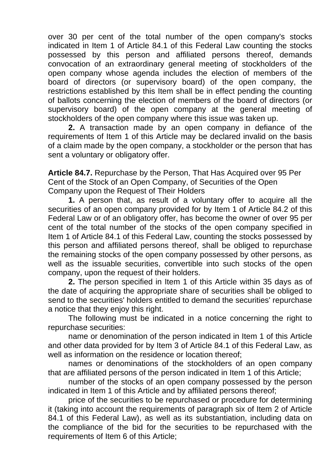over 30 per cent of the total number of the open company's stocks indicated in Item 1 of Article 84.1 of this Federal Law counting the stocks possessed by this person and affiliated persons thereof, demands convocation of an extraordinary general meeting of stockholders of the open company whose agenda includes the election of members of the board of directors (or supervisory board) of the open company, the restrictions established by this Item shall be in effect pending the counting of ballots concerning the election of members of the board of directors (or supervisory board) of the open company at the general meeting of stockholders of the open company where this issue was taken up.

**2.** A transaction made by an open company in defiance of the requirements of Item 1 of this Article may be declared invalid on the basis of a claim made by the open company, a stockholder or the person that has sent a voluntary or obligatory offer.

**Article 84.7.** Repurchase by the Person, That Has Acquired over 95 Per Cent of the Stock of an Open Company, of Securities of the Open Company upon the Request of Their Holders

**1.** A person that, as result of a voluntary offer to acquire all the securities of an open company provided for by Item 1 of Article 84.2 of this Federal Law or of an obligatory offer, has become the owner of over 95 per cent of the total number of the stocks of the open company specified in Item 1 of Article 84.1 of this Federal Law, counting the stocks possessed by this person and affiliated persons thereof, shall be obliged to repurchase the remaining stocks of the open company possessed by other persons, as well as the issuable securities, convertible into such stocks of the open company, upon the request of their holders.

**2.** The person specified in Item 1 of this Article within 35 days as of the date of acquiring the appropriate share of securities shall be obliged to send to the securities' holders entitled to demand the securities' repurchase a notice that they enjoy this right.

The following must be indicated in a notice concerning the right to repurchase securities:

name or denomination of the person indicated in Item 1 of this Article and other data provided for by Item 3 of Article 84.1 of this Federal Law, as well as information on the residence or location thereof;

names or denominations of the stockholders of an open company that are affiliated persons of the person indicated in Item 1 of this Article;

number of the stocks of an open company possessed by the person indicated in Item 1 of this Article and by affiliated persons thereof;

price of the securities to be repurchased or procedure for determining it (taking into account the requirements of paragraph six of Item 2 of Article 84.1 of this Federal Law), as well as its substantiation, including data on the compliance of the bid for the securities to be repurchased with the requirements of Item 6 of this Article;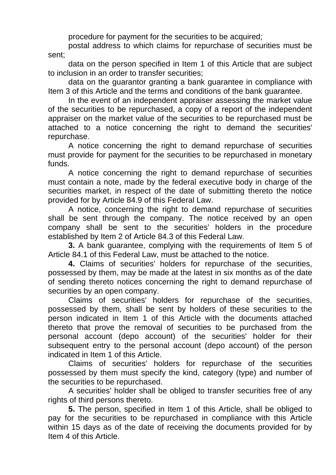procedure for payment for the securities to be acquired;

postal address to which claims for repurchase of securities must be sent;

data on the person specified in Item 1 of this Article that are subject to inclusion in an order to transfer securities;

data on the guarantor granting a bank guarantee in compliance with Item 3 of this Article and the terms and conditions of the bank guarantee.

In the event of an independent appraiser assessing the market value of the securities to be repurchased, a copy of a report of the independent appraiser on the market value of the securities to be repurchased must be attached to a notice concerning the right to demand the securities' repurchase.

A notice concerning the right to demand repurchase of securities must provide for payment for the securities to be repurchased in monetary funds.

A notice concerning the right to demand repurchase of securities must contain a note, made by the federal executive body in charge of the securities market, in respect of the date of submitting thereto the notice provided for by Article 84.9 of this Federal Law.

A notice, concerning the right to demand repurchase of securities shall be sent through the company. The notice received by an open company shall be sent to the securities' holders in the procedure established by Item 2 of Article 84.3 of this Federal Law.

**3.** A bank guarantee, complying with the requirements of Item 5 of Article 84.1 of this Federal Law, must be attached to the notice.

**4.** Claims of securities' holders for repurchase of the securities, possessed by them, may be made at the latest in six months as of the date of sending thereto notices concerning the right to demand repurchase of securities by an open company.

Claims of securities' holders for repurchase of the securities, possessed by them, shall be sent by holders of these securities to the person indicated in Item 1 of this Article with the documents attached thereto that prove the removal of securities to be purchased from the personal account (depo account) of the securities' holder for their subsequent entry to the personal account (depo account) of the person indicated in Item 1 of this Article.

Claims of securities' holders for repurchase of the securities possessed by them must specify the kind, category (type) and number of the securities to be repurchased.

A securities' holder shall be obliged to transfer securities free of any rights of third persons thereto.

**5.** The person, specified in Item 1 of this Article, shall be obliged to pay for the securities to be repurchased in compliance with this Article within 15 days as of the date of receiving the documents provided for by Item 4 of this Article.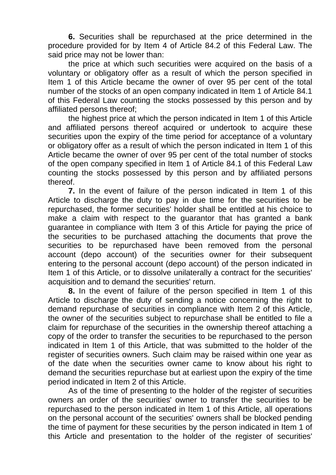**6.** Securities shall be repurchased at the price determined in the procedure provided for by Item 4 of Article 84.2 of this Federal Law. The said price may not be lower than:

the price at which such securities were acquired on the basis of a voluntary or obligatory offer as a result of which the person specified in Item 1 of this Article became the owner of over 95 per cent of the total number of the stocks of an open company indicated in Item 1 of Article 84.1 of this Federal Law counting the stocks possessed by this person and by affiliated persons thereof;

the highest price at which the person indicated in Item 1 of this Article and affiliated persons thereof acquired or undertook to acquire these securities upon the expiry of the time period for acceptance of a voluntary or obligatory offer as a result of which the person indicated in Item 1 of this Article became the owner of over 95 per cent of the total number of stocks of the open company specified in Item 1 of Article 84.1 of this Federal Law counting the stocks possessed by this person and by affiliated persons thereof.

**7.** In the event of failure of the person indicated in Item 1 of this Article to discharge the duty to pay in due time for the securities to be repurchased, the former securities' holder shall be entitled at his choice to make a claim with respect to the guarantor that has granted a bank guarantee in compliance with Item 3 of this Article for paying the price of the securities to be purchased attaching the documents that prove the securities to be repurchased have been removed from the personal account (depo account) of the securities owner for their subsequent entering to the personal account (depo account) of the person indicated in Item 1 of this Article, or to dissolve unilaterally a contract for the securities' acquisition and to demand the securities' return.

**8.** In the event of failure of the person specified in Item 1 of this Article to discharge the duty of sending a notice concerning the right to demand repurchase of securities in compliance with Item 2 of this Article, the owner of the securities subject to repurchase shall be entitled to file a claim for repurchase of the securities in the ownership thereof attaching a copy of the order to transfer the securities to be repurchased to the person indicated in Item 1 of this Article, that was submitted to the holder of the register of securities owners. Such claim may be raised within one year as of the date when the securities owner came to know about his right to demand the securities repurchase but at earliest upon the expiry of the time period indicated in Item 2 of this Article.

As of the time of presenting to the holder of the register of securities owners an order of the securities' owner to transfer the securities to be repurchased to the person indicated in Item 1 of this Article, all operations on the personal account of the securities' owners shall be blocked pending the time of payment for these securities by the person indicated in Item 1 of this Article and presentation to the holder of the register of securities'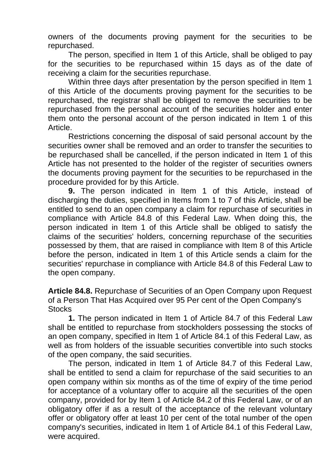owners of the documents proving payment for the securities to be repurchased.

The person, specified in Item 1 of this Article, shall be obliged to pay for the securities to be repurchased within 15 days as of the date of receiving a claim for the securities repurchase.

Within three days after presentation by the person specified in Item 1 of this Article of the documents proving payment for the securities to be repurchased, the registrar shall be obliged to remove the securities to be repurchased from the personal account of the securities holder and enter them onto the personal account of the person indicated in Item 1 of this Article.

Restrictions concerning the disposal of said personal account by the securities owner shall be removed and an order to transfer the securities to be repurchased shall be cancelled, if the person indicated in Item 1 of this Article has not presented to the holder of the register of securities owners the documents proving payment for the securities to be repurchased in the procedure provided for by this Article.

**9.** The person indicated in Item 1 of this Article, instead of discharging the duties, specified in Items from 1 to 7 of this Article, shall be entitled to send to an open company a claim for repurchase of securities in compliance with Article 84.8 of this Federal Law. When doing this, the person indicated in Item 1 of this Article shall be obliged to satisfy the claims of the securities' holders, concerning repurchase of the securities possessed by them, that are raised in compliance with Item 8 of this Article before the person, indicated in Item 1 of this Article sends a claim for the securities' repurchase in compliance with Article 84.8 of this Federal Law to the open company.

**Article 84.8.** Repurchase of Securities of an Open Company upon Request of a Person That Has Acquired over 95 Per cent of the Open Company's **Stocks** 

**1.** The person indicated in Item 1 of Article 84.7 of this Federal Law shall be entitled to repurchase from stockholders possessing the stocks of an open company, specified in Item 1 of Article 84.1 of this Federal Law, as well as from holders of the issuable securities convertible into such stocks of the open company, the said securities.

The person, indicated in Item 1 of Article 84.7 of this Federal Law, shall be entitled to send a claim for repurchase of the said securities to an open company within six months as of the time of expiry of the time period for acceptance of a voluntary offer to acquire all the securities of the open company, provided for by Item 1 of Article 84.2 of this Federal Law, or of an obligatory offer if as a result of the acceptance of the relevant voluntary offer or obligatory offer at least 10 per cent of the total number of the open company's securities, indicated in Item 1 of Article 84.1 of this Federal Law, were acquired.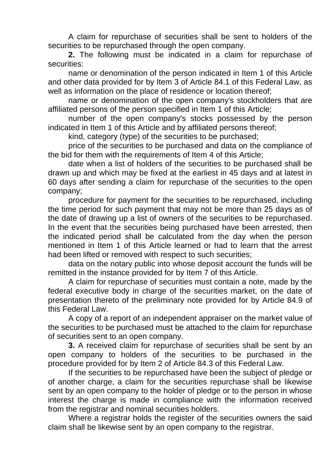A claim for repurchase of securities shall be sent to holders of the securities to be repurchased through the open company.

**2.** The following must be indicated in a claim for repurchase of securities:

name or denomination of the person indicated in Item 1 of this Article and other data provided for by Item 3 of Article 84.1 of this Federal Law, as well as information on the place of residence or location thereof;

name or denomination of the open company's stockholders that are affiliated persons of the person specified in Item 1 of this Article;

number of the open company's stocks possessed by the person indicated in Item 1 of this Article and by affiliated persons thereof;

kind, category (type) of the securities to be purchased;

price of the securities to be purchased and data on the compliance of the bid for them with the requirements of Item 4 of this Article;

date when a list of holders of the securities to be purchased shall be drawn up and which may be fixed at the earliest in 45 days and at latest in 60 days after sending a claim for repurchase of the securities to the open company;

procedure for payment for the securities to be repurchased, including the time period for such payment that may not be more than 25 days as of the date of drawing up a list of owners of the securities to be repurchased. In the event that the securities being purchased have been arrested, then the indicated period shall be calculated from the day when the person mentioned in Item 1 of this Article learned or had to learn that the arrest had been lifted or removed with respect to such securities;

data on the notary public into whose deposit account the funds will be remitted in the instance provided for by Item 7 of this Article.

A claim for repurchase of securities must contain a note, made by the federal executive body in charge of the securities market, on the date of presentation thereto of the preliminary note provided for by Article 84.9 of this Federal Law.

A copy of a report of an independent appraiser on the market value of the securities to be purchased must be attached to the claim for repurchase of securities sent to an open company.

**3.** A received claim for repurchase of securities shall be sent by an open company to holders of the securities to be purchased in the procedure provided for by Item 2 of Article 84.3 of this Federal Law.

If the securities to be repurchased have been the subject of pledge or of another charge, a claim for the securities repurchase shall be likewise sent by an open company to the holder of pledge or to the person in whose interest the charge is made in compliance with the information received from the registrar and nominal securities holders.

Where a registrar holds the register of the securities owners the said claim shall be likewise sent by an open company to the registrar.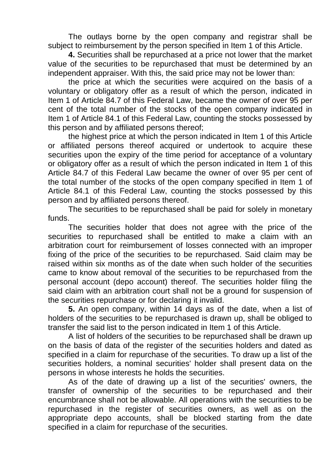The outlays borne by the open company and registrar shall be subject to reimbursement by the person specified in Item 1 of this Article.

**4.** Securities shall be repurchased at a price not lower that the market value of the securities to be repurchased that must be determined by an independent appraiser. With this, the said price may not be lower than:

the price at which the securities were acquired on the basis of a voluntary or obligatory offer as a result of which the person, indicated in Item 1 of Article 84.7 of this Federal Law, became the owner of over 95 per cent of the total number of the stocks of the open company indicated in Item 1 of Article 84.1 of this Federal Law, counting the stocks possessed by this person and by affiliated persons thereof;

the highest price at which the person indicated in Item 1 of this Article or affiliated persons thereof acquired or undertook to acquire these securities upon the expiry of the time period for acceptance of a voluntary or obligatory offer as a result of which the person indicated in Item 1 of this Article 84.7 of this Federal Law became the owner of over 95 per cent of the total number of the stocks of the open company specified in Item 1 of Article 84.1 of this Federal Law, counting the stocks possessed by this person and by affiliated persons thereof.

The securities to be repurchased shall be paid for solely in monetary funds.

The securities holder that does not agree with the price of the securities to repurchased shall be entitled to make a claim with an arbitration court for reimbursement of losses connected with an improper fixing of the price of the securities to be repurchased. Said claim may be raised within six months as of the date when such holder of the securities came to know about removal of the securities to be repurchased from the personal account (depo account) thereof. The securities holder filing the said claim with an arbitration court shall not be a ground for suspension of the securities repurchase or for declaring it invalid.

**5.** An open company, within 14 days as of the date, when a list of holders of the securities to be repurchased is drawn up, shall be obliged to transfer the said list to the person indicated in Item 1 of this Article.

A list of holders of the securities to be repurchased shall be drawn up on the basis of data of the register of the securities holders and dated as specified in a claim for repurchase of the securities. To draw up a list of the securities holders, a nominal securities' holder shall present data on the persons in whose interests he holds the securities.

As of the date of drawing up a list of the securities' owners, the transfer of ownership of the securities to be repurchased and their encumbrance shall not be allowable. All operations with the securities to be repurchased in the register of securities owners, as well as on the appropriate depo accounts, shall be blocked starting from the date specified in a claim for repurchase of the securities.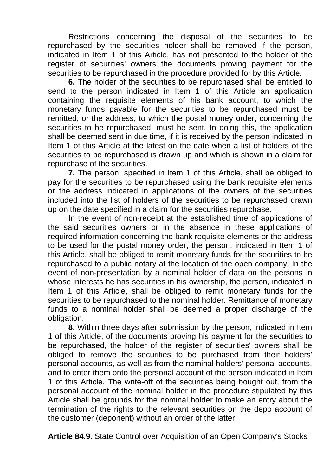Restrictions concerning the disposal of the securities to be repurchased by the securities holder shall be removed if the person, indicated in Item 1 of this Article, has not presented to the holder of the register of securities' owners the documents proving payment for the securities to be repurchased in the procedure provided for by this Article.

**6.** The holder of the securities to be repurchased shall be entitled to send to the person indicated in Item 1 of this Article an application containing the requisite elements of his bank account, to which the monetary funds payable for the securities to be repurchased must be remitted, or the address, to which the postal money order, concerning the securities to be repurchased, must be sent. In doing this, the application shall be deemed sent in due time, if it is received by the person indicated in Item 1 of this Article at the latest on the date when a list of holders of the securities to be repurchased is drawn up and which is shown in a claim for repurchase of the securities.

**7.** The person, specified in Item 1 of this Article, shall be obliged to pay for the securities to be repurchased using the bank requisite elements or the address indicated in applications of the owners of the securities included into the list of holders of the securities to be repurchased drawn up on the date specified in a claim for the securities repurchase.

In the event of non-receipt at the established time of applications of the said securities owners or in the absence in these applications of required information concerning the bank requisite elements or the address to be used for the postal money order, the person, indicated in Item 1 of this Article, shall be obliged to remit monetary funds for the securities to be repurchased to a public notary at the location of the open company. In the event of non-presentation by a nominal holder of data on the persons in whose interests he has securities in his ownership, the person, indicated in Item 1 of this Article, shall be obliged to remit monetary funds for the securities to be repurchased to the nominal holder. Remittance of monetary funds to a nominal holder shall be deemed a proper discharge of the obligation.

**8.** Within three days after submission by the person, indicated in Item 1 of this Article, of the documents proving his payment for the securities to be repurchased, the holder of the register of securities' owners shall be obliged to remove the securities to be purchased from their holders' personal accounts, as well as from the nominal holders' personal accounts, and to enter them onto the personal account of the person indicated in Item 1 of this Article. The write-off of the securities being bought out, from the personal account of the nominal holder in the procedure stipulated by this Article shall be grounds for the nominal holder to make an entry about the termination of the rights to the relevant securities on the depo account of the customer (deponent) without an order of the latter.

**Article 84.9.** State Control over Acquisition of an Open Company's Stocks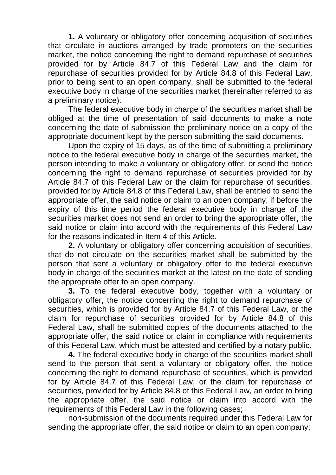**1.** A voluntary or obligatory offer concerning acquisition of securities that circulate in auctions arranged by trade promoters on the securities market, the notice concerning the right to demand repurchase of securities provided for by Article 84.7 of this Federal Law and the claim for repurchase of securities provided for by Article 84.8 of this Federal Law, prior to being sent to an open company, shall be submitted to the federal executive body in charge of the securities market (hereinafter referred to as a preliminary notice).

The federal executive body in charge of the securities market shall be obliged at the time of presentation of said documents to make a note concerning the date of submission the preliminary notice on a copy of the appropriate document kept by the person submitting the said documents.

Upon the expiry of 15 days, as of the time of submitting a preliminary notice to the federal executive body in charge of the securities market, the person intending to make a voluntary or obligatory offer, or send the notice concerning the right to demand repurchase of securities provided for by Article 84.7 of this Federal Law or the claim for repurchase of securities, provided for by Article 84.8 of this Federal Law, shall be entitled to send the appropriate offer, the said notice or claim to an open company, if before the expiry of this time period the federal executive body in charge of the securities market does not send an order to bring the appropriate offer, the said notice or claim into accord with the requirements of this Federal Law for the reasons indicated in Item 4 of this Article.

**2.** A voluntary or obligatory offer concerning acquisition of securities, that do not circulate on the securities market shall be submitted by the person that sent a voluntary or obligatory offer to the federal executive body in charge of the securities market at the latest on the date of sending the appropriate offer to an open company.

**3.** To the federal executive body, together with a voluntary or obligatory offer, the notice concerning the right to demand repurchase of securities, which is provided for by Article 84.7 of this Federal Law, or the claim for repurchase of securities provided for by Article 84.8 of this Federal Law, shall be submitted copies of the documents attached to the appropriate offer, the said notice or claim in compliance with requirements of this Federal Law, which must be attested and certified by a notary public.

**4.** The federal executive body in charge of the securities market shall send to the person that sent a voluntary or obligatory offer, the notice concerning the right to demand repurchase of securities, which is provided for by Article 84.7 of this Federal Law, or the claim for repurchase of securities, provided for by Article 84.8 of this Federal Law, an order to bring the appropriate offer, the said notice or claim into accord with the requirements of this Federal Law in the following cases;

non-submission of the documents required under this Federal Law for sending the appropriate offer, the said notice or claim to an open company;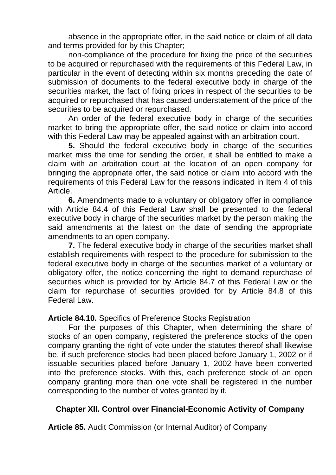absence in the appropriate offer, in the said notice or claim of all data and terms provided for by this Chapter;

non-compliance of the procedure for fixing the price of the securities to be acquired or repurchased with the requirements of this Federal Law, in particular in the event of detecting within six months preceding the date of submission of documents to the federal executive body in charge of the securities market, the fact of fixing prices in respect of the securities to be acquired or repurchased that has caused understatement of the price of the securities to be acquired or repurchased.

An order of the federal executive body in charge of the securities market to bring the appropriate offer, the said notice or claim into accord with this Federal Law may be appealed against with an arbitration court.

**5.** Should the federal executive body in charge of the securities market miss the time for sending the order, it shall be entitled to make a claim with an arbitration court at the location of an open company for bringing the appropriate offer, the said notice or claim into accord with the requirements of this Federal Law for the reasons indicated in Item 4 of this Article.

**6.** Amendments made to a voluntary or obligatory offer in compliance with Article 84.4 of this Federal Law shall be presented to the federal executive body in charge of the securities market by the person making the said amendments at the latest on the date of sending the appropriate amendments to an open company.

**7.** The federal executive body in charge of the securities market shall establish requirements with respect to the procedure for submission to the federal executive body in charge of the securities market of a voluntary or obligatory offer, the notice concerning the right to demand repurchase of securities which is provided for by Article 84.7 of this Federal Law or the claim for repurchase of securities provided for by Article 84.8 of this Federal Law.

**Article 84.10.** Specifics of Preference Stocks Registration

For the purposes of this Chapter, when determining the share of stocks of an open company, registered the preference stocks of the open company granting the right of vote under the statutes thereof shall likewise be, if such preference stocks had been placed before January 1, 2002 or if issuable securities placed before January 1, 2002 have been converted into the preference stocks. With this, each preference stock of an open company granting more than one vote shall be registered in the number corresponding to the number of votes granted by it.

#### **Chapter XII. Control over Financial-Economic Activity of Company**

**Article 85.** Audit Commission (or Internal Auditor) of Company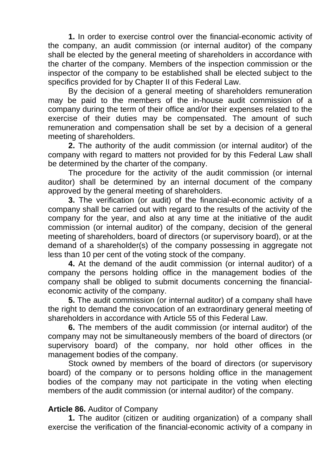**1.** In order to exercise control over the financial-economic activity of the company, an audit commission (or internal auditor) of the company shall be elected by the general meeting of shareholders in accordance with the charter of the company. Members of the inspection commission or the inspector of the company to be established shall be elected subject to the specifics provided for by Chapter II of this Federal Law.

By the decision of a general meeting of shareholders remuneration may be paid to the members of the in-house audit commission of a company during the term of their office and/or their expenses related to the exercise of their duties may be compensated. The amount of such remuneration and compensation shall be set by a decision of a general meeting of shareholders.

**2.** The authority of the audit commission (or internal auditor) of the company with regard to matters not provided for by this Federal Law shall be determined by the charter of the company.

The procedure for the activity of the audit commission (or internal auditor) shall be determined by an internal document of the company approved by the general meeting of shareholders.

**3.** The verification (or audit) of the financial-economic activity of a company shall be carried out with regard to the results of the activity of the company for the year, and also at any time at the initiative of the audit commission (or internal auditor) of the company, decision of the general meeting of shareholders, board of directors (or supervisory board), or at the demand of a shareholder(s) of the company possessing in aggregate not less than 10 per cent of the voting stock of the company.

**4.** At the demand of the audit commission (or internal auditor) of a company the persons holding office in the management bodies of the company shall be obliged to submit documents concerning the financialeconomic activity of the company.

**5.** The audit commission (or internal auditor) of a company shall have the right to demand the convocation of an extraordinary general meeting of shareholders in accordance with Article 55 of this Federal Law.

**6.** The members of the audit commission (or internal auditor) of the company may not be simultaneously members of the board of directors (or supervisory board) of the company, nor hold other offices in the management bodies of the company.

Stock owned by members of the board of directors (or supervisory board) of the company or to persons holding office in the management bodies of the company may not participate in the voting when electing members of the audit commission (or internal auditor) of the company.

#### **Article 86.** Auditor of Company

**1.** The auditor (citizen or auditing organization) of a company shall exercise the verification of the financial-economic activity of a company in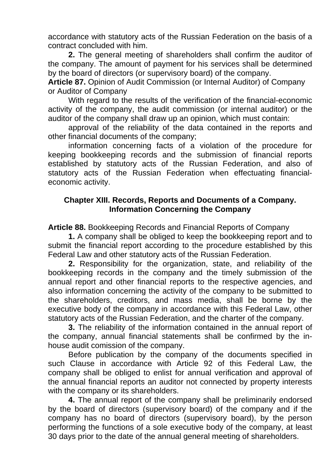accordance with statutory acts of the Russian Federation on the basis of a contract concluded with him.

**2.** The general meeting of shareholders shall confirm the auditor of the company. The amount of payment for his services shall be determined by the board of directors (or supervisory board) of the company.

**Article 87.** Opinion of Audit Commission (or Internal Auditor) of Company or Auditor of Company

With regard to the results of the verification of the financial-economic activity of the company, the audit commission (or internal auditor) or the auditor of the company shall draw up an opinion, which must contain:

approval of the reliability of the data contained in the reports and other financial documents of the company;

information concerning facts of a violation of the procedure for keeping bookkeeping records and the submission of financial reports established by statutory acts of the Russian Federation, and also of statutory acts of the Russian Federation when effectuating financialeconomic activity.

### **Chapter XIII. Records, Reports and Documents of a Company. Information Concerning the Company**

**Article 88.** Bookkeeping Records and Financial Reports of Company

**1.** A company shall be obliged to keep the bookkeeping report and to submit the financial report according to the procedure established by this Federal Law and other statutory acts of the Russian Federation.

**2.** Responsibility for the organization, state, and reliability of the bookkeeping records in the company and the timely submission of the annual report and other financial reports to the respective agencies, and also information concerning the activity of the company to be submitted to the shareholders, creditors, and mass media, shall be borne by the executive body of the company in accordance with this Federal Law, other statutory acts of the Russian Federation, and the charter of the company.

**3.** The reliability of the information contained in the annual report of the company, annual financial statements shall be confirmed by the inhouse audit comission of the company.

Before publication by the company of the documents specified in such Clause in accordance with Article 92 of this Federal Law, the company shall be obliged to enlist for annual verification and approval of the annual financial reports an auditor not connected by property interests with the company or its shareholders.

**4.** The annual report of the company shall be preliminarily endorsed by the board of directors (supervisory board) of the company and if the company has no board of directors (supervisory board), by the person performing the functions of a sole executive body of the company, at least 30 days prior to the date of the annual general meeting of shareholders.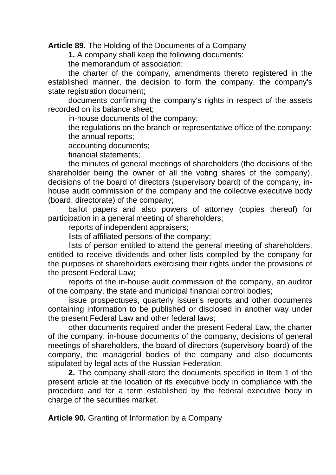**Article 89.** The Holding of the Documents of a Company

**1.** A company shall keep the following documents:

the memorandum of association;

the charter of the company, amendments thereto registered in the established manner, the decision to form the company, the company's state registration document;

documents confirming the company's rights in respect of the assets recorded on its balance sheet;

in-house documents of the company;

the regulations on the branch or representative office of the company; the annual reports;

accounting documents;

financial statements;

the minutes of general meetings of shareholders (the decisions of the shareholder being the owner of all the voting shares of the company), decisions of the board of directors (supervisory board) of the company, inhouse audit commission of the company and the collective executive body (board, directorate) of the company;

ballot papers and also powers of attorney (copies thereof) for participation in a general meeting of shareholders;

reports of independent appraisers;

lists of affiliated persons of the company;

lists of person entitled to attend the general meeting of shareholders, entitled to receive dividends and other lists compiled by the company for the purposes of shareholders exercising their rights under the provisions of the present Federal Law;

reports of the in-house audit commission of the company, an auditor of the company, the state and municipal financial control bodies;

issue prospectuses, quarterly issuer's reports and other documents containing information to be published or disclosed in another way under the present Federal Law and other federal laws;

other documents required under the present Federal Law, the charter of the company, in-house documents of the company, decisions of general meetings of shareholders, the board of directors (supervisory board) of the company, the managerial bodies of the company and also documents stipulated by legal acts of the Russian Federation.

**2.** The company shall store the documents specified in Item 1 of the present article at the location of its executive body in compliance with the procedure and for a term established by the federal executive body in charge of the securities market.

**Article 90.** Granting of Information by a Company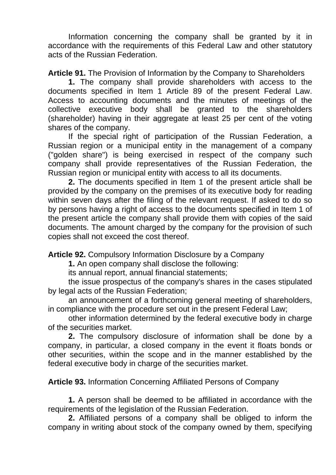Information concerning the company shall be granted by it in accordance with the requirements of this Federal Law and other statutory acts of the Russian Federation.

**Article 91.** The Provision of Information by the Company to Shareholders

**1.** The company shall provide shareholders with access to the documents specified in Item 1 Article 89 of the present Federal Law. Access to accounting documents and the minutes of meetings of the collective executive body shall be granted to the shareholders (shareholder) having in their aggregate at least 25 per cent of the voting shares of the company.

If the special right of participation of the Russian Federation, a Russian region or a municipal entity in the management of a company ("golden share") is being exercised in respect of the company such company shall provide representatives of the Russian Federation, the Russian region or municipal entity with access to all its documents.

**2.** The documents specified in Item 1 of the present article shall be provided by the company on the premises of its executive body for reading within seven days after the filing of the relevant request. If asked to do so by persons having a right of access to the documents specified in Item 1 of the present article the company shall provide them with copies of the said documents. The amount charged by the company for the provision of such copies shall not exceed the cost thereof.

**Article 92.** Compulsory Information Disclosure by a Company

**1.** An open company shall disclose the following:

its annual report, annual financial statements;

the issue prospectus of the company's shares in the cases stipulated by legal acts of the Russian Federation;

an announcement of a forthcoming general meeting of shareholders, in compliance with the procedure set out in the present Federal Law;

other information determined by the federal executive body in charge of the securities market.

**2.** The compulsory disclosure of information shall be done by a company, in particular, a closed company in the event it floats bonds or other securities, within the scope and in the manner established by the federal executive body in charge of the securities market.

**Article 93.** Information Concerning Affiliated Persons of Company

**1.** A person shall be deemed to be affiliated in accordance with the requirements of the legislation of the Russian Federation.

**2.** Affiliated persons of a company shall be obliged to inform the company in writing about stock of the company owned by them, specifying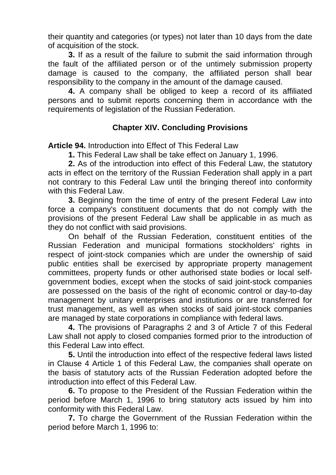their quantity and categories (or types) not later than 10 days from the date of acquisition of the stock.

**3.** If as a result of the failure to submit the said information through the fault of the affiliated person or of the untimely submission property damage is caused to the company, the affiliated person shall bear responsibility to the company in the amount of the damage caused.

**4.** A company shall be obliged to keep a record of its affiliated persons and to submit reports concerning them in accordance with the requirements of legislation of the Russian Federation.

## **Chapter XIV. Concluding Provisions**

**Article 94.** Introduction into Effect of This Federal Law

**1.** This Federal Law shall be take effect on January 1, 1996.

**2.** As of the introduction into effect of this Federal Law, the statutory acts in effect on the territory of the Russian Federation shall apply in a part not contrary to this Federal Law until the bringing thereof into conformity with this Federal Law.

**3.** Beginning from the time of entry of the present Federal Law into force a company's constituent documents that do not comply with the provisions of the present Federal Law shall be applicable in as much as they do not conflict with said provisions.

On behalf of the Russian Federation, constituent entities of the Russian Federation and municipal formations stockholders' rights in respect of joint-stock companies which are under the ownership of said public entities shall be exercised by appropriate property management committees, property funds or other authorised state bodies or local selfgovernment bodies, except when the stocks of said joint-stock companies are possessed on the basis of the right of economic control or day-to-day management by unitary enterprises and institutions or are transferred for trust management, as well as when stocks of said joint-stock companies are managed by state corporations in compliance with federal laws.

**4.** The provisions of Paragraphs 2 and 3 of Article 7 of this Federal Law shall not apply to closed companies formed prior to the introduction of this Federal Law into effect.

**5.** Until the introduction into effect of the respective federal laws listed in Clause 4 Article 1 of this Federal Law, the companies shall operate on the basis of statutory acts of the Russian Federation adopted before the introduction into effect of this Federal Law.

**6.** To propose to the President of the Russian Federation within the period before March 1, 1996 to bring statutory acts issued by him into conformity with this Federal Law.

**7.** To charge the Government of the Russian Federation within the period before March 1, 1996 to: